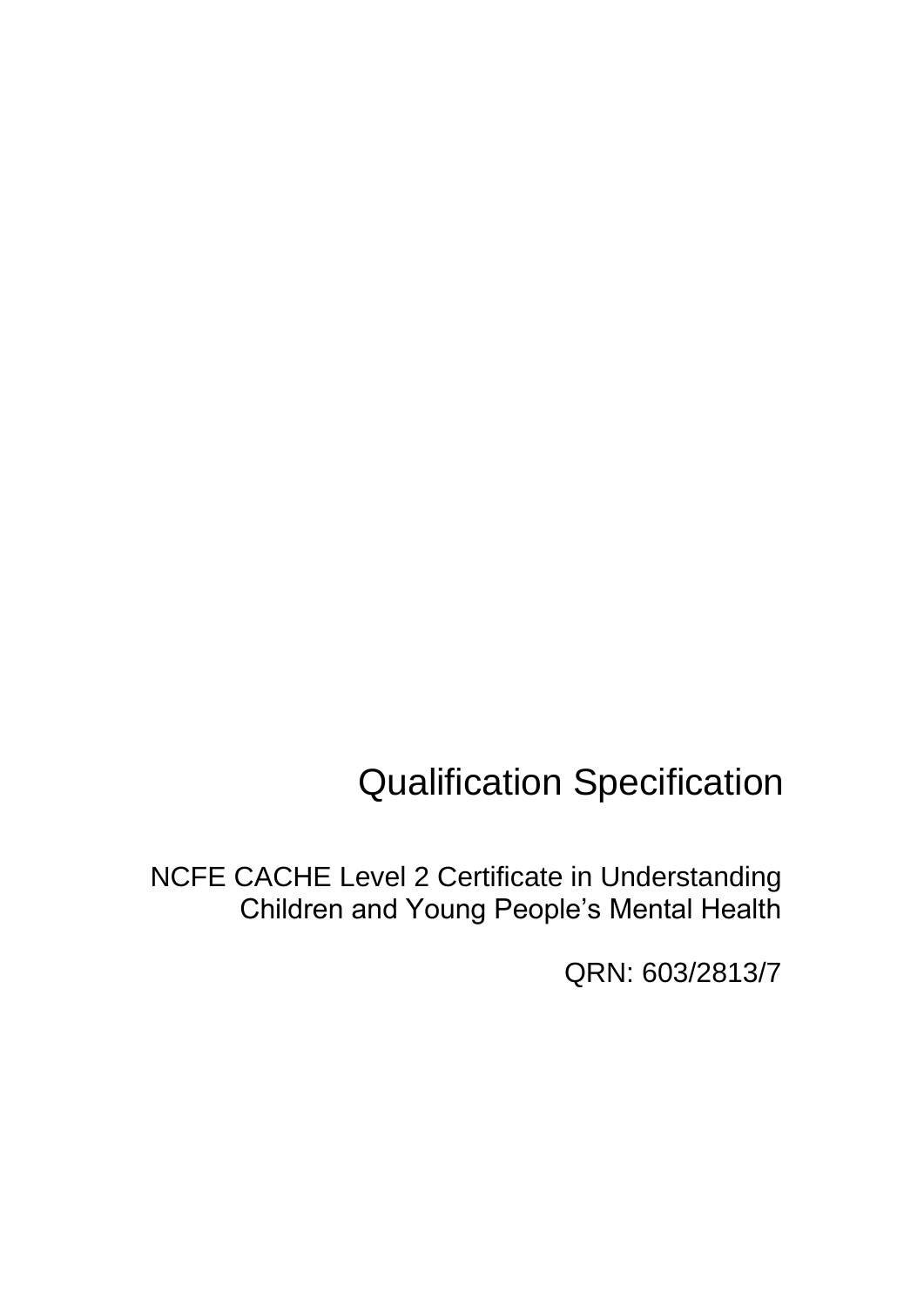# Qualification Specification

NCFE CACHE Level 2 Certificate in Understanding Children and Young People's Mental Health

QRN: 603/2813/7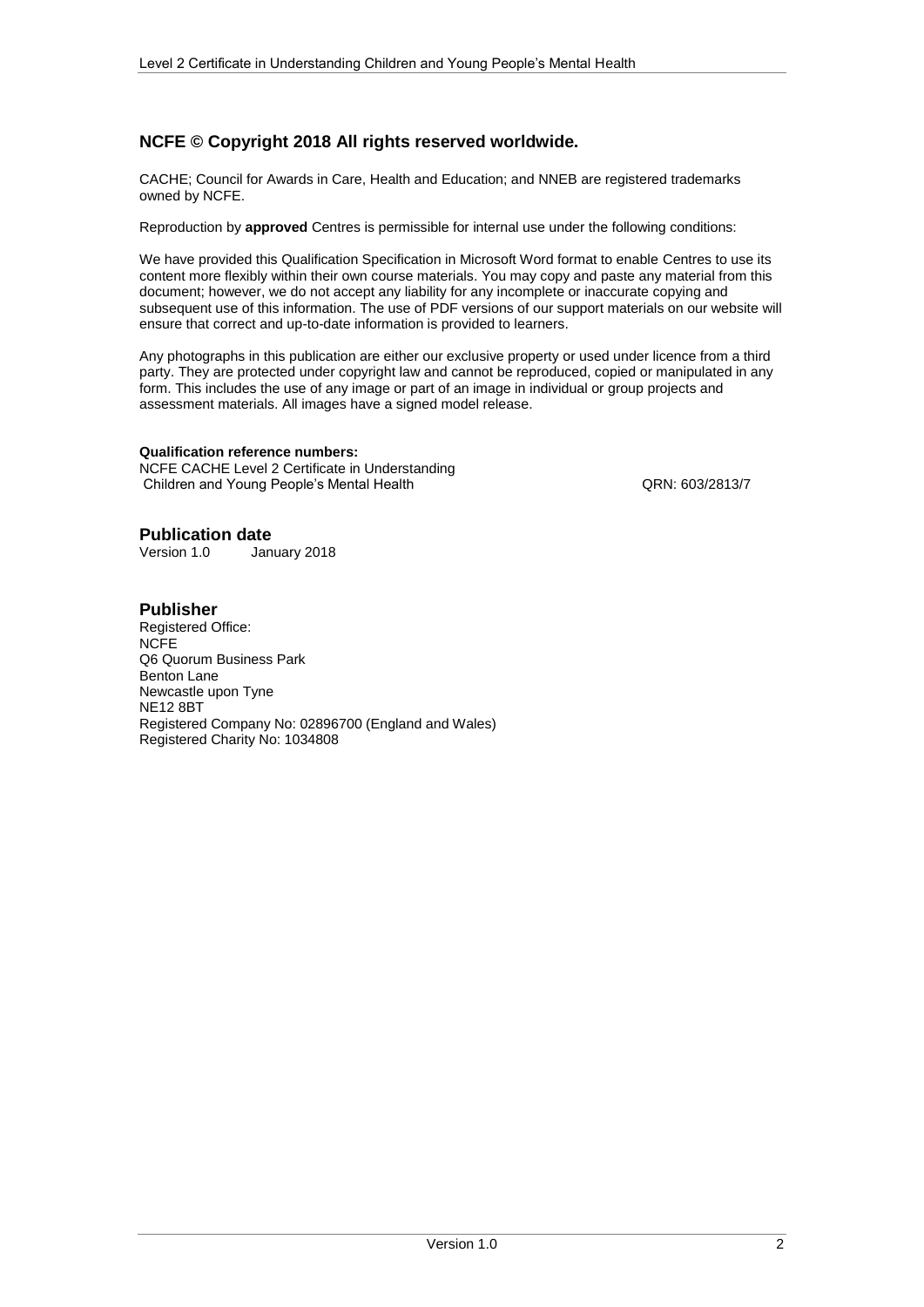## **NCFE © Copyright 2018 All rights reserved worldwide.**

CACHE; Council for Awards in Care, Health and Education; and NNEB are registered trademarks owned by NCFE.

Reproduction by **approved** Centres is permissible for internal use under the following conditions:

We have provided this Qualification Specification in Microsoft Word format to enable Centres to use its content more flexibly within their own course materials. You may copy and paste any material from this document; however, we do not accept any liability for any incomplete or inaccurate copying and subsequent use of this information. The use of PDF versions of our support materials on our website will ensure that correct and up-to-date information is provided to learners.

Any photographs in this publication are either our exclusive property or used under licence from a third party. They are protected under copyright law and cannot be reproduced, copied or manipulated in any form. This includes the use of any image or part of an image in individual or group projects and assessment materials. All images have a signed model release.

#### **Qualification reference numbers:**

NCFE CACHE Level 2 Certificate in Understanding Children and Young People's Mental Health CRN: 603/2813/7

# **Publication date**<br>Version 1.0 Jan

January 2018

#### **Publisher**

Registered Office: **NCFE** Q6 Quorum Business Park Benton Lane Newcastle upon Tyne NE12 8BT Registered Company No: 02896700 (England and Wales) Registered Charity No: 1034808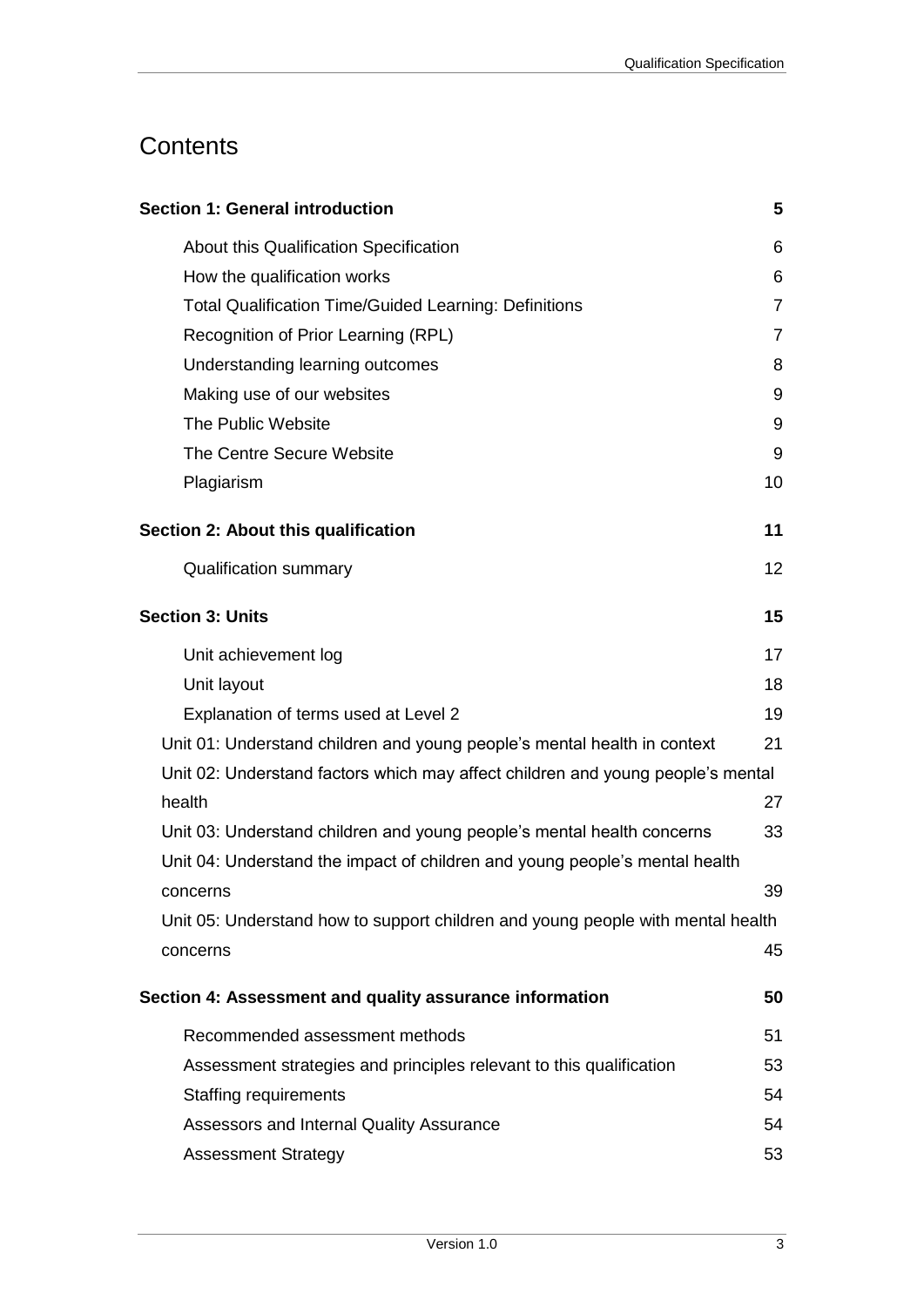## **Contents**

| <b>Section 1: General introduction</b>                                          | 5              |
|---------------------------------------------------------------------------------|----------------|
| About this Qualification Specification                                          | 6              |
| How the qualification works                                                     | 6              |
| <b>Total Qualification Time/Guided Learning: Definitions</b>                    | $\overline{7}$ |
| Recognition of Prior Learning (RPL)                                             | $\overline{7}$ |
| Understanding learning outcomes                                                 | 8              |
| Making use of our websites                                                      | 9              |
| The Public Website                                                              | 9              |
| The Centre Secure Website                                                       | 9              |
| Plagiarism                                                                      | 10             |
| Section 2: About this qualification                                             | 11             |
| <b>Qualification summary</b>                                                    | 12             |
| <b>Section 3: Units</b>                                                         | 15             |
| Unit achievement log                                                            | 17             |
| Unit layout                                                                     | 18             |
| Explanation of terms used at Level 2                                            | 19             |
| Unit 01: Understand children and young people's mental health in context        | 21             |
| Unit 02: Understand factors which may affect children and young people's mental |                |
| health                                                                          | 27             |
| Unit 03: Understand children and young people's mental health concerns          | 33             |
| Unit 04: Understand the impact of children and young people's mental health     |                |
| concerns                                                                        | 39             |
| Unit 05: Understand how to support children and young people with mental health |                |
| concerns                                                                        | 45             |
| Section 4: Assessment and quality assurance information                         | 50             |
| Recommended assessment methods                                                  | 51             |
| Assessment strategies and principles relevant to this qualification             | 53             |
| <b>Staffing requirements</b>                                                    | 54             |
| Assessors and Internal Quality Assurance                                        | 54             |
| <b>Assessment Strategy</b>                                                      | 53             |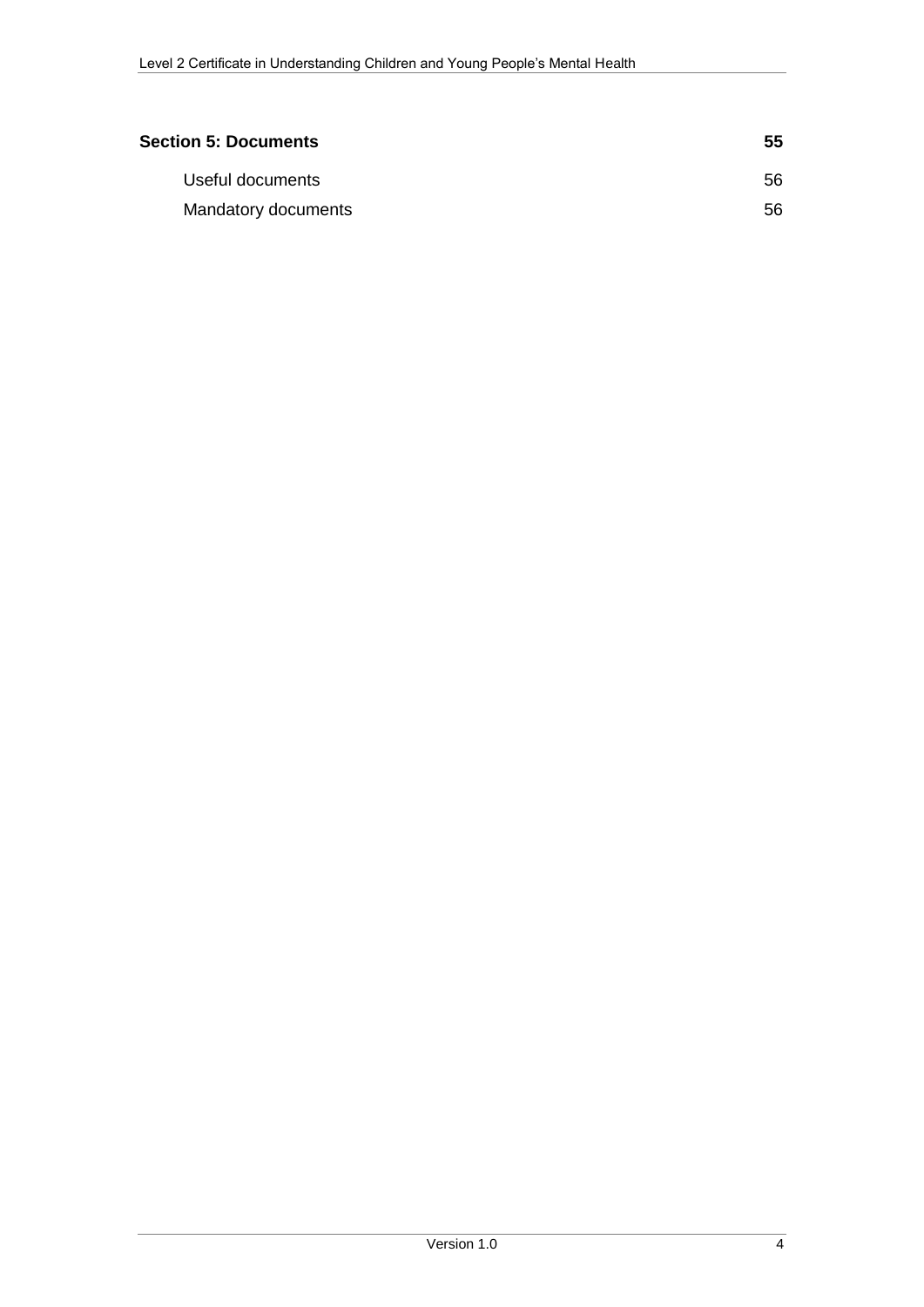| <b>Section 5: Documents</b> | 55 |
|-----------------------------|----|
| Useful documents            | 56 |
| Mandatory documents         | 56 |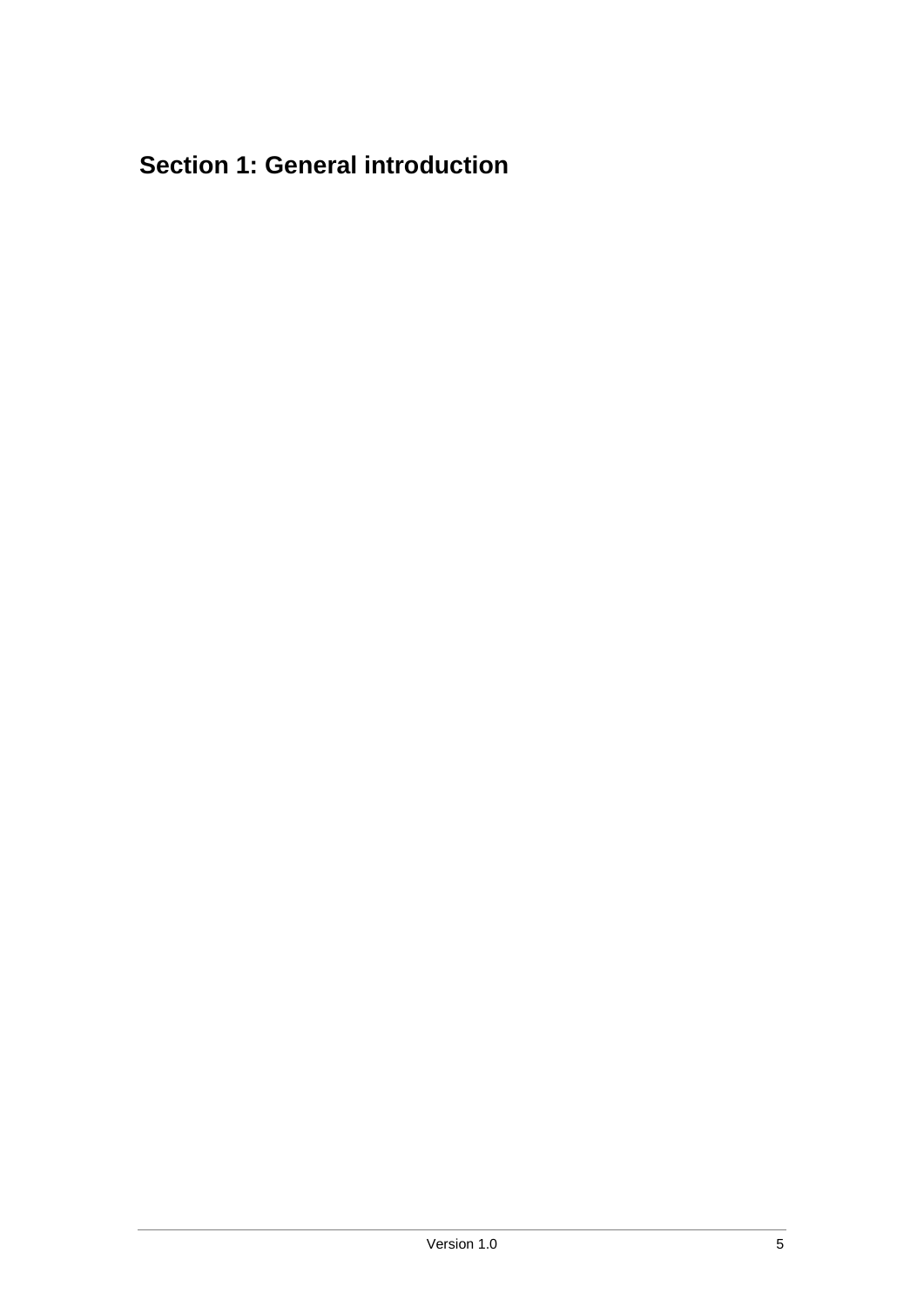## <span id="page-4-0"></span>**Section 1: General introduction**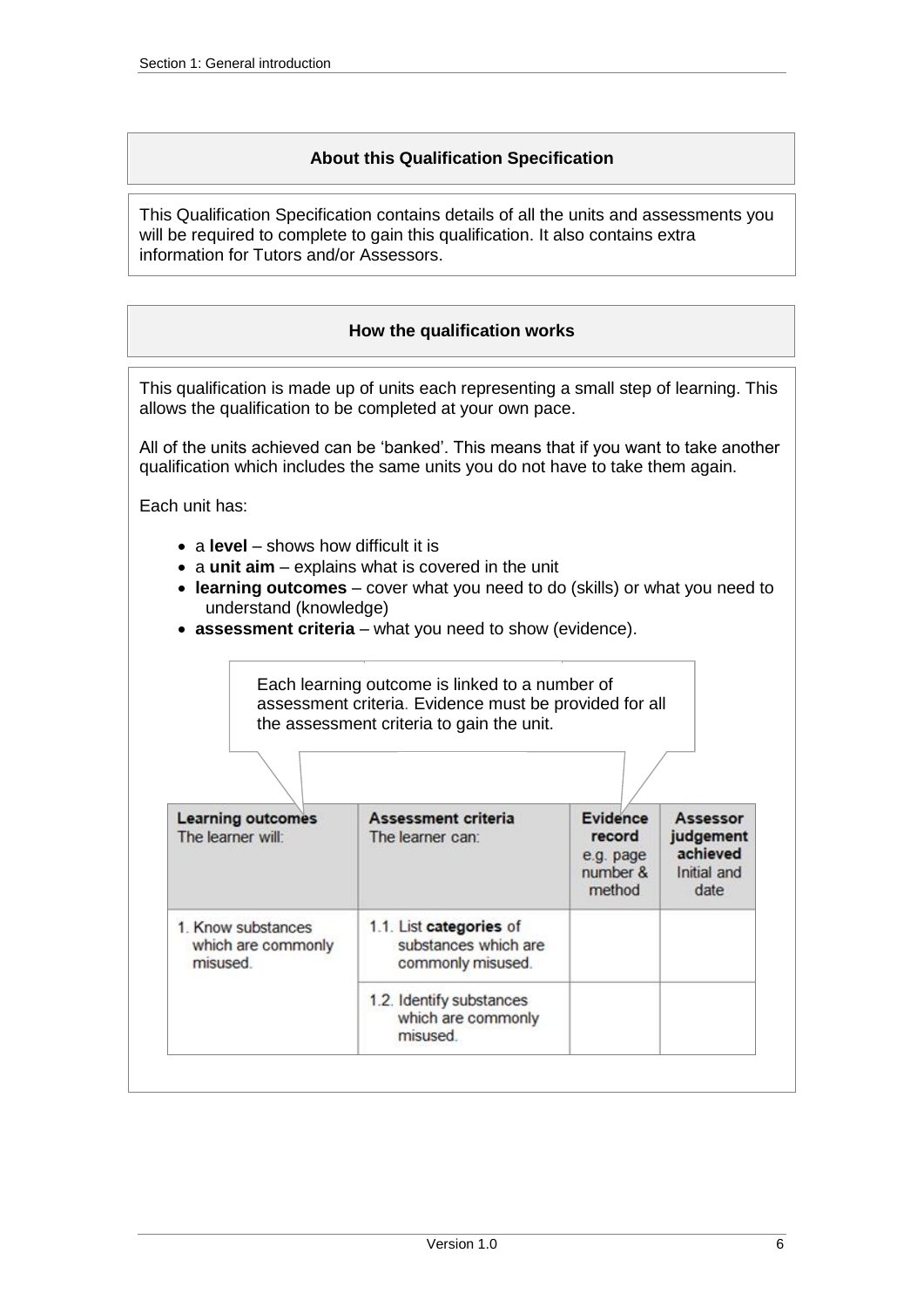### **About this Qualification Specification**

<span id="page-5-0"></span>This Qualification Specification contains details of all the units and assessments you will be required to complete to gain this qualification. It also contains extra information for Tutors and/or Assessors.

### **How the qualification works**

<span id="page-5-1"></span>This qualification is made up of units each representing a small step of learning. This allows the qualification to be completed at your own pace.

All of the units achieved can be 'banked'. This means that if you want to take another qualification which includes the same units you do not have to take them again.

Each unit has:

- a **level** shows how difficult it is
- a unit aim explains what is covered in the unit
- **learning outcomes** cover what you need to do (skills) or what you need to understand (knowledge)
- **assessment criteria** what you need to show (evidence).

Each learning outcome is linked to a number of assessment criteria. Evidence must be provided for all the assessment criteria to gain the unit.

| <b>Learning outcomes</b><br>The learner will:        | Assessment criteria<br>The learner can:                              | Evidence<br>record<br>e.g. page<br>number &<br>method | Assessor<br>judgement<br>achieved<br>Initial and<br>date |
|------------------------------------------------------|----------------------------------------------------------------------|-------------------------------------------------------|----------------------------------------------------------|
| 1. Know substances<br>which are commonly<br>misused. | 1.1. List categories of<br>substances which are<br>commonly misused. |                                                       |                                                          |
|                                                      | 1.2. Identify substances<br>which are commonly<br>misused.           |                                                       |                                                          |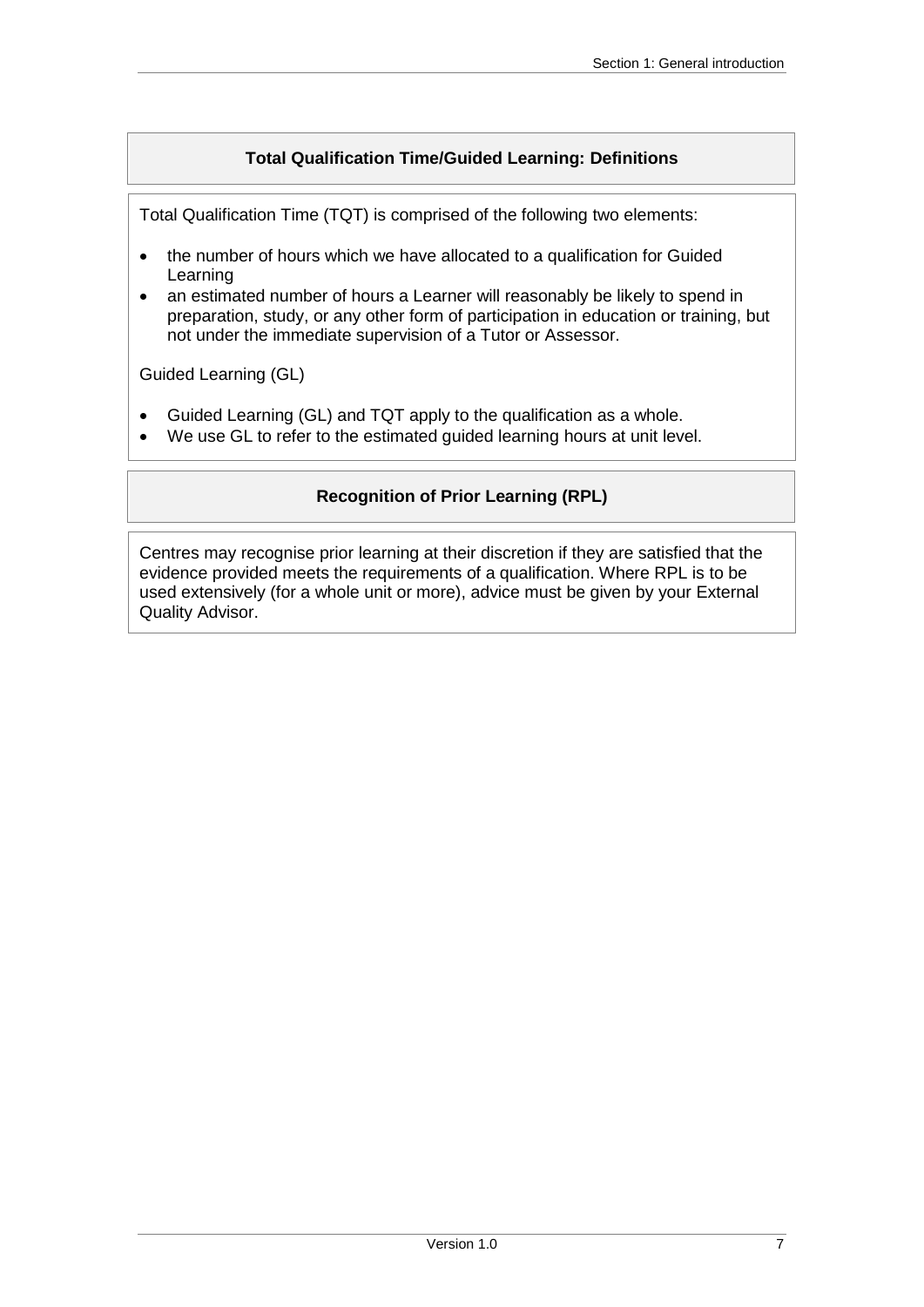## **Total Qualification Time/Guided Learning: Definitions**

<span id="page-6-0"></span>Total Qualification Time (TQT) is comprised of the following two elements:

- the number of hours which we have allocated to a qualification for Guided Learning
- an estimated number of hours a Learner will reasonably be likely to spend in preparation, study, or any other form of participation in education or training, but not under the immediate supervision of a Tutor or Assessor.

Guided Learning (GL)

- Guided Learning (GL) and TQT apply to the qualification as a whole.
- <span id="page-6-1"></span>We use GL to refer to the estimated guided learning hours at unit level.

### **Recognition of Prior Learning (RPL)**

Centres may recognise prior learning at their discretion if they are satisfied that the evidence provided meets the requirements of a qualification. Where RPL is to be used extensively (for a whole unit or more), advice must be given by your External Quality Advisor.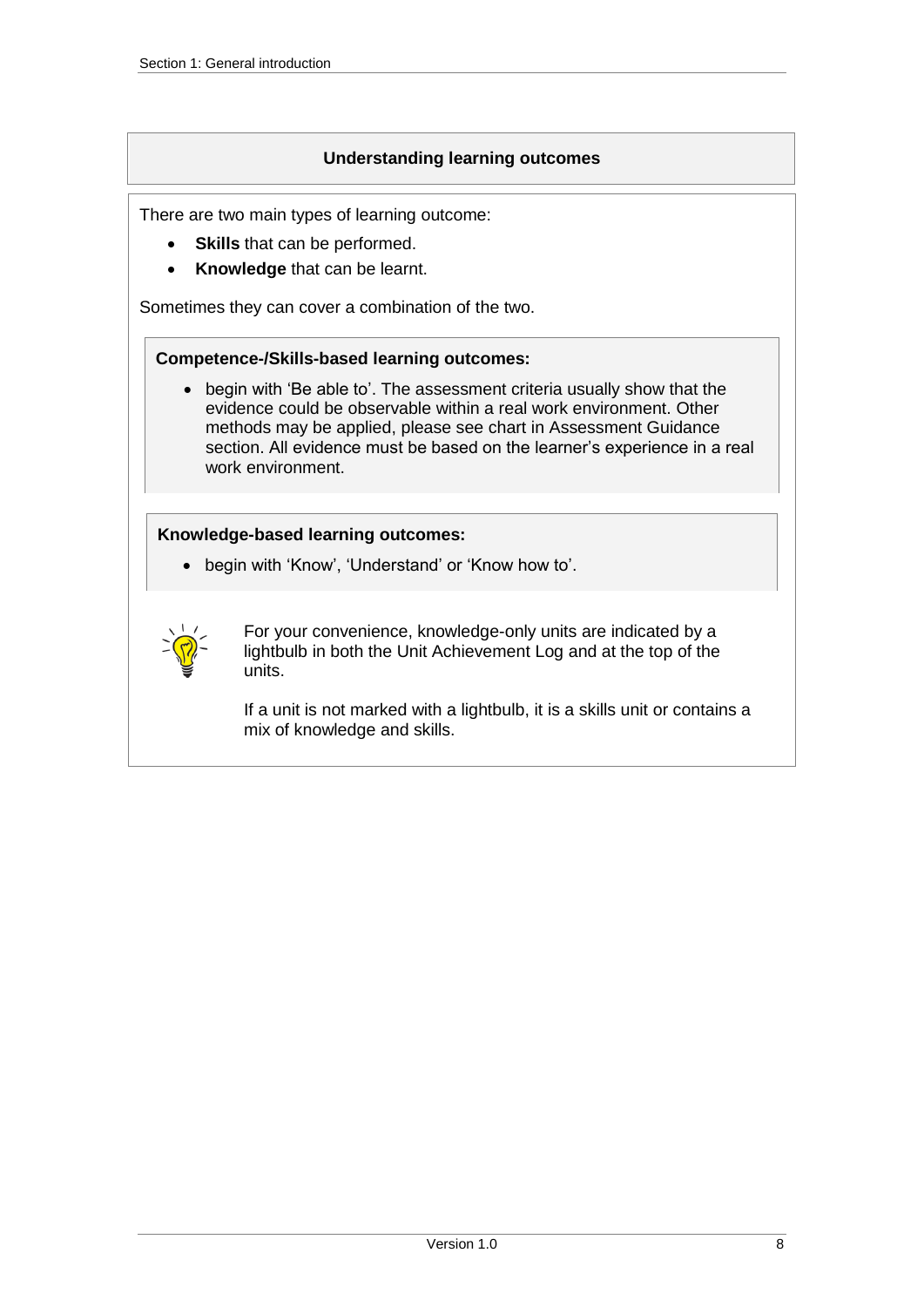### **Understanding learning outcomes**

<span id="page-7-0"></span>There are two main types of learning outcome:

- **Skills** that can be performed.
- **Knowledge** that can be learnt.

Sometimes they can cover a combination of the two.

#### **Competence-/Skills-based learning outcomes:**

 begin with 'Be able to'. The assessment criteria usually show that the evidence could be observable within a real work environment. Other methods may be applied, please see chart in Assessment Guidance section. All evidence must be based on the learner's experience in a real work environment.

#### **Knowledge-based learning outcomes:**

begin with 'Know', 'Understand' or 'Know how to'.



For your convenience, knowledge-only units are indicated by a lightbulb in both the Unit Achievement Log and at the top of the units.

If a unit is not marked with a lightbulb, it is a skills unit or contains a mix of knowledge and skills.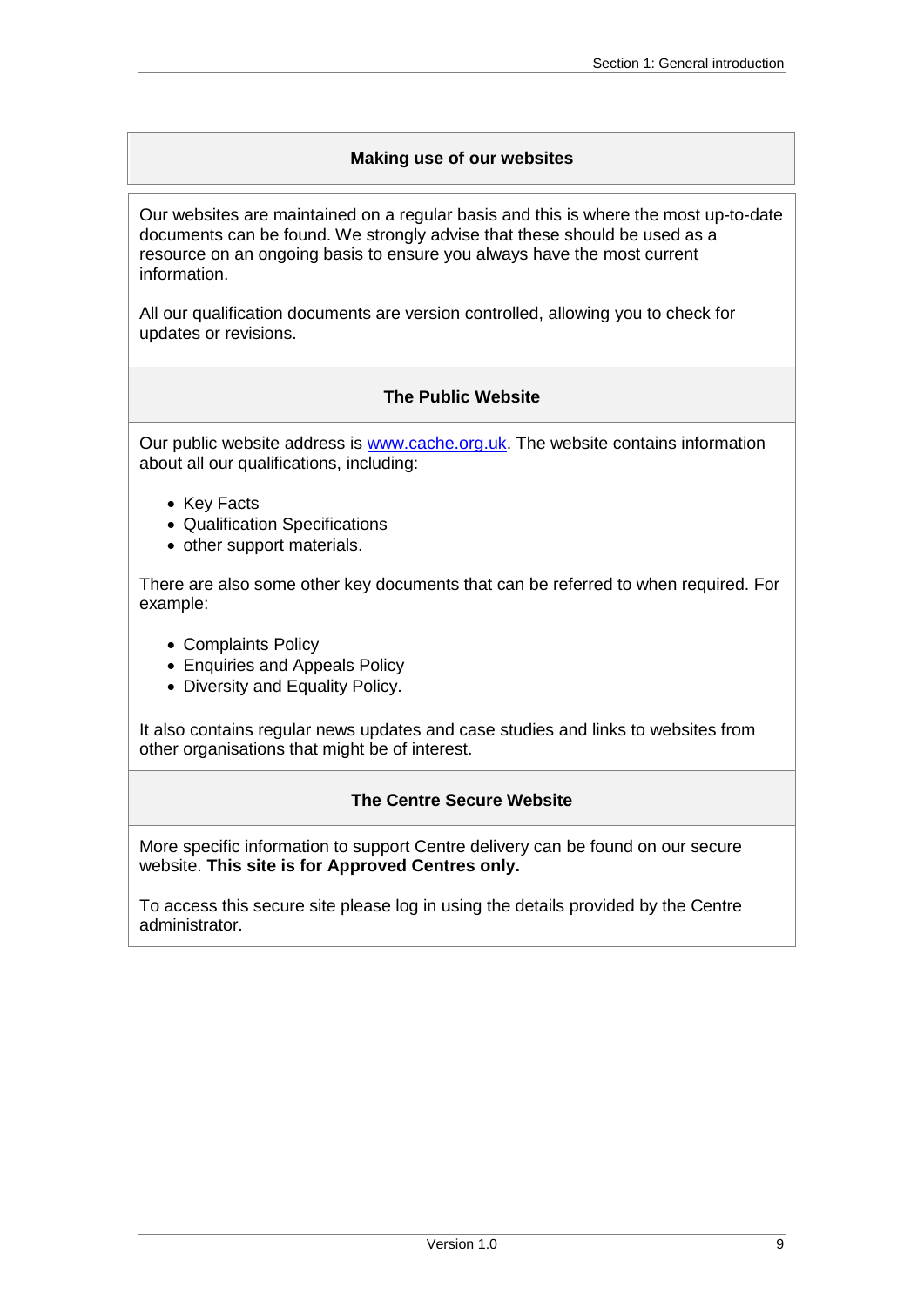### **Making use of our websites**

<span id="page-8-0"></span>Our websites are maintained on a regular basis and this is where the most up-to-date documents can be found. We strongly advise that these should be used as a resource on an ongoing basis to ensure you always have the most current information.

All our qualification documents are version controlled, allowing you to check for updates or revisions.

### **The Public Website**

<span id="page-8-1"></span>Our public website address is [www.cache.org.uk.](https://www.cache.org.uk/) The website contains information about all our qualifications, including:

- Key Facts
- Qualification Specifications
- other support materials.

There are also some other key documents that can be referred to when required. For example:

- Complaints Policy
- Enquiries and Appeals Policy
- Diversity and Equality Policy.

It also contains regular news updates and case studies and links to websites from other organisations that might be of interest.

### **The Centre Secure Website**

<span id="page-8-2"></span>More specific information to support Centre delivery can be found on our secure website. **This site is for Approved Centres only.**

To access this secure site please log in using the details provided by the Centre administrator.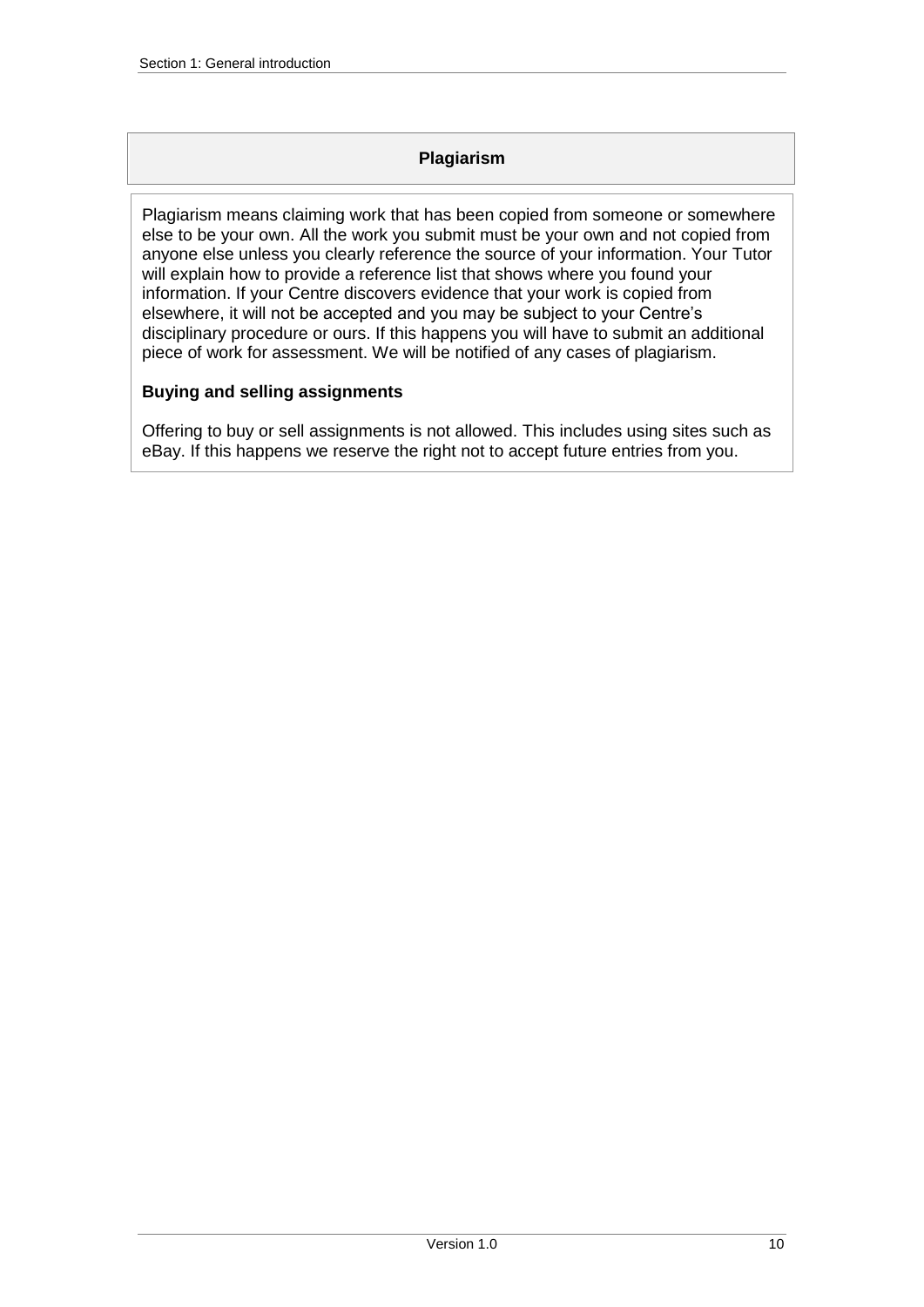### **Plagiarism**

<span id="page-9-0"></span>Plagiarism means claiming work that has been copied from someone or somewhere else to be your own. All the work you submit must be your own and not copied from anyone else unless you clearly reference the source of your information. Your Tutor will explain how to provide a reference list that shows where you found your information. If your Centre discovers evidence that your work is copied from elsewhere, it will not be accepted and you may be subject to your Centre's disciplinary procedure or ours. If this happens you will have to submit an additional piece of work for assessment. We will be notified of any cases of plagiarism.

### **Buying and selling assignments**

Offering to buy or sell assignments is not allowed. This includes using sites such as eBay. If this happens we reserve the right not to accept future entries from you.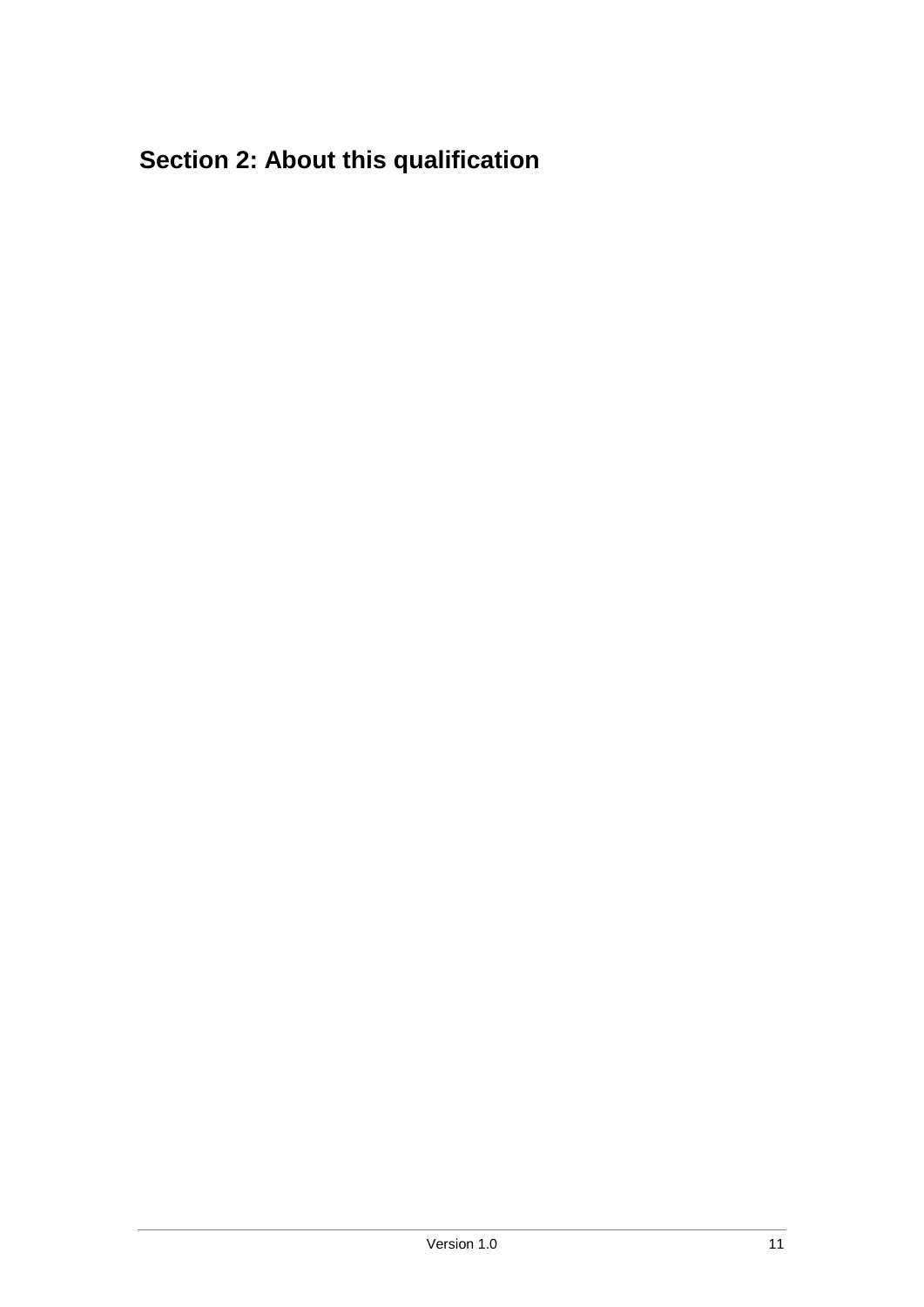# <span id="page-10-0"></span>**Section 2: About this qualification**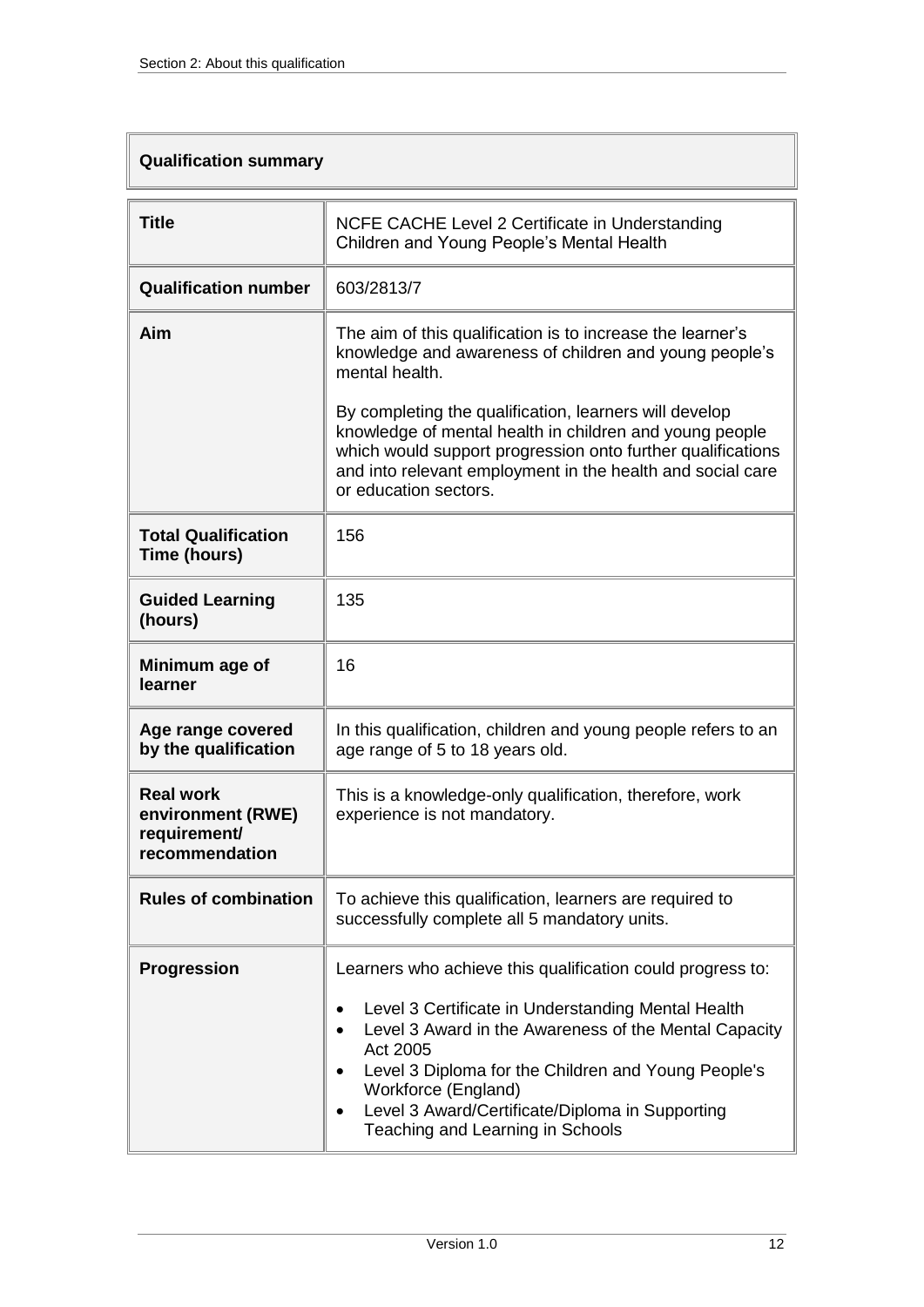### <span id="page-11-0"></span>**Qualification summary**

| <b>Title</b>                                                            | NCFE CACHE Level 2 Certificate in Understanding<br>Children and Young People's Mental Health                                                                                                                                                                                                 |  |  |
|-------------------------------------------------------------------------|----------------------------------------------------------------------------------------------------------------------------------------------------------------------------------------------------------------------------------------------------------------------------------------------|--|--|
| <b>Qualification number</b>                                             | 603/2813/7                                                                                                                                                                                                                                                                                   |  |  |
| Aim                                                                     | The aim of this qualification is to increase the learner's<br>knowledge and awareness of children and young people's<br>mental health.                                                                                                                                                       |  |  |
|                                                                         | By completing the qualification, learners will develop<br>knowledge of mental health in children and young people<br>which would support progression onto further qualifications<br>and into relevant employment in the health and social care<br>or education sectors.                      |  |  |
| <b>Total Qualification</b><br>Time (hours)                              | 156                                                                                                                                                                                                                                                                                          |  |  |
| <b>Guided Learning</b><br>(hours)                                       | 135                                                                                                                                                                                                                                                                                          |  |  |
| Minimum age of<br>learner                                               | 16                                                                                                                                                                                                                                                                                           |  |  |
| Age range covered<br>by the qualification                               | In this qualification, children and young people refers to an<br>age range of 5 to 18 years old.                                                                                                                                                                                             |  |  |
| <b>Real work</b><br>environment (RWE)<br>requirement/<br>recommendation | This is a knowledge-only qualification, therefore, work<br>experience is not mandatory.                                                                                                                                                                                                      |  |  |
| <b>Rules of combination</b>                                             | To achieve this qualification, learners are required to<br>successfully complete all 5 mandatory units.                                                                                                                                                                                      |  |  |
| <b>Progression</b>                                                      | Learners who achieve this qualification could progress to:                                                                                                                                                                                                                                   |  |  |
|                                                                         | Level 3 Certificate in Understanding Mental Health<br>Level 3 Award in the Awareness of the Mental Capacity<br>Act 2005<br>Level 3 Diploma for the Children and Young People's<br>Workforce (England)<br>Level 3 Award/Certificate/Diploma in Supporting<br>Teaching and Learning in Schools |  |  |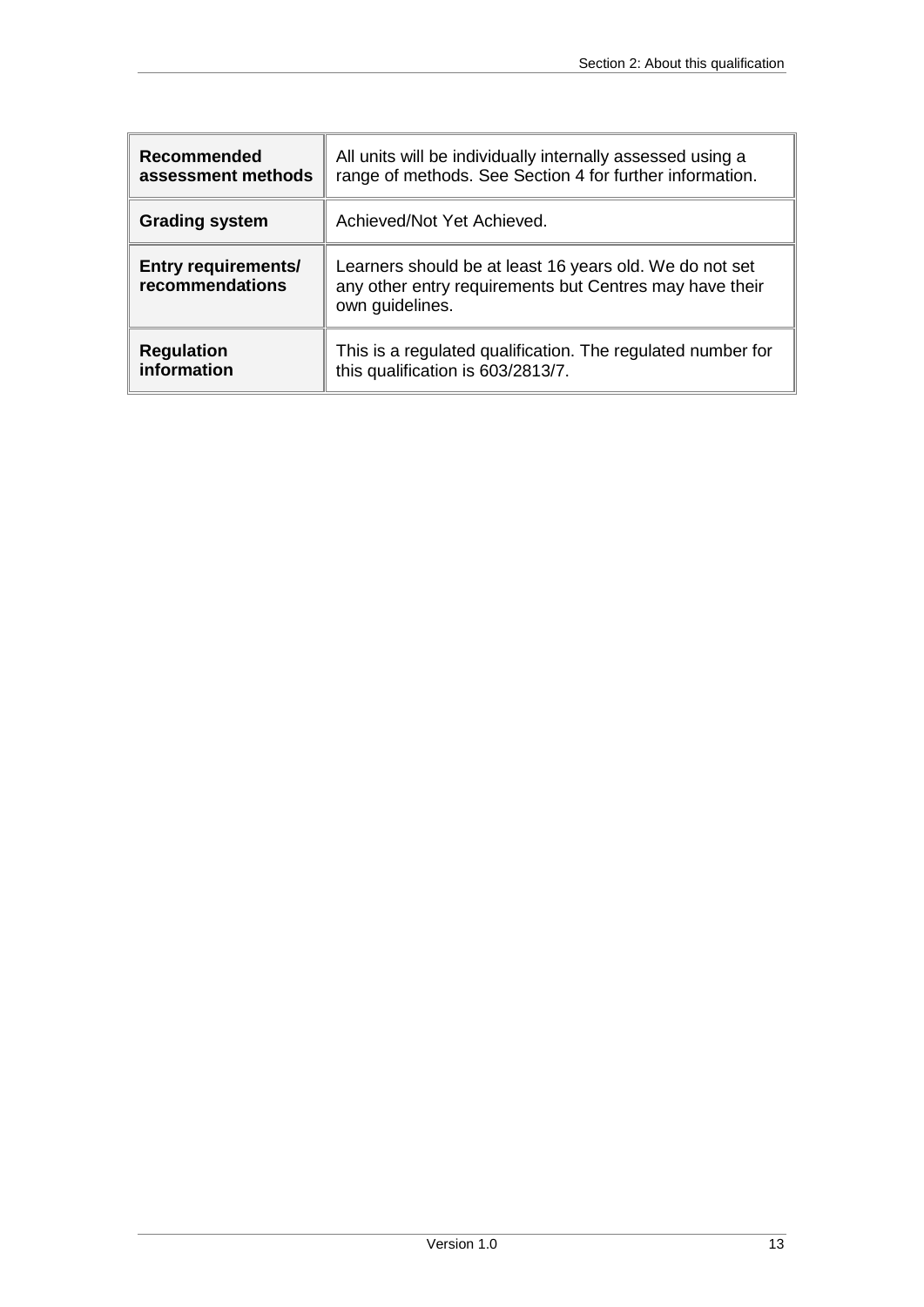| Recommended                                   | All units will be individually internally assessed using a                                                                            |
|-----------------------------------------------|---------------------------------------------------------------------------------------------------------------------------------------|
| assessment methods                            | range of methods. See Section 4 for further information.                                                                              |
| <b>Grading system</b>                         | Achieved/Not Yet Achieved.                                                                                                            |
| <b>Entry requirements/</b><br>recommendations | Learners should be at least 16 years old. We do not set<br>any other entry requirements but Centres may have their<br>own guidelines. |
| <b>Regulation</b>                             | This is a regulated qualification. The regulated number for                                                                           |
| information                                   | this qualification is 603/2813/7.                                                                                                     |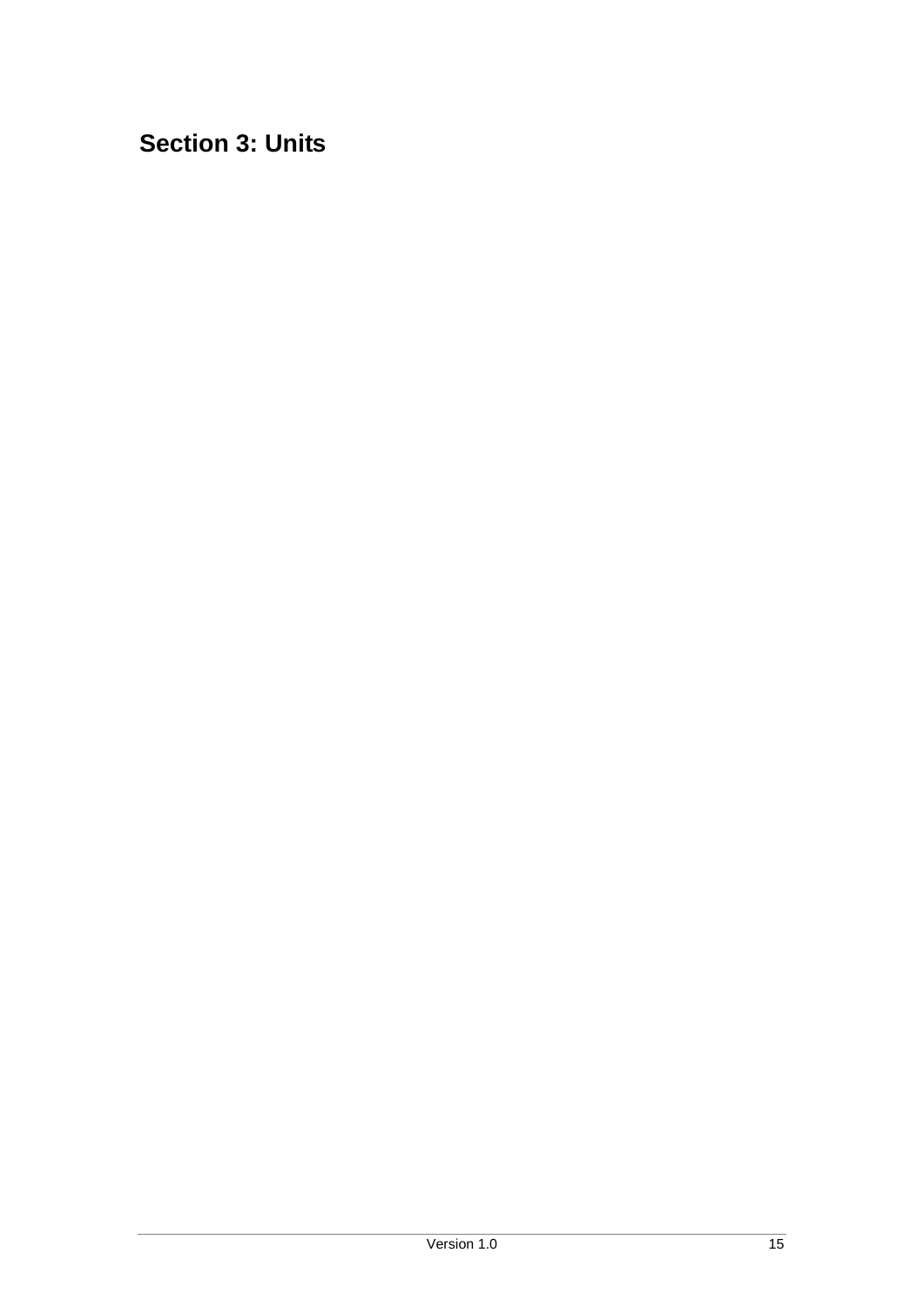<span id="page-14-0"></span>**Section 3: Units**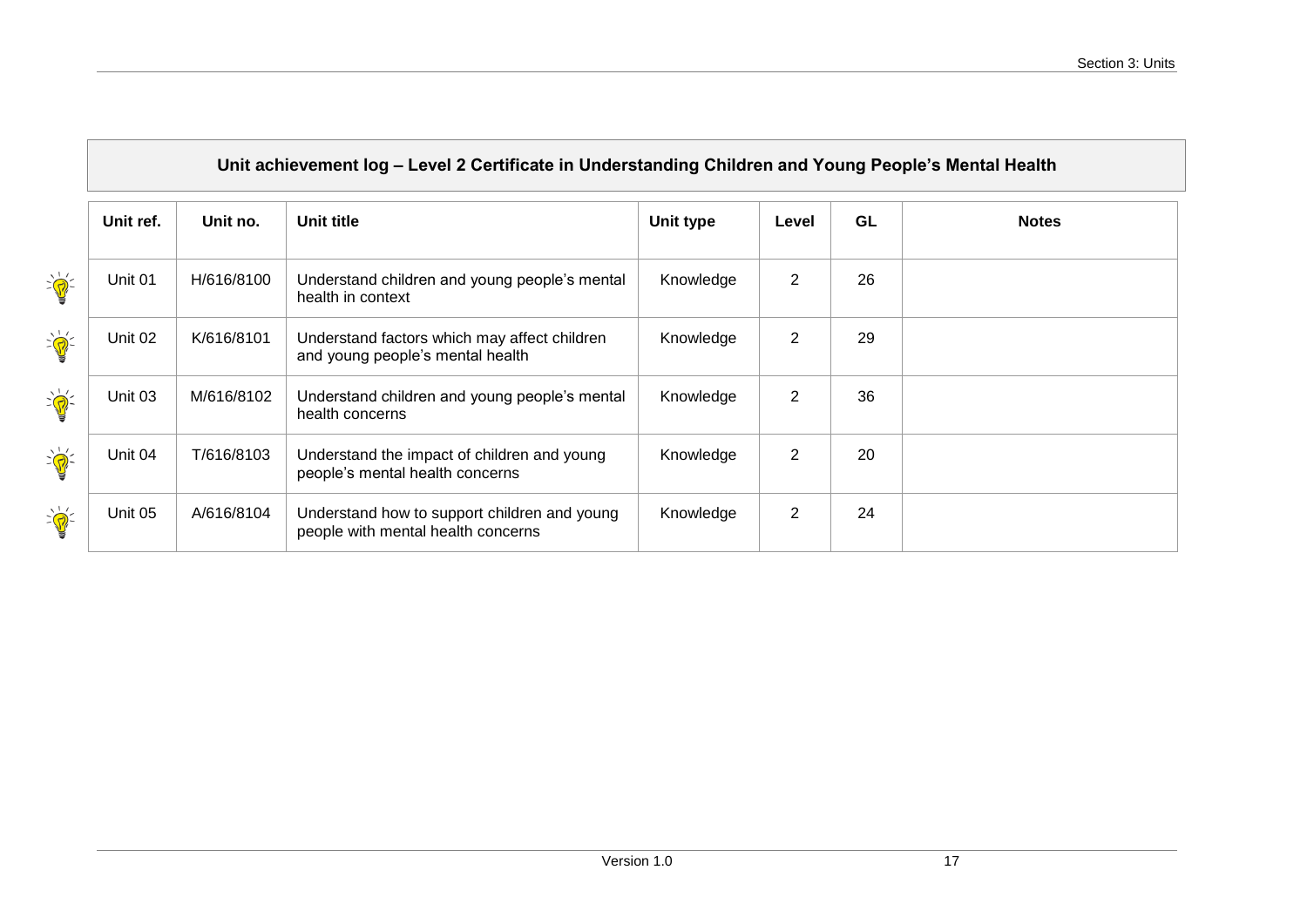<span id="page-16-0"></span>

|                                                                                                                                                                                                                                                                                                                                                                 | Unit ref. | Unit no.   | Unit title                                                                         | Unit type | Level          | GL | <b>Notes</b> |
|-----------------------------------------------------------------------------------------------------------------------------------------------------------------------------------------------------------------------------------------------------------------------------------------------------------------------------------------------------------------|-----------|------------|------------------------------------------------------------------------------------|-----------|----------------|----|--------------|
| $\sum_{i=1}^{n}$                                                                                                                                                                                                                                                                                                                                                | Unit 01   | H/616/8100 | Understand children and young people's mental<br>health in context                 | Knowledge | $\overline{2}$ | 26 |              |
| $\sum_{i=1}^{n}$                                                                                                                                                                                                                                                                                                                                                | Unit 02   | K/616/8101 | Understand factors which may affect children<br>and young people's mental health   | Knowledge | $\overline{2}$ | 29 |              |
| $\sum_{i=1}^{n}$                                                                                                                                                                                                                                                                                                                                                | Unit 03   | M/616/8102 | Understand children and young people's mental<br>health concerns                   | Knowledge | $\overline{2}$ | 36 |              |
| $\sum_{i=1}^{n} \frac{1}{i} \sum_{i=1}^{n} \frac{1}{i} \sum_{i=1}^{n} \frac{1}{i} \sum_{i=1}^{n} \frac{1}{i} \sum_{i=1}^{n} \frac{1}{i} \sum_{i=1}^{n} \frac{1}{i} \sum_{i=1}^{n} \frac{1}{i} \sum_{i=1}^{n} \frac{1}{i} \sum_{i=1}^{n} \frac{1}{i} \sum_{i=1}^{n} \frac{1}{i} \sum_{i=1}^{n} \frac{1}{i} \sum_{i=1}^{n} \frac{1}{i} \sum_{i=1}^{n} \frac{1}{i$ | Unit 04   | T/616/8103 | Understand the impact of children and young<br>people's mental health concerns     | Knowledge | $\overline{2}$ | 20 |              |
| $\sum_{i=1}^{n} \frac{1}{i} \sum_{i=1}^{n} \frac{1}{i} \sum_{i=1}^{n} \frac{1}{i} \sum_{i=1}^{n} \frac{1}{i} \sum_{i=1}^{n} \frac{1}{i} \sum_{i=1}^{n} \frac{1}{i} \sum_{i=1}^{n} \frac{1}{i} \sum_{i=1}^{n} \frac{1}{i} \sum_{i=1}^{n} \frac{1}{i} \sum_{i=1}^{n} \frac{1}{i} \sum_{i=1}^{n} \frac{1}{i} \sum_{i=1}^{n} \frac{1}{i} \sum_{i=1}^{n} \frac{1}{i$ | Unit 05   | A/616/8104 | Understand how to support children and young<br>people with mental health concerns | Knowledge | $\overline{2}$ | 24 |              |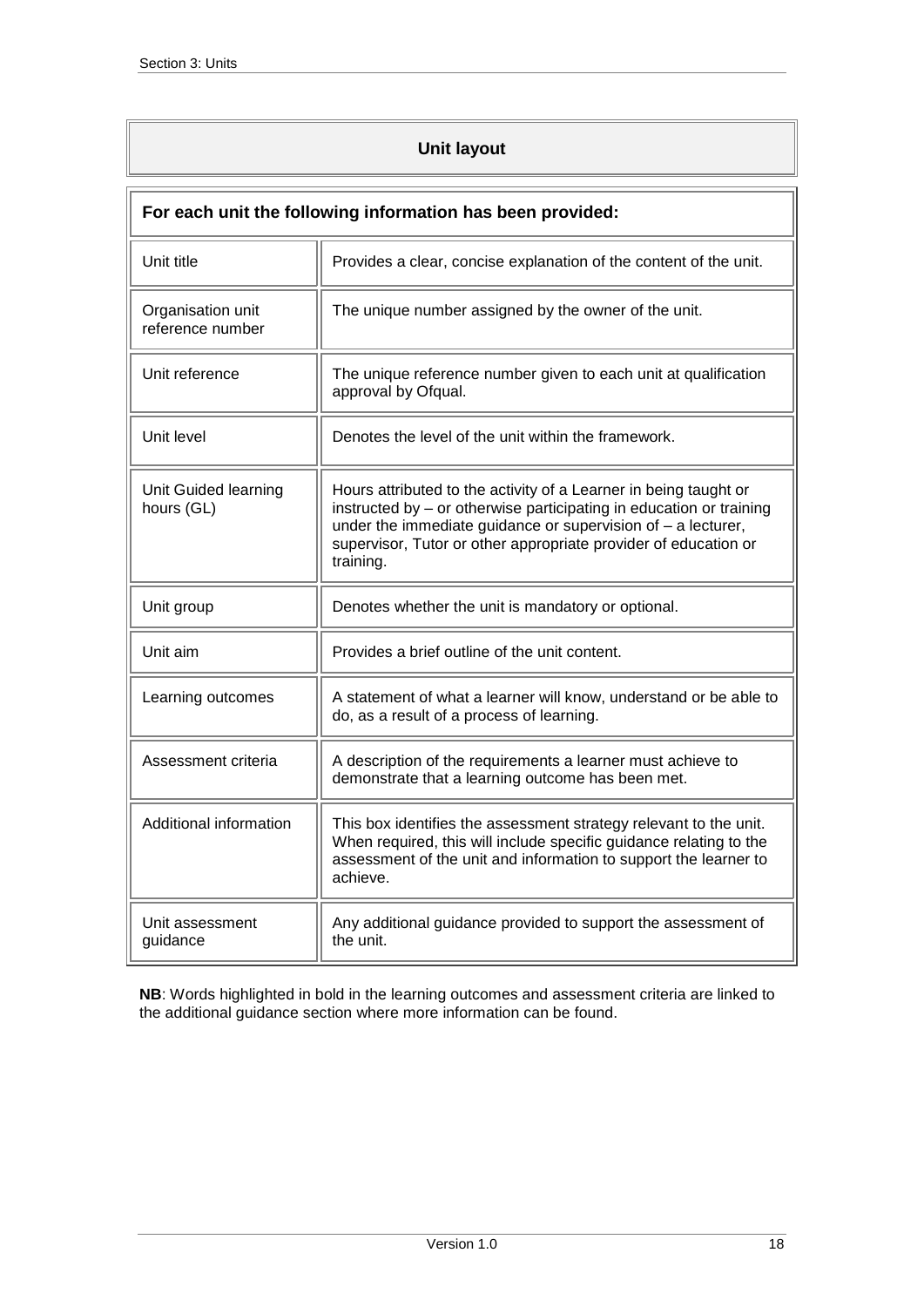## **Unit layout**

<span id="page-17-0"></span>

| For each unit the following information has been provided: |                                                                                                                                                                                                                                                                                           |  |
|------------------------------------------------------------|-------------------------------------------------------------------------------------------------------------------------------------------------------------------------------------------------------------------------------------------------------------------------------------------|--|
| Unit title                                                 | Provides a clear, concise explanation of the content of the unit.                                                                                                                                                                                                                         |  |
| Organisation unit<br>reference number                      | The unique number assigned by the owner of the unit.                                                                                                                                                                                                                                      |  |
| Unit reference                                             | The unique reference number given to each unit at qualification<br>approval by Ofqual.                                                                                                                                                                                                    |  |
| Unit level                                                 | Denotes the level of the unit within the framework.                                                                                                                                                                                                                                       |  |
| Unit Guided learning<br>hours (GL)                         | Hours attributed to the activity of a Learner in being taught or<br>instructed by - or otherwise participating in education or training<br>under the immediate guidance or supervision of $-$ a lecturer,<br>supervisor, Tutor or other appropriate provider of education or<br>training. |  |
| Unit group                                                 | Denotes whether the unit is mandatory or optional.                                                                                                                                                                                                                                        |  |
| Unit aim                                                   | Provides a brief outline of the unit content.                                                                                                                                                                                                                                             |  |
| Learning outcomes                                          | A statement of what a learner will know, understand or be able to<br>do, as a result of a process of learning.                                                                                                                                                                            |  |
| Assessment criteria                                        | A description of the requirements a learner must achieve to<br>demonstrate that a learning outcome has been met.                                                                                                                                                                          |  |
| Additional information                                     | This box identifies the assessment strategy relevant to the unit.<br>When required, this will include specific guidance relating to the<br>assessment of the unit and information to support the learner to<br>achieve.                                                                   |  |
| Unit assessment<br>guidance                                | Any additional guidance provided to support the assessment of<br>the unit.                                                                                                                                                                                                                |  |

**NB**: Words highlighted in bold in the learning outcomes and assessment criteria are linked to the additional guidance section where more information can be found.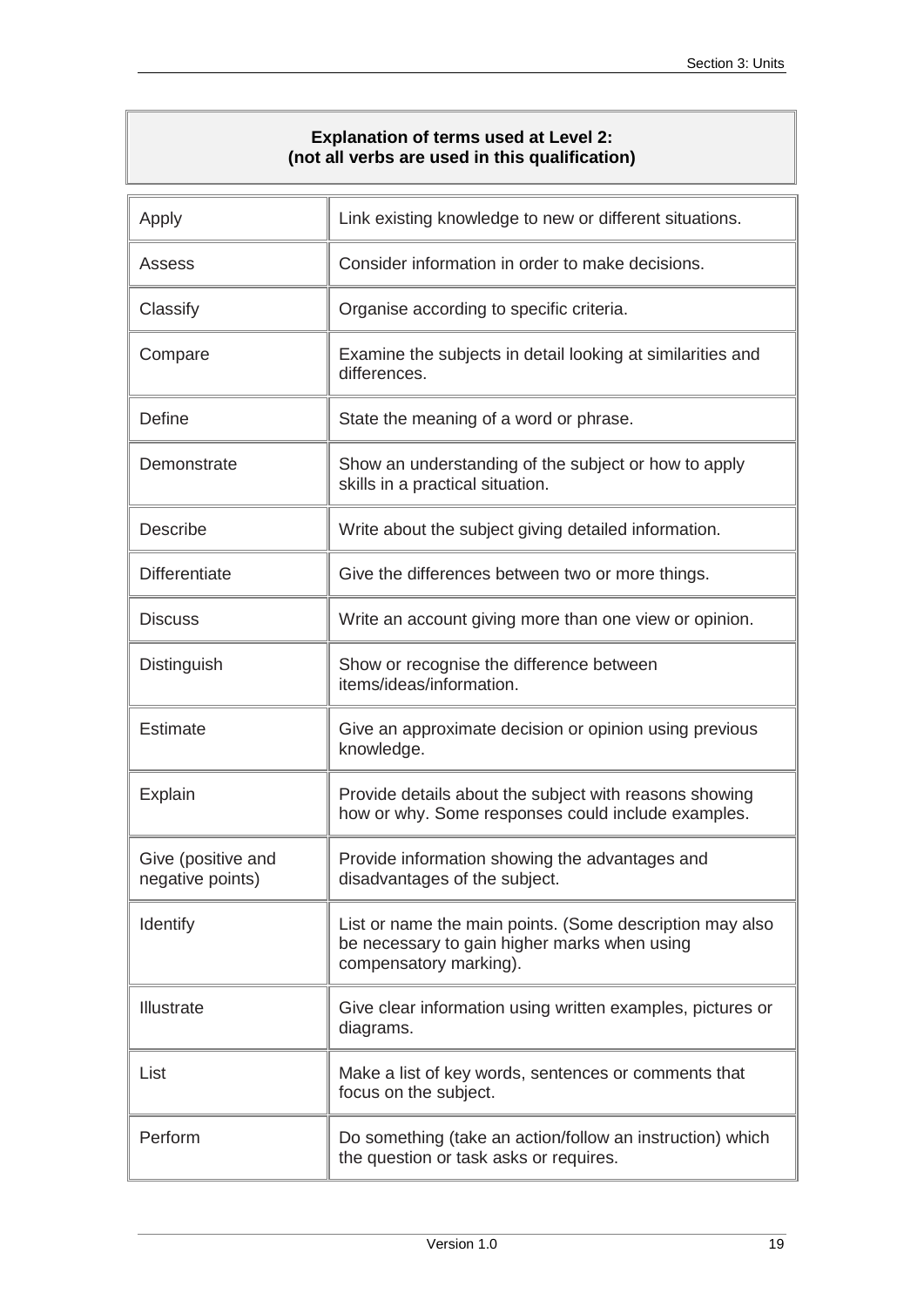### **Explanation of terms used at Level 2: (not all verbs are used in this qualification)**

<span id="page-18-0"></span>

| Apply                                  | Link existing knowledge to new or different situations.                                                                            |
|----------------------------------------|------------------------------------------------------------------------------------------------------------------------------------|
| Assess                                 | Consider information in order to make decisions.                                                                                   |
| Classify                               | Organise according to specific criteria.                                                                                           |
| Compare                                | Examine the subjects in detail looking at similarities and<br>differences.                                                         |
| Define                                 | State the meaning of a word or phrase.                                                                                             |
| Demonstrate                            | Show an understanding of the subject or how to apply<br>skills in a practical situation.                                           |
| <b>Describe</b>                        | Write about the subject giving detailed information.                                                                               |
| <b>Differentiate</b>                   | Give the differences between two or more things.                                                                                   |
| <b>Discuss</b>                         | Write an account giving more than one view or opinion.                                                                             |
| Distinguish                            | Show or recognise the difference between<br>items/ideas/information.                                                               |
| Estimate                               | Give an approximate decision or opinion using previous<br>knowledge.                                                               |
| Explain                                | Provide details about the subject with reasons showing<br>how or why. Some responses could include examples.                       |
| Give (positive and<br>negative points) | Provide information showing the advantages and<br>disadvantages of the subject.                                                    |
| Identify                               | List or name the main points. (Some description may also<br>be necessary to gain higher marks when using<br>compensatory marking). |
| Illustrate                             | Give clear information using written examples, pictures or<br>diagrams.                                                            |
| List                                   | Make a list of key words, sentences or comments that<br>focus on the subject.                                                      |
| Perform                                | Do something (take an action/follow an instruction) which<br>the question or task asks or requires.                                |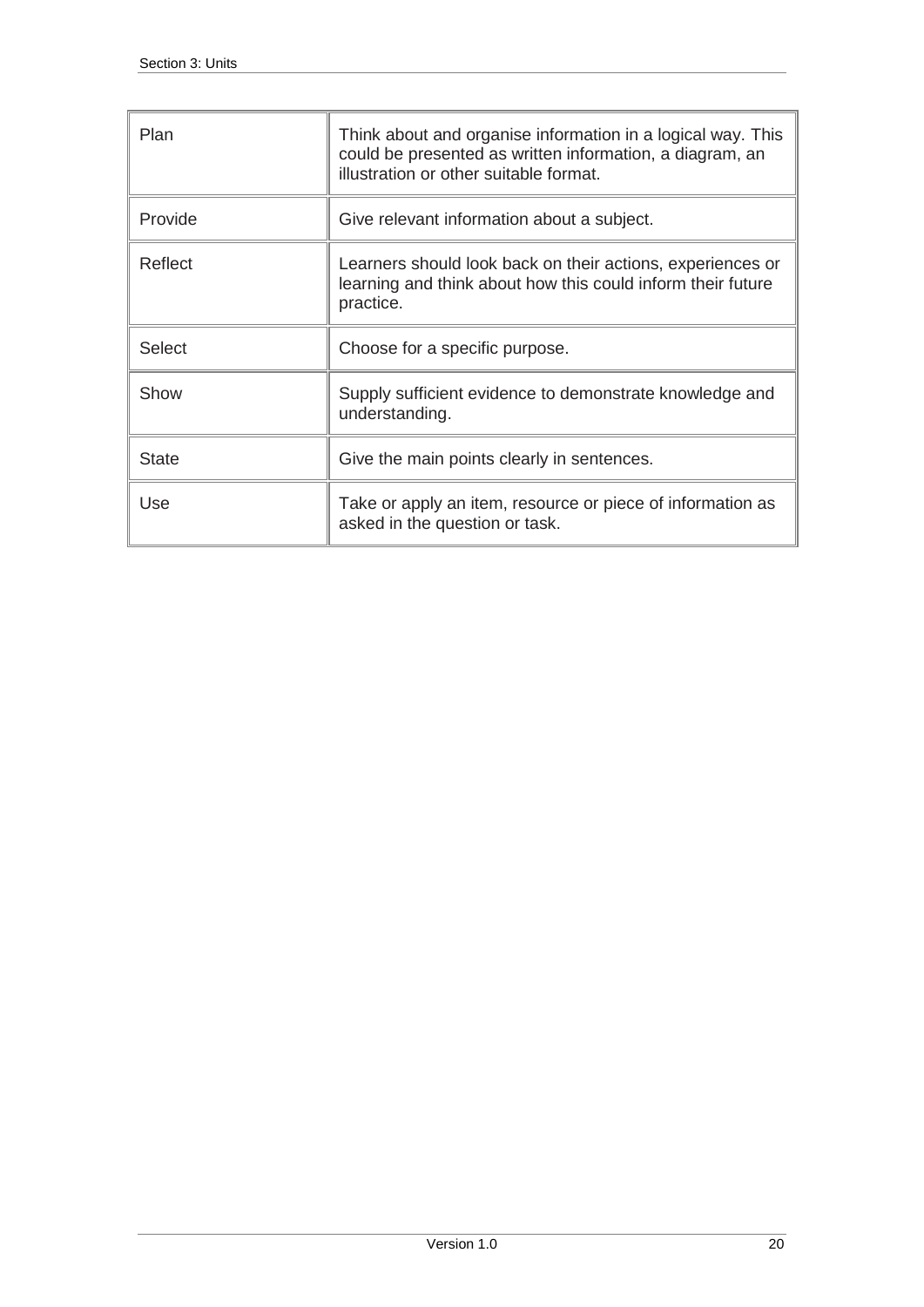| Plan         | Think about and organise information in a logical way. This<br>could be presented as written information, a diagram, an<br>illustration or other suitable format. |
|--------------|-------------------------------------------------------------------------------------------------------------------------------------------------------------------|
| Provide      | Give relevant information about a subject.                                                                                                                        |
| Reflect      | Learners should look back on their actions, experiences or<br>learning and think about how this could inform their future<br>practice.                            |
| Select       | Choose for a specific purpose.                                                                                                                                    |
| Show         | Supply sufficient evidence to demonstrate knowledge and<br>understanding.                                                                                         |
| <b>State</b> | Give the main points clearly in sentences.                                                                                                                        |
| Use          | Take or apply an item, resource or piece of information as<br>asked in the question or task.                                                                      |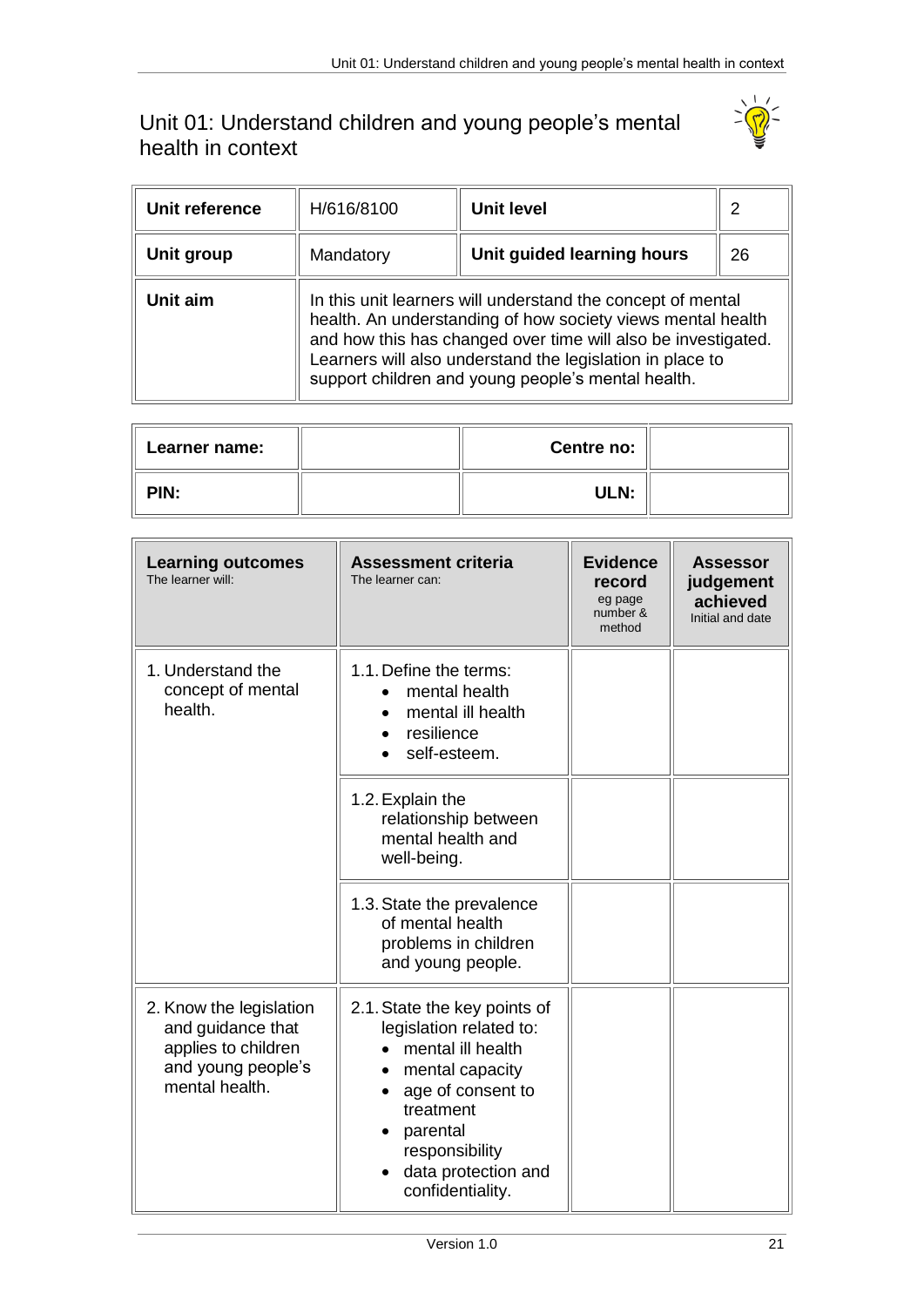## <span id="page-20-0"></span>Unit 01: Understand children and young people's mental health in context



| Unit reference | H/616/8100 | Unit level                                                                                                                                                                                                                                                                                                     | $\overline{2}$ |
|----------------|------------|----------------------------------------------------------------------------------------------------------------------------------------------------------------------------------------------------------------------------------------------------------------------------------------------------------------|----------------|
| Unit group     | Mandatory  | Unit guided learning hours                                                                                                                                                                                                                                                                                     | 26             |
| Unit aim       |            | In this unit learners will understand the concept of mental<br>health. An understanding of how society views mental health<br>and how this has changed over time will also be investigated.<br>Learners will also understand the legislation in place to<br>support children and young people's mental health. |                |

| <b>Learner name:</b> | Centre no: |  |
|----------------------|------------|--|
| PIN:                 | ULN:       |  |

| <b>Learning outcomes</b><br>The learner will:                                                               | <b>Assessment criteria</b><br>The learner can:                                                                                                                                                             | <b>Evidence</b><br>record<br>eg page<br>number &<br>method | <b>Assessor</b><br>judgement<br>achieved<br>Initial and date |
|-------------------------------------------------------------------------------------------------------------|------------------------------------------------------------------------------------------------------------------------------------------------------------------------------------------------------------|------------------------------------------------------------|--------------------------------------------------------------|
| 1. Understand the<br>concept of mental<br>health.                                                           | 1.1. Define the terms:<br>mental health<br>mental ill health<br>resilience<br>self-esteem.                                                                                                                 |                                                            |                                                              |
|                                                                                                             | 1.2. Explain the<br>relationship between<br>mental health and<br>well-being.                                                                                                                               |                                                            |                                                              |
|                                                                                                             | 1.3. State the prevalence<br>of mental health<br>problems in children<br>and young people.                                                                                                                 |                                                            |                                                              |
| 2. Know the legislation<br>and guidance that<br>applies to children<br>and young people's<br>mental health. | 2.1. State the key points of<br>legislation related to:<br>mental ill health<br>mental capacity<br>age of consent to<br>treatment<br>parental<br>responsibility<br>data protection and<br>confidentiality. |                                                            |                                                              |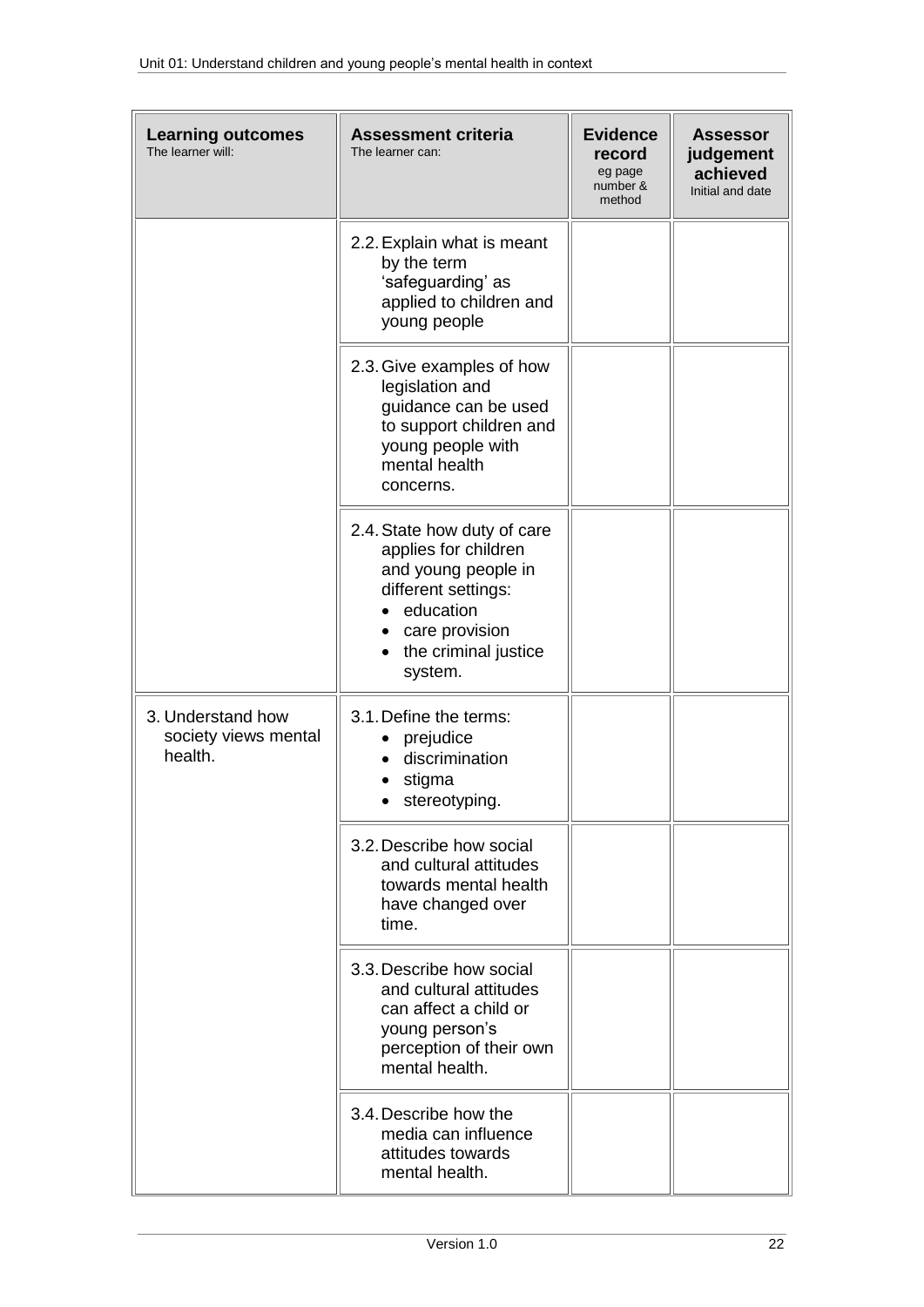| <b>Learning outcomes</b><br>The learner will:        | <b>Assessment criteria</b><br>The learner can:                                                                                                                      | <b>Evidence</b><br>record<br>eg page<br>number &<br>method | <b>Assessor</b><br>judgement<br>achieved<br>Initial and date |
|------------------------------------------------------|---------------------------------------------------------------------------------------------------------------------------------------------------------------------|------------------------------------------------------------|--------------------------------------------------------------|
|                                                      | 2.2. Explain what is meant<br>by the term<br>'safeguarding' as<br>applied to children and<br>young people                                                           |                                                            |                                                              |
|                                                      | 2.3. Give examples of how<br>legislation and<br>guidance can be used<br>to support children and<br>young people with<br>mental health<br>concerns.                  |                                                            |                                                              |
|                                                      | 2.4. State how duty of care<br>applies for children<br>and young people in<br>different settings:<br>education<br>care provision<br>the criminal justice<br>system. |                                                            |                                                              |
| 3. Understand how<br>society views mental<br>health. | 3.1. Define the terms:<br>prejudice<br>discrimination<br>stigma<br>stereotyping.                                                                                    |                                                            |                                                              |
|                                                      | 3.2. Describe how social<br>and cultural attitudes<br>towards mental health<br>have changed over<br>time.                                                           |                                                            |                                                              |
|                                                      | 3.3. Describe how social<br>and cultural attitudes<br>can affect a child or<br>young person's<br>perception of their own<br>mental health.                          |                                                            |                                                              |
|                                                      | 3.4. Describe how the<br>media can influence<br>attitudes towards<br>mental health.                                                                                 |                                                            |                                                              |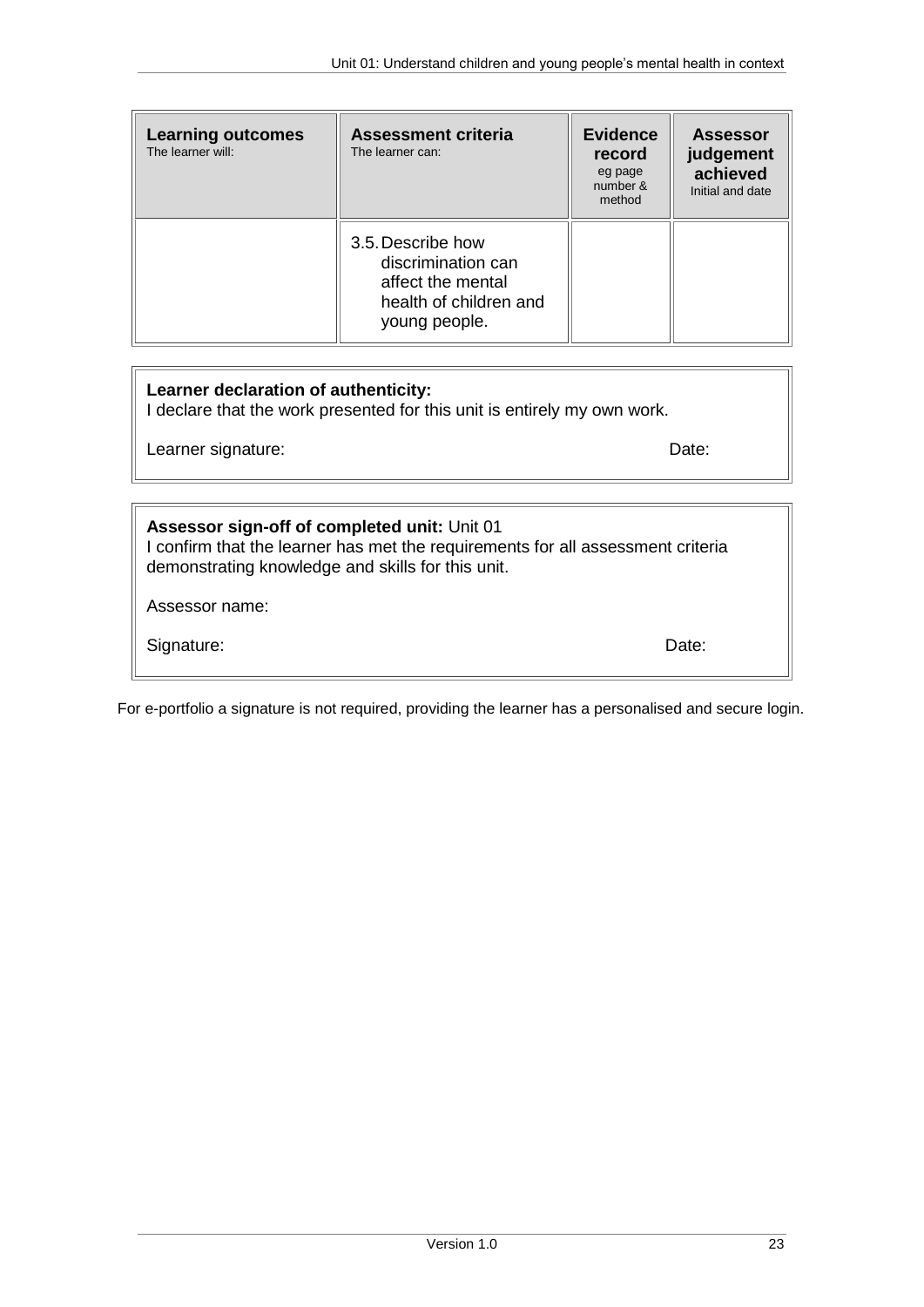| <b>Learning outcomes</b><br>The learner will: | <b>Assessment criteria</b><br>The learner can:                                                          | <b>Evidence</b><br>record<br>eg page<br>number &<br>method | <b>Assessor</b><br>judgement<br>achieved<br>Initial and date |
|-----------------------------------------------|---------------------------------------------------------------------------------------------------------|------------------------------------------------------------|--------------------------------------------------------------|
|                                               | 3.5. Describe how<br>discrimination can<br>affect the mental<br>health of children and<br>young people. |                                                            |                                                              |

### **Learner declaration of authenticity:**

I declare that the work presented for this unit is entirely my own work.

Learner signature: Date: Date: Date: Date: Date: Date: Date: Date: Date: Date: Date: Date: Date: Date: Date: Date: Date: Date: Date: Date: Date: Date: Date: Date: Date: Date: Date: Date: Date: Date: Date: Date: Date: Date:

## **Assessor sign-off of completed unit:** Unit 01 I confirm that the learner has met the requirements for all assessment criteria demonstrating knowledge and skills for this unit. Assessor name:

Signature: Date: Date: Date: Date: Date: Date: Date: Date: Date: Date: Date: Date: Date: Date: Date: Date: Date: Date: Date: Date: Date: Date: Date: Date: Date: Date: Date: Date: Date: Date: Date: Date: Date: Date: Date: D

For e-portfolio a signature is not required, providing the learner has a personalised and secure login.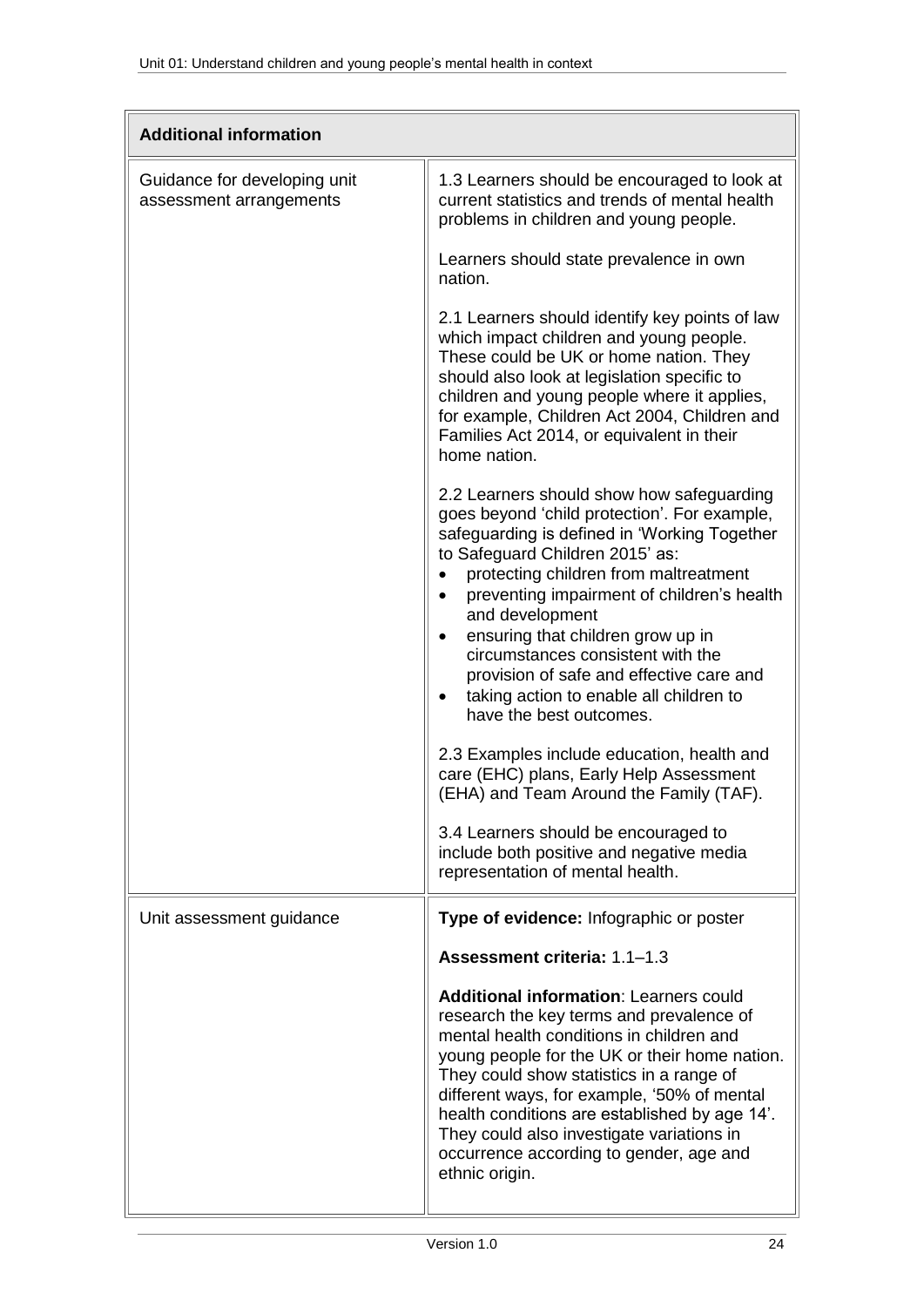| <b>Additional information</b>                           |                                                                                                                                                                                                                                                                                                                                                                                                                                                                                                                                                                                                                                                                                                                                                                                       |
|---------------------------------------------------------|---------------------------------------------------------------------------------------------------------------------------------------------------------------------------------------------------------------------------------------------------------------------------------------------------------------------------------------------------------------------------------------------------------------------------------------------------------------------------------------------------------------------------------------------------------------------------------------------------------------------------------------------------------------------------------------------------------------------------------------------------------------------------------------|
| Guidance for developing unit<br>assessment arrangements | 1.3 Learners should be encouraged to look at<br>current statistics and trends of mental health<br>problems in children and young people.                                                                                                                                                                                                                                                                                                                                                                                                                                                                                                                                                                                                                                              |
|                                                         | Learners should state prevalence in own<br>nation.                                                                                                                                                                                                                                                                                                                                                                                                                                                                                                                                                                                                                                                                                                                                    |
|                                                         | 2.1 Learners should identify key points of law<br>which impact children and young people.<br>These could be UK or home nation. They<br>should also look at legislation specific to<br>children and young people where it applies,<br>for example, Children Act 2004, Children and<br>Families Act 2014, or equivalent in their<br>home nation.                                                                                                                                                                                                                                                                                                                                                                                                                                        |
|                                                         | 2.2 Learners should show how safeguarding<br>goes beyond 'child protection'. For example,<br>safeguarding is defined in 'Working Together<br>to Safeguard Children 2015' as:<br>protecting children from maltreatment<br>$\bullet$<br>preventing impairment of children's health<br>$\bullet$<br>and development<br>ensuring that children grow up in<br>circumstances consistent with the<br>provision of safe and effective care and<br>taking action to enable all children to<br>$\bullet$<br>have the best outcomes.<br>2.3 Examples include education, health and<br>care (EHC) plans, Early Help Assessment<br>(EHA) and Team Around the Family (TAF).<br>3.4 Learners should be encouraged to<br>include both positive and negative media<br>representation of mental health. |
| Unit assessment guidance                                | Type of evidence: Infographic or poster                                                                                                                                                                                                                                                                                                                                                                                                                                                                                                                                                                                                                                                                                                                                               |
|                                                         | Assessment criteria: 1.1-1.3                                                                                                                                                                                                                                                                                                                                                                                                                                                                                                                                                                                                                                                                                                                                                          |
|                                                         | <b>Additional information: Learners could</b><br>research the key terms and prevalence of<br>mental health conditions in children and<br>young people for the UK or their home nation.<br>They could show statistics in a range of<br>different ways, for example, '50% of mental<br>health conditions are established by age 14'.<br>They could also investigate variations in<br>occurrence according to gender, age and<br>ethnic origin.                                                                                                                                                                                                                                                                                                                                          |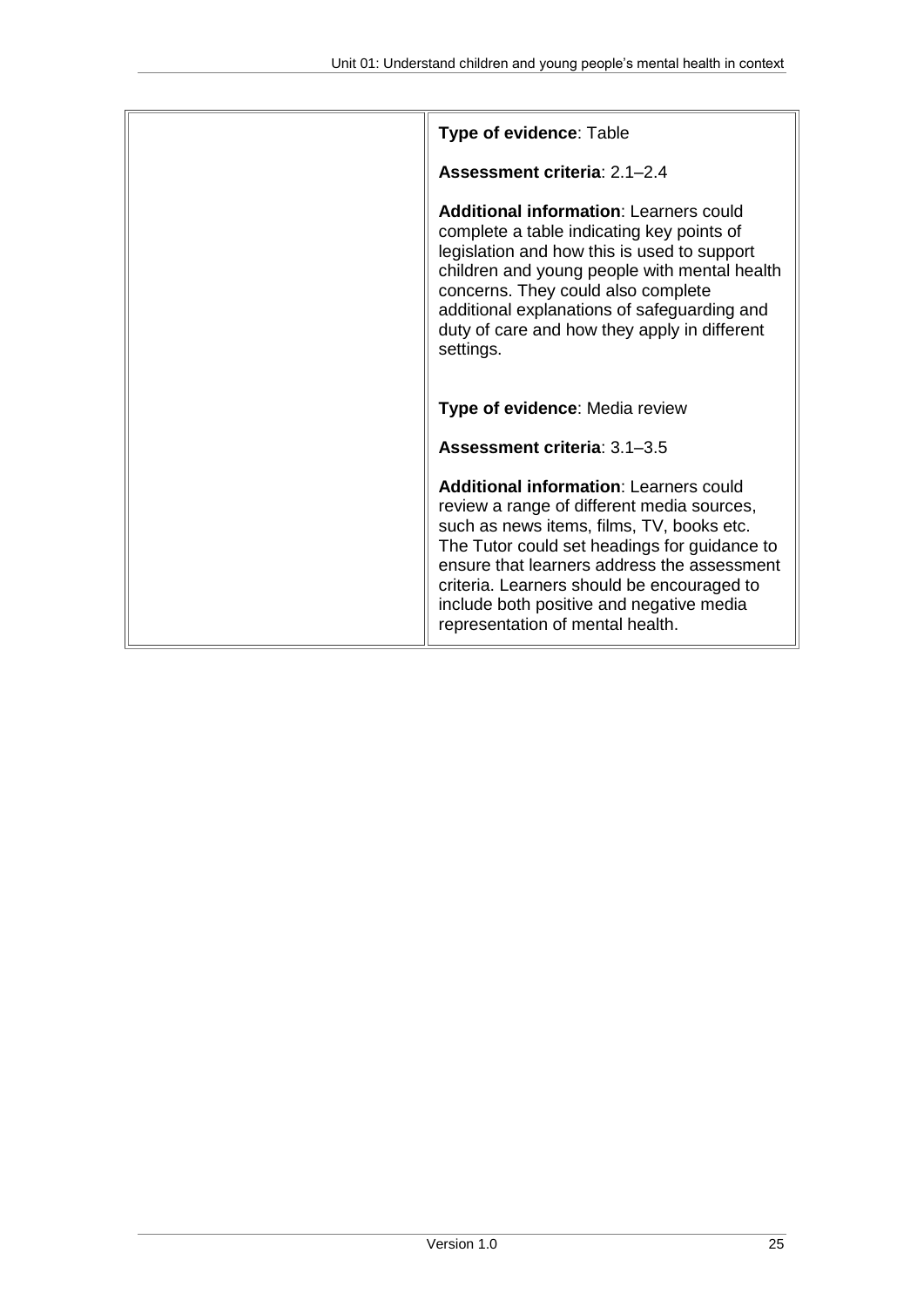| Type of evidence: Table                                                                                                                                                                                                                                                                                                                                               |
|-----------------------------------------------------------------------------------------------------------------------------------------------------------------------------------------------------------------------------------------------------------------------------------------------------------------------------------------------------------------------|
| Assessment criteria: 2.1-2.4                                                                                                                                                                                                                                                                                                                                          |
| <b>Additional information: Learners could</b><br>complete a table indicating key points of<br>legislation and how this is used to support<br>children and young people with mental health<br>concerns. They could also complete<br>additional explanations of safeguarding and<br>duty of care and how they apply in different<br>settings.                           |
| Type of evidence: Media review                                                                                                                                                                                                                                                                                                                                        |
| Assessment criteria: 3.1-3.5                                                                                                                                                                                                                                                                                                                                          |
| <b>Additional information: Learners could</b><br>review a range of different media sources,<br>such as news items, films, TV, books etc.<br>The Tutor could set headings for guidance to<br>ensure that learners address the assessment<br>criteria. Learners should be encouraged to<br>include both positive and negative media<br>representation of mental health. |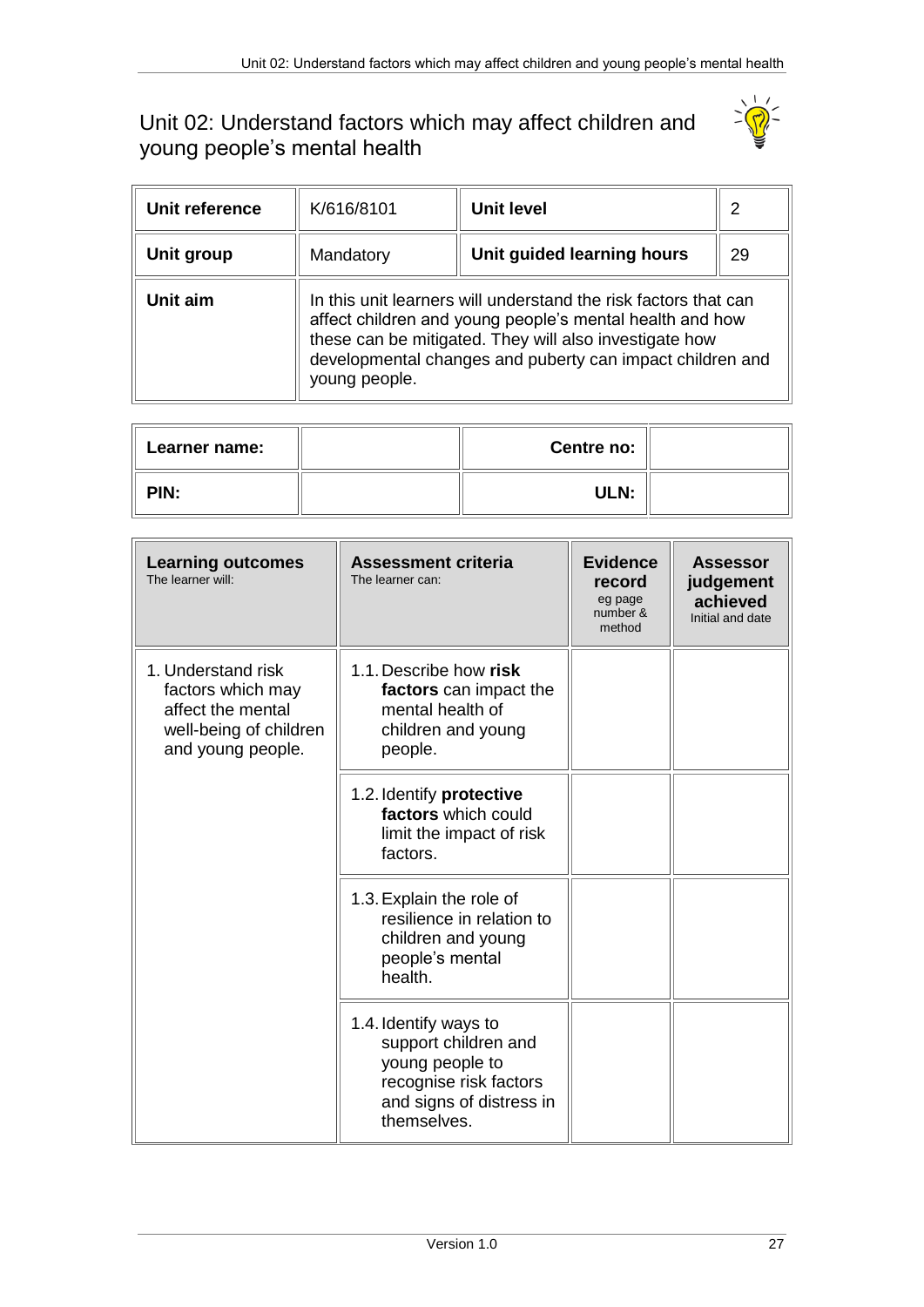## <span id="page-26-0"></span>Unit 02: Understand factors which may affect children and young people's mental health



| Unit reference | K/616/8101    | Unit level                                                                                                                                                                                                                                         | 2  |
|----------------|---------------|----------------------------------------------------------------------------------------------------------------------------------------------------------------------------------------------------------------------------------------------------|----|
| Unit group     | Mandatory     | Unit guided learning hours                                                                                                                                                                                                                         | 29 |
| Unit aim       | young people. | In this unit learners will understand the risk factors that can<br>affect children and young people's mental health and how<br>these can be mitigated. They will also investigate how<br>developmental changes and puberty can impact children and |    |

| <b>Learner name:</b> | Centre no: |  |
|----------------------|------------|--|
| PIN:                 | ULN:       |  |

| <b>Learning outcomes</b><br>The learner will:                                                               | <b>Assessment criteria</b><br>The learner can:                                                                                        | <b>Evidence</b><br>record<br>eg page<br>number &<br>method | <b>Assessor</b><br>judgement<br>achieved<br>Initial and date |
|-------------------------------------------------------------------------------------------------------------|---------------------------------------------------------------------------------------------------------------------------------------|------------------------------------------------------------|--------------------------------------------------------------|
| 1. Understand risk<br>factors which may<br>affect the mental<br>well-being of children<br>and young people. | 1.1. Describe how risk<br>factors can impact the<br>mental health of<br>children and young<br>people.                                 |                                                            |                                                              |
|                                                                                                             | 1.2. Identify protective<br>factors which could<br>limit the impact of risk<br>factors.                                               |                                                            |                                                              |
|                                                                                                             | 1.3. Explain the role of<br>resilience in relation to<br>children and young<br>people's mental<br>health.                             |                                                            |                                                              |
|                                                                                                             | 1.4. Identify ways to<br>support children and<br>young people to<br>recognise risk factors<br>and signs of distress in<br>themselves. |                                                            |                                                              |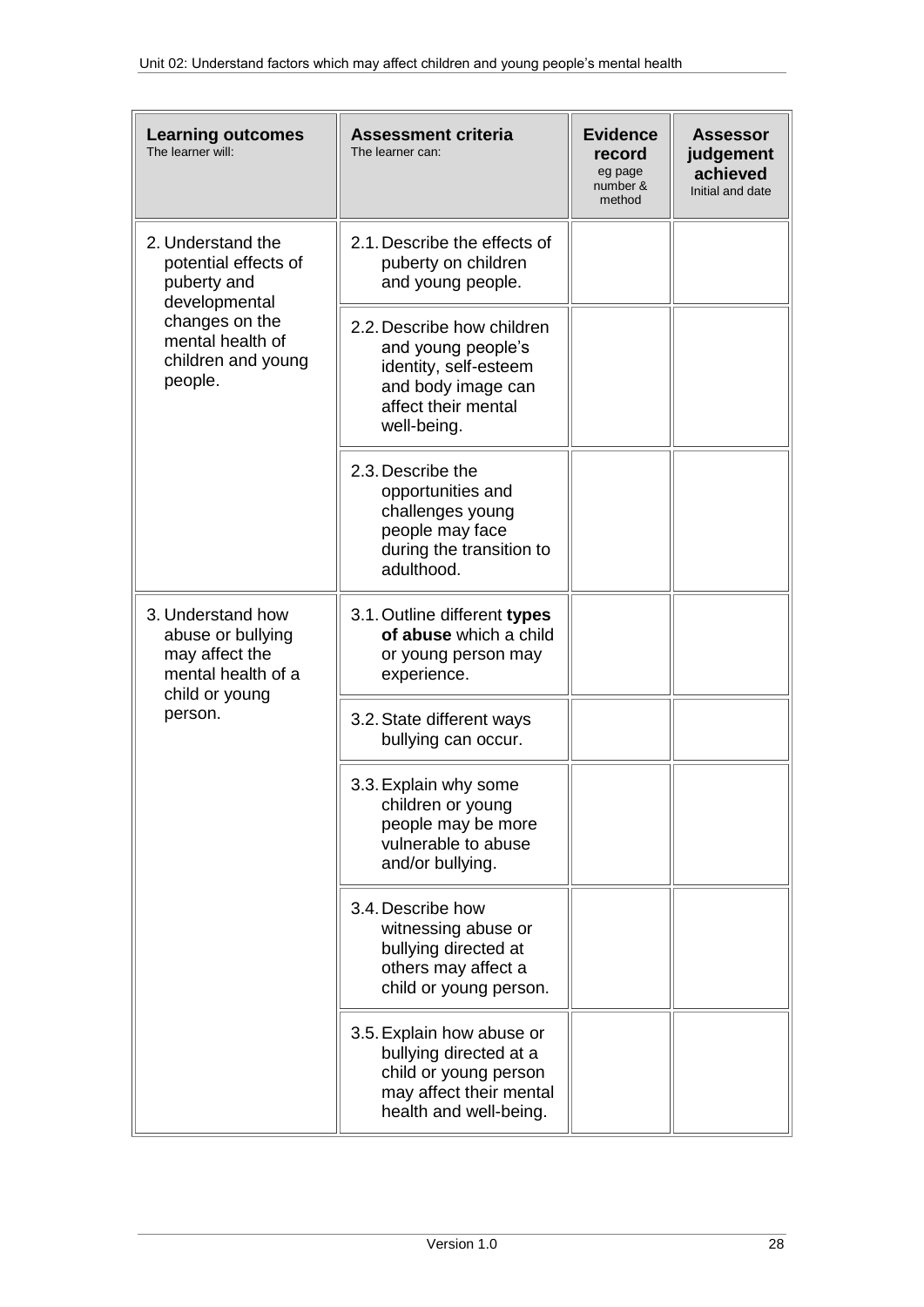| <b>Learning outcomes</b><br>The learner will:                                  | <b>Assessment criteria</b><br>The learner can:                                                                                        | <b>Evidence</b><br>record<br>eg page<br>number &<br>method | <b>Assessor</b><br>judgement<br>achieved<br>Initial and date |
|--------------------------------------------------------------------------------|---------------------------------------------------------------------------------------------------------------------------------------|------------------------------------------------------------|--------------------------------------------------------------|
| 2. Understand the<br>potential effects of<br>puberty and<br>developmental      | 2.1. Describe the effects of<br>puberty on children<br>and young people.                                                              |                                                            |                                                              |
| changes on the<br>mental health of<br>children and young<br>people.            | 2.2. Describe how children<br>and young people's<br>identity, self-esteem<br>and body image can<br>affect their mental<br>well-being. |                                                            |                                                              |
|                                                                                | 2.3. Describe the<br>opportunities and<br>challenges young<br>people may face<br>during the transition to<br>adulthood.               |                                                            |                                                              |
| 3. Understand how<br>abuse or bullying<br>may affect the<br>mental health of a | 3.1. Outline different types<br>of abuse which a child<br>or young person may<br>experience.                                          |                                                            |                                                              |
| child or young<br>person.                                                      | 3.2. State different ways<br>bullying can occur.                                                                                      |                                                            |                                                              |
|                                                                                | 3.3. Explain why some<br>children or young<br>people may be more<br>vulnerable to abuse<br>and/or bullying.                           |                                                            |                                                              |
|                                                                                | 3.4. Describe how<br>witnessing abuse or<br>bullying directed at<br>others may affect a<br>child or young person.                     |                                                            |                                                              |
|                                                                                | 3.5. Explain how abuse or<br>bullying directed at a<br>child or young person<br>may affect their mental<br>health and well-being.     |                                                            |                                                              |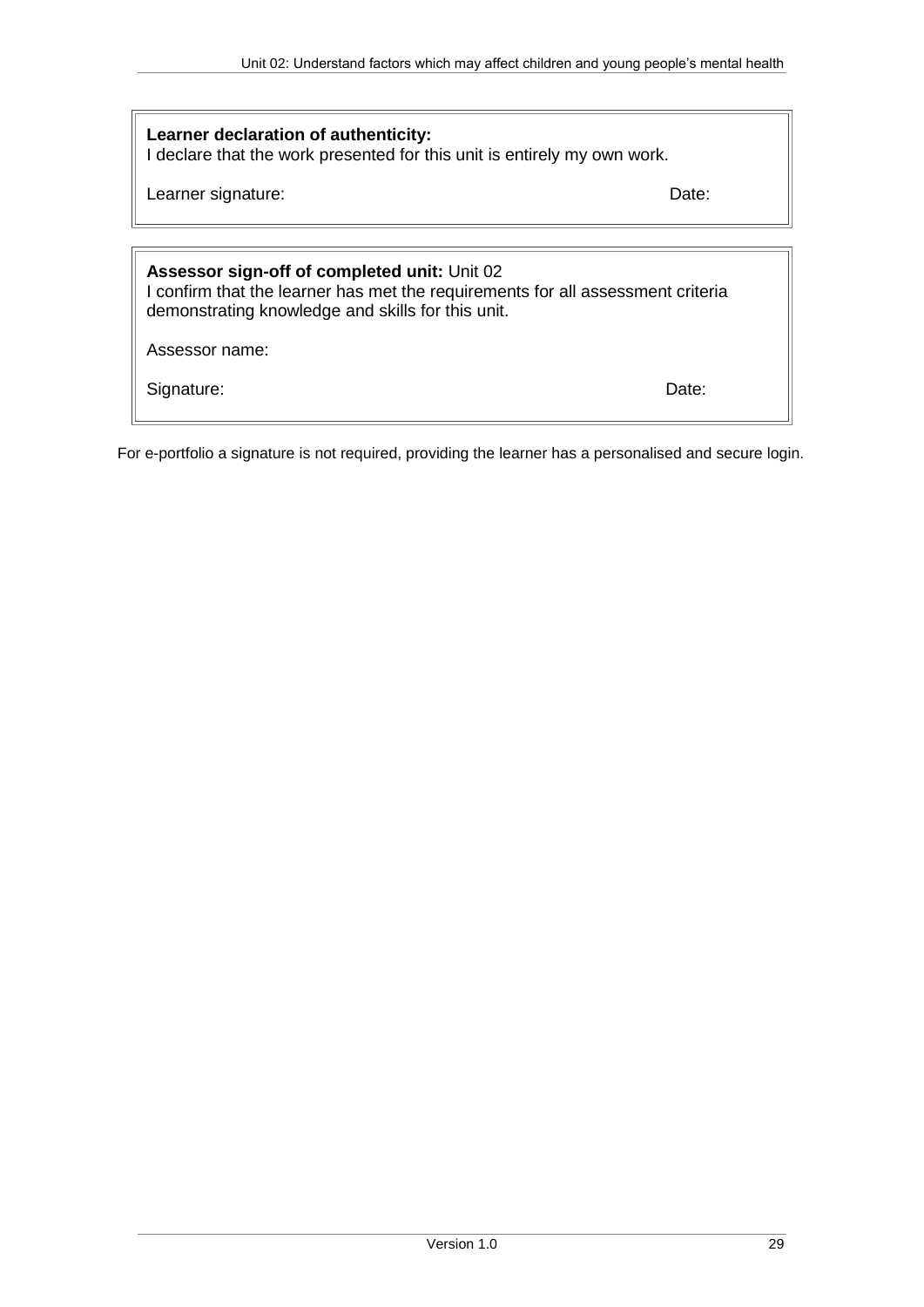### **Learner declaration of authenticity:**

I declare that the work presented for this unit is entirely my own work.

Learner signature: Date: Date: Date: Date: Date: Date: Date: Date: Date: Date: Date: Date: Date: Date: Date: Date: Date: Date: Date: Date: Date: Date: Date: Date: Date: Date: Date: Date: Date: Date: Date: Date: Date: Date:

## **Assessor sign-off of completed unit:** Unit 02

I confirm that the learner has met the requirements for all assessment criteria demonstrating knowledge and skills for this unit.

Assessor name:

Signature: Date: Date: Date: Date: Date: Date: Date: Date: Date: Date: Date: Date: Date: Date: Date: Date: Date: Date: Date: Date: Date: Date: Date: Date: Date: Date: Date: Date: Date: Date: Date: Date: Date: Date: Date: D

For e-portfolio a signature is not required, providing the learner has a personalised and secure login.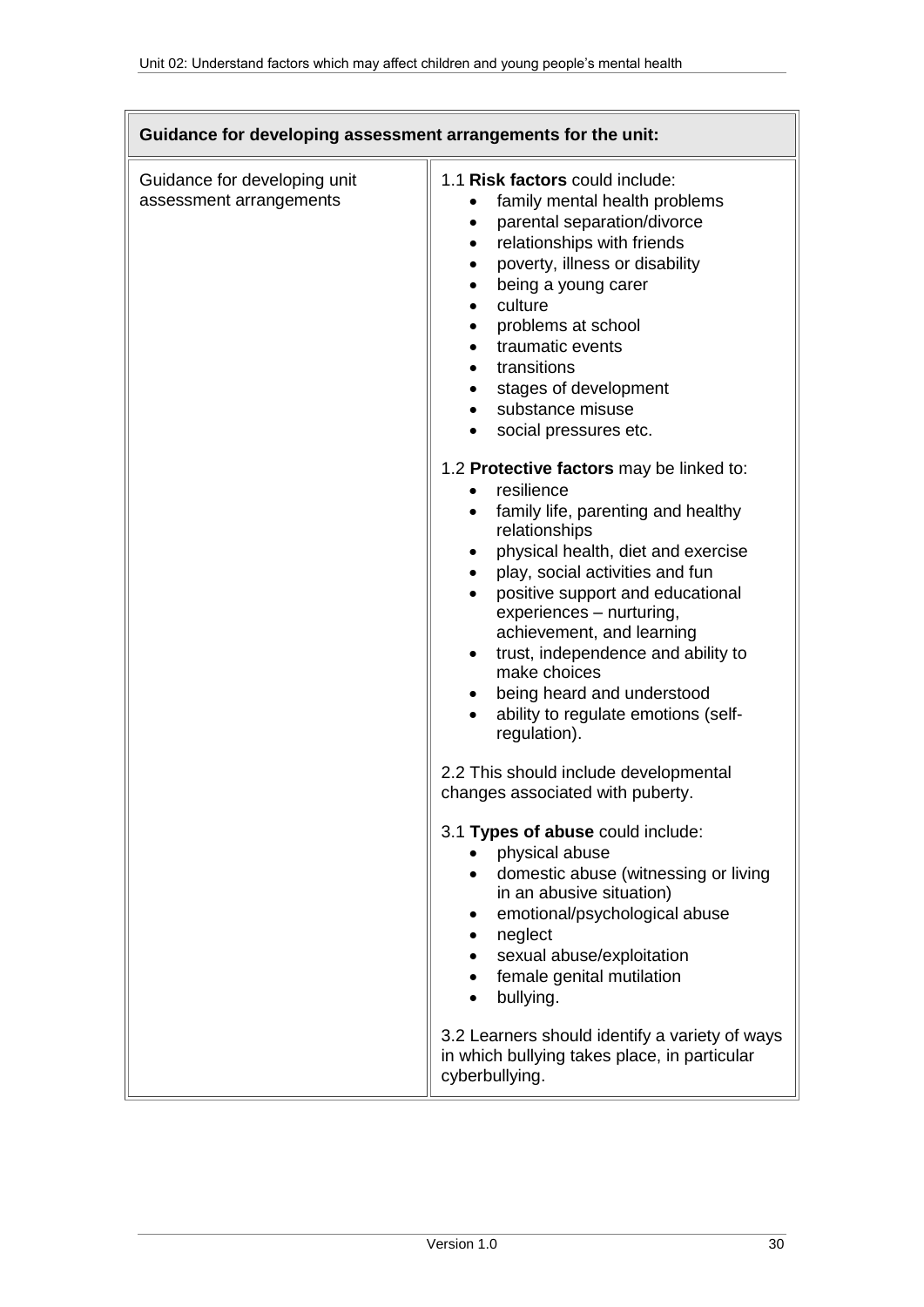| Guidance for developing assessment arrangements for the unit: |                                                                                                                                                                                                                                                                                                                                                                                                                                                                                                                                                                                                                                                                                                                                                                                                                                                                                                                                                                                                                                                                                                                                                                                                                                                                                          |  |
|---------------------------------------------------------------|------------------------------------------------------------------------------------------------------------------------------------------------------------------------------------------------------------------------------------------------------------------------------------------------------------------------------------------------------------------------------------------------------------------------------------------------------------------------------------------------------------------------------------------------------------------------------------------------------------------------------------------------------------------------------------------------------------------------------------------------------------------------------------------------------------------------------------------------------------------------------------------------------------------------------------------------------------------------------------------------------------------------------------------------------------------------------------------------------------------------------------------------------------------------------------------------------------------------------------------------------------------------------------------|--|
| Guidance for developing unit<br>assessment arrangements       | 1.1 Risk factors could include:<br>family mental health problems<br>parental separation/divorce<br>$\bullet$<br>relationships with friends<br>$\bullet$<br>poverty, illness or disability<br>$\bullet$<br>being a young carer<br>٠<br>culture<br>$\bullet$<br>problems at school<br>$\bullet$<br>traumatic events<br>$\bullet$<br>transitions<br>$\bullet$<br>stages of development<br>$\bullet$<br>substance misuse<br>social pressures etc.<br>$\bullet$<br>1.2 Protective factors may be linked to:<br>resilience<br>family life, parenting and healthy<br>relationships<br>physical health, diet and exercise<br>$\bullet$<br>play, social activities and fun<br>$\bullet$<br>positive support and educational<br>experiences - nurturing,<br>achievement, and learning<br>trust, independence and ability to<br>$\bullet$<br>make choices<br>being heard and understood<br>ability to regulate emotions (self-<br>regulation).<br>2.2 This should include developmental<br>changes associated with puberty.<br>3.1 Types of abuse could include:<br>physical abuse<br>domestic abuse (witnessing or living<br>in an abusive situation)<br>emotional/psychological abuse<br>neglect<br>$\bullet$<br>sexual abuse/exploitation<br>$\bullet$<br>female genital mutilation<br>bullying. |  |
|                                                               | 3.2 Learners should identify a variety of ways<br>in which bullying takes place, in particular<br>cyberbullying.                                                                                                                                                                                                                                                                                                                                                                                                                                                                                                                                                                                                                                                                                                                                                                                                                                                                                                                                                                                                                                                                                                                                                                         |  |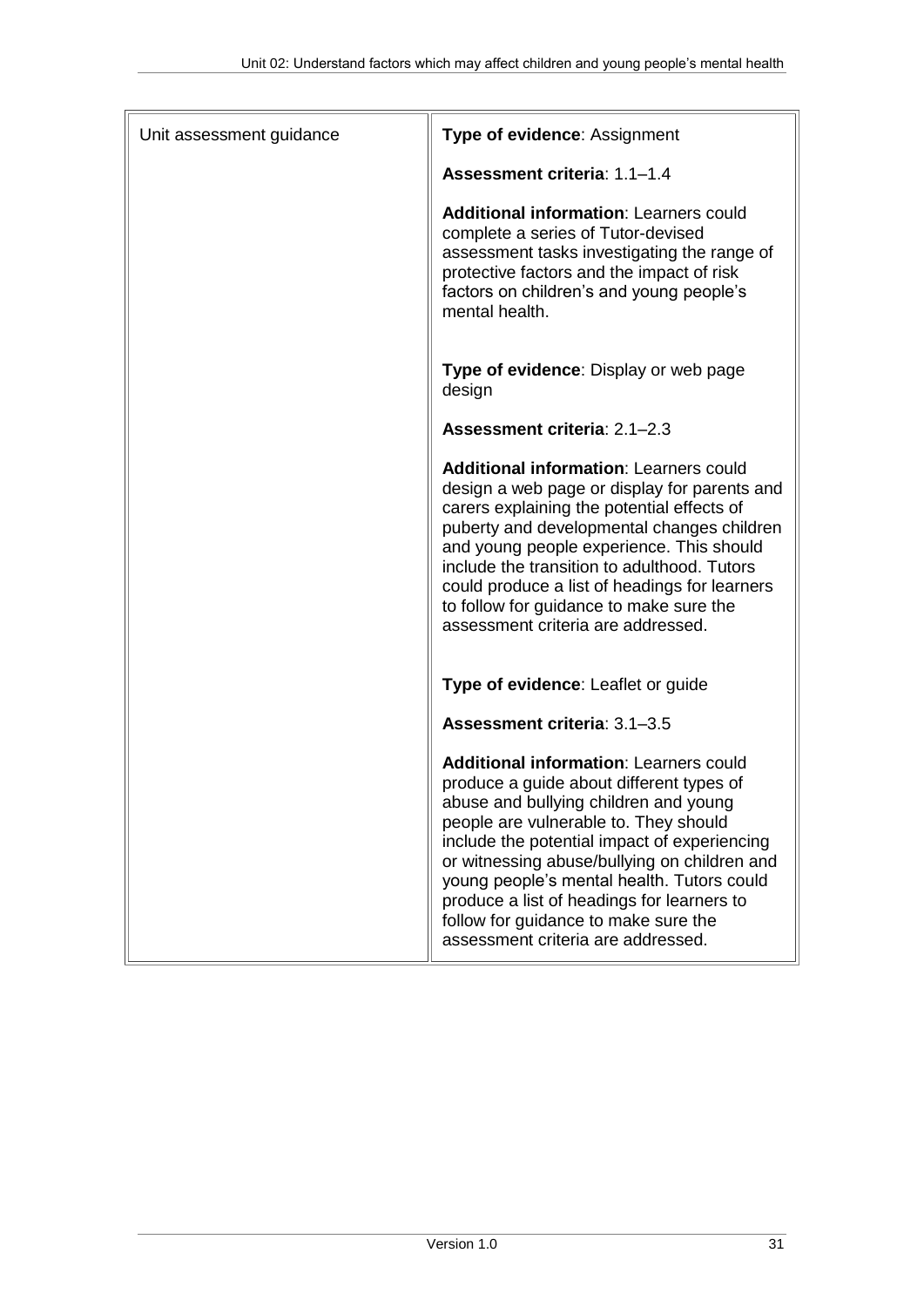| Unit assessment guidance | Type of evidence: Assignment                                                                                                                                                                                                                                                                                                                                                                                                                          |
|--------------------------|-------------------------------------------------------------------------------------------------------------------------------------------------------------------------------------------------------------------------------------------------------------------------------------------------------------------------------------------------------------------------------------------------------------------------------------------------------|
|                          | Assessment criteria: 1.1-1.4                                                                                                                                                                                                                                                                                                                                                                                                                          |
|                          | <b>Additional information: Learners could</b><br>complete a series of Tutor-devised<br>assessment tasks investigating the range of<br>protective factors and the impact of risk<br>factors on children's and young people's<br>mental health.                                                                                                                                                                                                         |
|                          | Type of evidence: Display or web page<br>design                                                                                                                                                                                                                                                                                                                                                                                                       |
|                          | Assessment criteria: 2.1-2.3                                                                                                                                                                                                                                                                                                                                                                                                                          |
|                          | <b>Additional information: Learners could</b><br>design a web page or display for parents and<br>carers explaining the potential effects of<br>puberty and developmental changes children<br>and young people experience. This should<br>include the transition to adulthood. Tutors<br>could produce a list of headings for learners<br>to follow for guidance to make sure the<br>assessment criteria are addressed.                                |
|                          | Type of evidence: Leaflet or guide                                                                                                                                                                                                                                                                                                                                                                                                                    |
|                          | Assessment criteria: 3.1-3.5                                                                                                                                                                                                                                                                                                                                                                                                                          |
|                          | <b>Additional information: Learners could</b><br>produce a guide about different types of<br>abuse and bullying children and young<br>people are vulnerable to. They should<br>include the potential impact of experiencing<br>or witnessing abuse/bullying on children and<br>young people's mental health. Tutors could<br>produce a list of headings for learners to<br>follow for guidance to make sure the<br>assessment criteria are addressed. |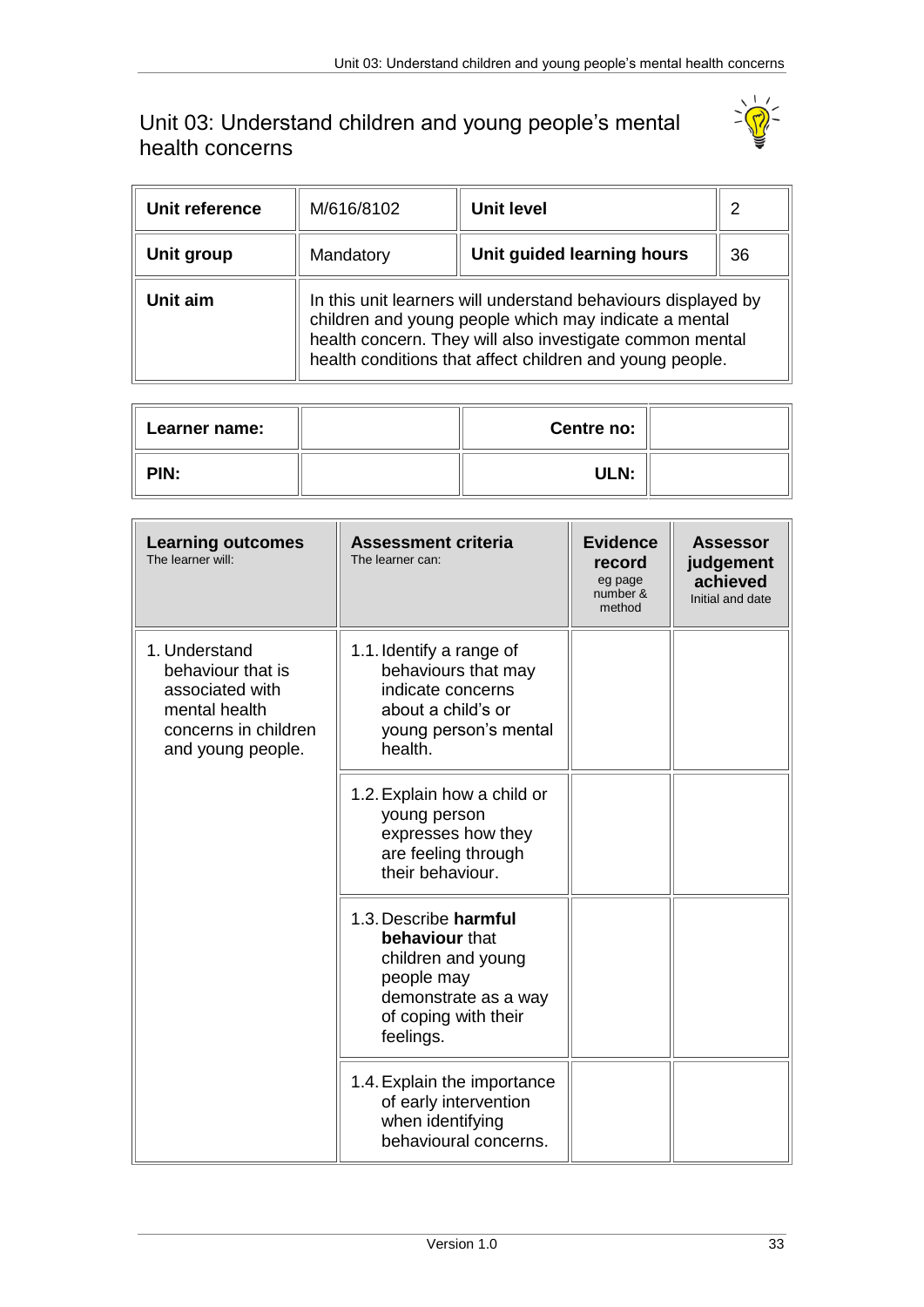## <span id="page-32-0"></span>Unit 03: Understand children and young people's mental health concerns



| Unit reference | M/616/8102 | Unit level                                                                                                                                                                                                                                     | 2  |  |
|----------------|------------|------------------------------------------------------------------------------------------------------------------------------------------------------------------------------------------------------------------------------------------------|----|--|
| Unit group     | Mandatory  | Unit guided learning hours                                                                                                                                                                                                                     | 36 |  |
| Unit aim       |            | In this unit learners will understand behaviours displayed by<br>children and young people which may indicate a mental<br>health concern. They will also investigate common mental<br>health conditions that affect children and young people. |    |  |

| Learner name: | <b>Centre no:</b> |  |
|---------------|-------------------|--|
| PIN:          | ULN:              |  |

| <b>Learning outcomes</b><br>The learner will:                                                                       | <b>Assessment criteria</b><br>The learner can:                                                                                           | <b>Evidence</b><br>record<br>eg page<br>number &<br>method | <b>Assessor</b><br>judgement<br>achieved<br>Initial and date |
|---------------------------------------------------------------------------------------------------------------------|------------------------------------------------------------------------------------------------------------------------------------------|------------------------------------------------------------|--------------------------------------------------------------|
| 1. Understand<br>behaviour that is<br>associated with<br>mental health<br>concerns in children<br>and young people. | 1.1. Identify a range of<br>behaviours that may<br>indicate concerns<br>about a child's or<br>young person's mental<br>health.           |                                                            |                                                              |
|                                                                                                                     | 1.2. Explain how a child or<br>young person<br>expresses how they<br>are feeling through<br>their behaviour.                             |                                                            |                                                              |
|                                                                                                                     | 1.3. Describe harmful<br>behaviour that<br>children and young<br>people may<br>demonstrate as a way<br>of coping with their<br>feelings. |                                                            |                                                              |
|                                                                                                                     | 1.4. Explain the importance<br>of early intervention<br>when identifying<br>behavioural concerns.                                        |                                                            |                                                              |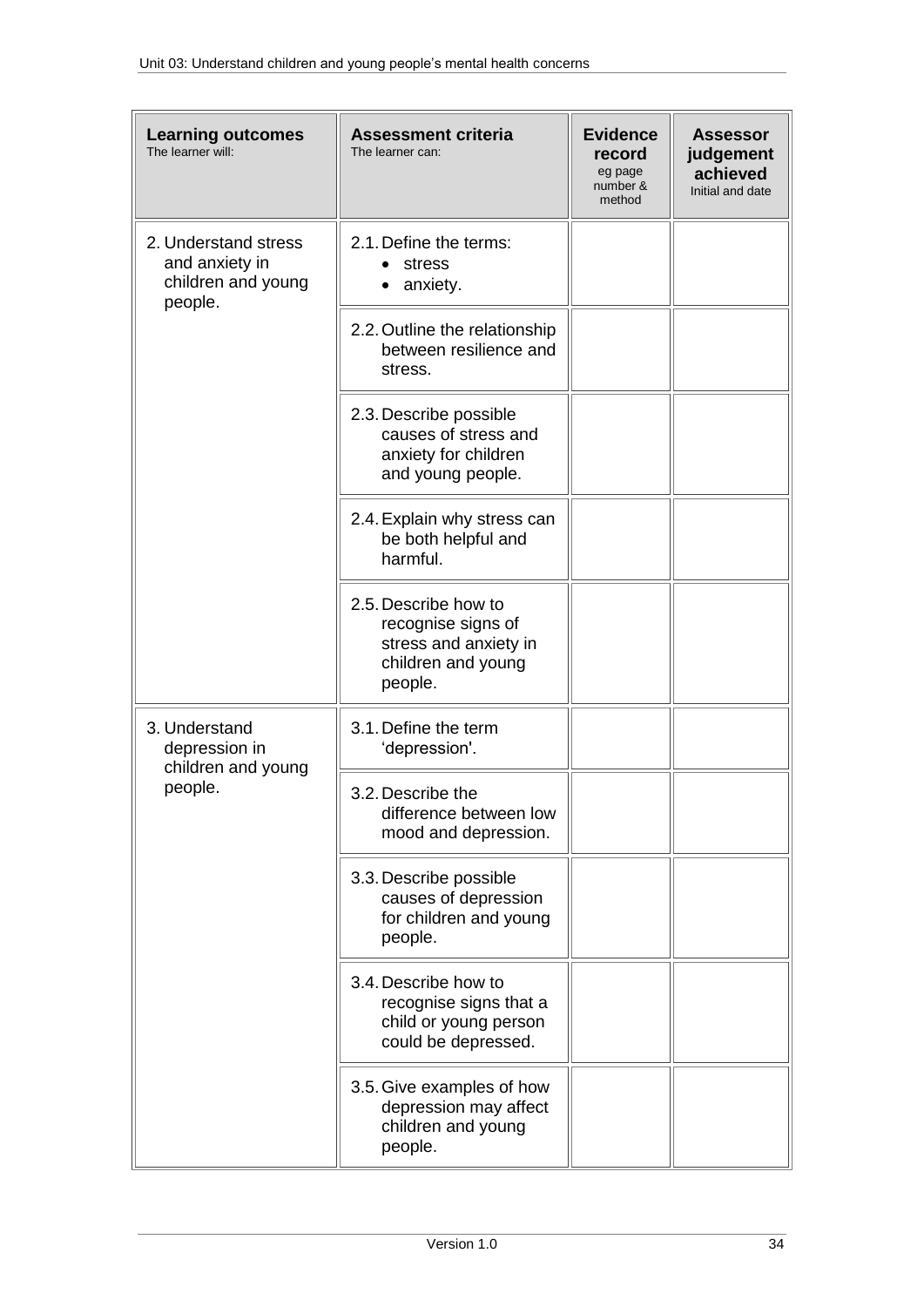| <b>Learning outcomes</b><br>The learner will:                           | <b>Assessment criteria</b><br>The learner can:                                                       | <b>Evidence</b><br>record<br>eg page<br>number &<br>method | <b>Assessor</b><br>judgement<br>achieved<br>Initial and date |
|-------------------------------------------------------------------------|------------------------------------------------------------------------------------------------------|------------------------------------------------------------|--------------------------------------------------------------|
| 2. Understand stress<br>and anxiety in<br>children and young<br>people. | 2.1. Define the terms:<br>stress<br>anxiety.                                                         |                                                            |                                                              |
|                                                                         | 2.2. Outline the relationship<br>between resilience and<br>stress.                                   |                                                            |                                                              |
|                                                                         | 2.3. Describe possible<br>causes of stress and<br>anxiety for children<br>and young people.          |                                                            |                                                              |
|                                                                         | 2.4. Explain why stress can<br>be both helpful and<br>harmful.                                       |                                                            |                                                              |
|                                                                         | 2.5. Describe how to<br>recognise signs of<br>stress and anxiety in<br>children and young<br>people. |                                                            |                                                              |
| 3. Understand<br>depression in<br>children and young                    | 3.1. Define the term<br>'depression'.                                                                |                                                            |                                                              |
| people.                                                                 | 3.2. Describe the<br>difference between low<br>mood and depression.                                  |                                                            |                                                              |
|                                                                         | 3.3. Describe possible<br>causes of depression<br>for children and young<br>people.                  |                                                            |                                                              |
|                                                                         | 3.4. Describe how to<br>recognise signs that a<br>child or young person<br>could be depressed.       |                                                            |                                                              |
|                                                                         | 3.5. Give examples of how<br>depression may affect<br>children and young<br>people.                  |                                                            |                                                              |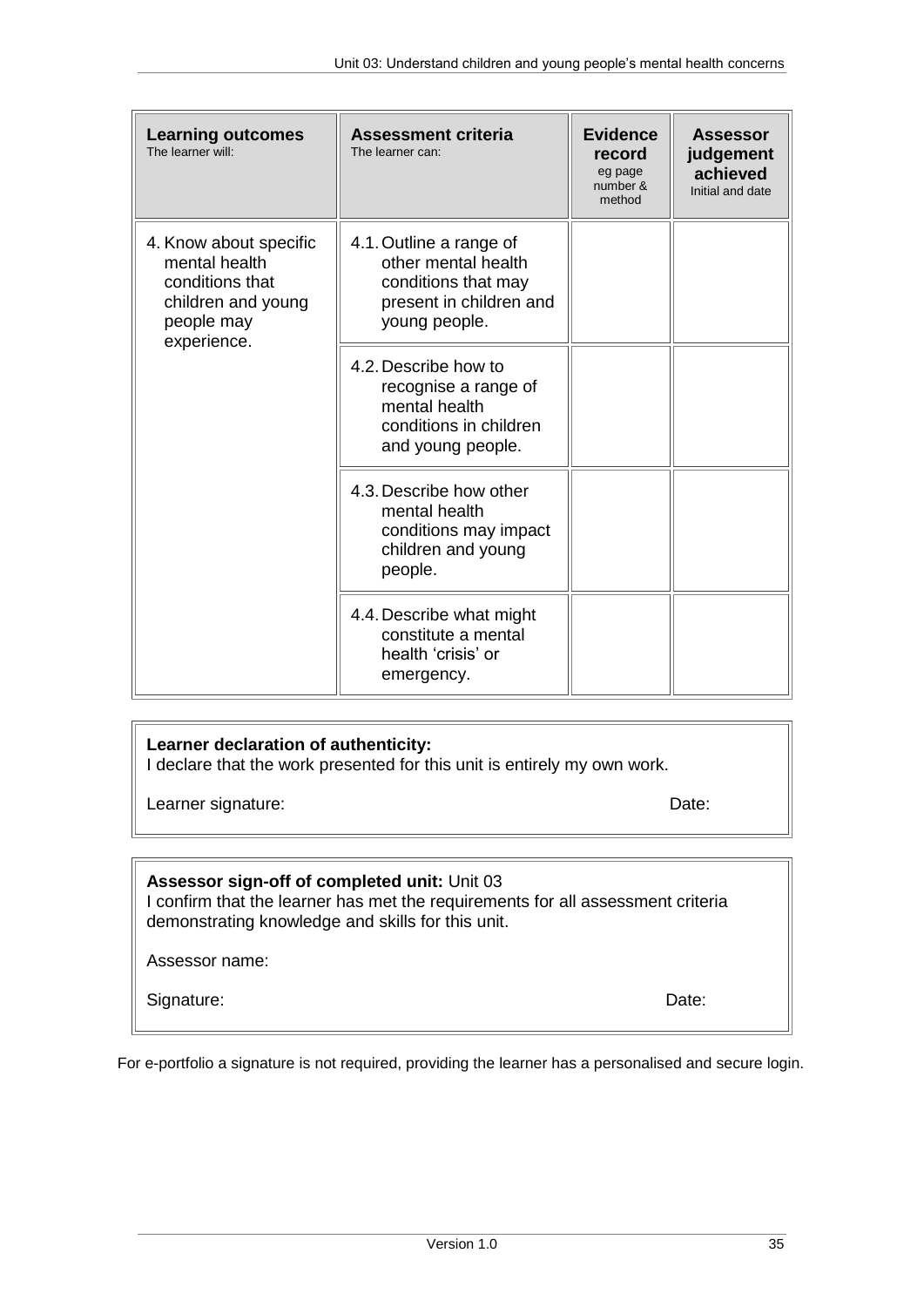| <b>Learning outcomes</b><br>The learner will:                                                                 | <b>Assessment criteria</b><br>The learner can:                                                                    | <b>Evidence</b><br>record<br>eg page<br>number &<br>method | <b>Assessor</b><br>judgement<br>achieved<br>Initial and date |
|---------------------------------------------------------------------------------------------------------------|-------------------------------------------------------------------------------------------------------------------|------------------------------------------------------------|--------------------------------------------------------------|
| 4. Know about specific<br>mental health<br>conditions that<br>children and young<br>people may<br>experience. | 4.1. Outline a range of<br>other mental health<br>conditions that may<br>present in children and<br>young people. |                                                            |                                                              |
|                                                                                                               | 4.2. Describe how to<br>recognise a range of<br>mental health<br>conditions in children<br>and young people.      |                                                            |                                                              |
|                                                                                                               | 4.3. Describe how other<br>mental health<br>conditions may impact<br>children and young<br>people.                |                                                            |                                                              |
|                                                                                                               | 4.4. Describe what might<br>constitute a mental<br>health 'crisis' or<br>emergency.                               |                                                            |                                                              |

### **Learner declaration of authenticity:**

I declare that the work presented for this unit is entirely my own work.

Learner signature: Date: Date: Date: Date: Date: Date: Date: Date: Date: Date: Date: Date: Date: Date: Date: Date: Date: Date: Date: Date: Date: Date: Date: Date: Date: Date: Date: Date: Date: Date: Date: Date: Date: Date:

### **Assessor sign-off of completed unit:** Unit 03

I confirm that the learner has met the requirements for all assessment criteria demonstrating knowledge and skills for this unit.

Assessor name:

Signature: Date: Date: Date: Date: Date: Date: Date: Date: Date: Date: Date: Date: Date: Date: Date: Date: Date: Date: Date: Date: Date: Date: Date: Date: Date: Date: Date: Date: Date: Date: Date: Date: Date: Date: Date: D

For e-portfolio a signature is not required, providing the learner has a personalised and secure login.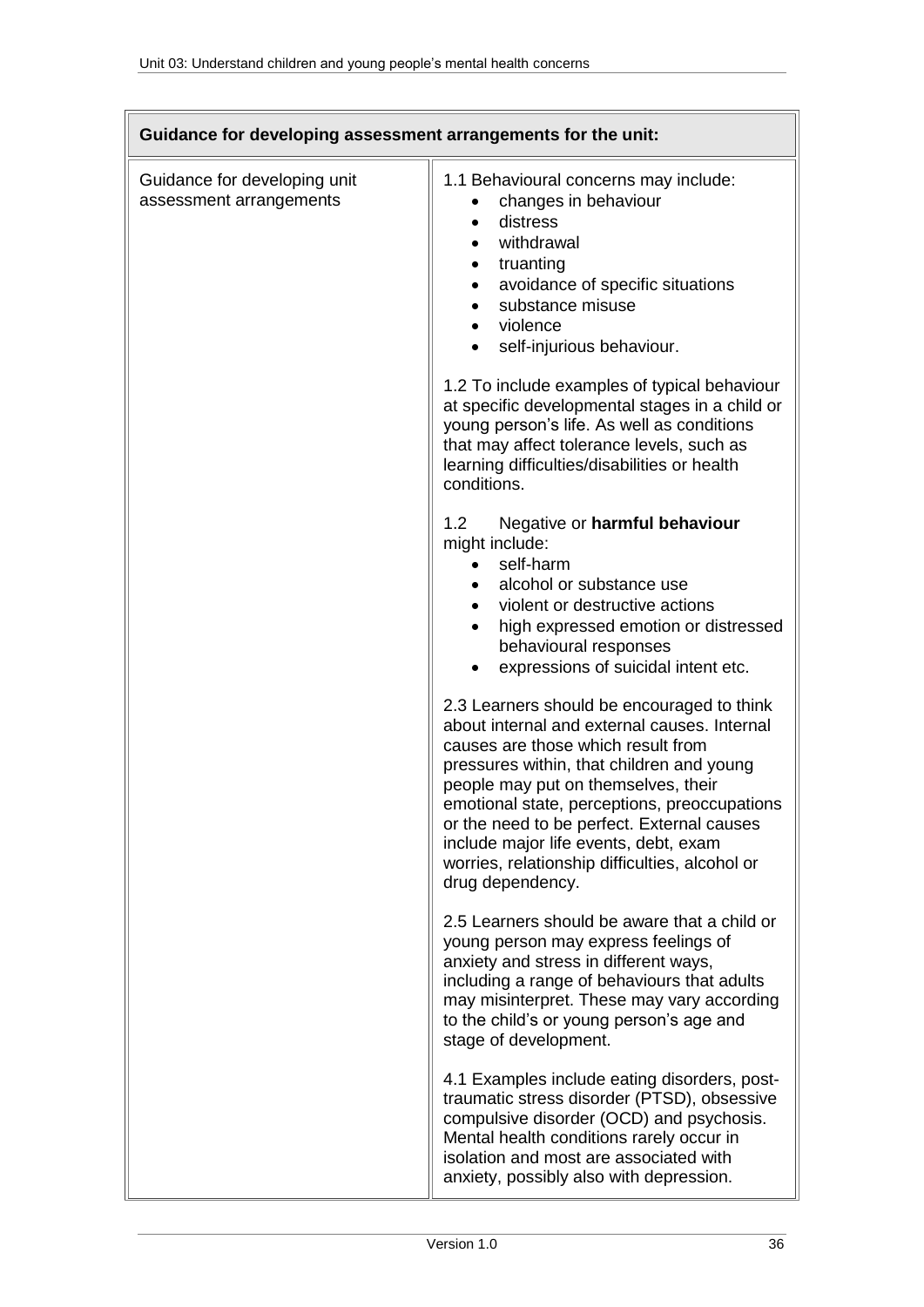|                                                         | Guidance for developing assessment arrangements for the unit:                                                                                                                                                                                                                                                                                                                                                                     |
|---------------------------------------------------------|-----------------------------------------------------------------------------------------------------------------------------------------------------------------------------------------------------------------------------------------------------------------------------------------------------------------------------------------------------------------------------------------------------------------------------------|
| Guidance for developing unit<br>assessment arrangements | 1.1 Behavioural concerns may include:<br>changes in behaviour<br>distress<br>withdrawal<br>truanting<br>avoidance of specific situations<br>substance misuse<br>violence<br>$\bullet$<br>self-injurious behaviour.                                                                                                                                                                                                                |
|                                                         | 1.2 To include examples of typical behaviour<br>at specific developmental stages in a child or<br>young person's life. As well as conditions<br>that may affect tolerance levels, such as<br>learning difficulties/disabilities or health<br>conditions.                                                                                                                                                                          |
|                                                         | Negative or harmful behaviour<br>1.2<br>might include:<br>self-harm<br>alcohol or substance use<br>violent or destructive actions<br>$\bullet$<br>high expressed emotion or distressed<br>behavioural responses<br>expressions of suicidal intent etc.                                                                                                                                                                            |
|                                                         | 2.3 Learners should be encouraged to think<br>about internal and external causes. Internal<br>causes are those which result from<br>pressures within, that children and young<br>people may put on themselves, their<br>emotional state, perceptions, preoccupations<br>or the need to be perfect. External causes<br>include major life events, debt, exam<br>worries, relationship difficulties, alcohol or<br>drug dependency. |
|                                                         | 2.5 Learners should be aware that a child or<br>young person may express feelings of<br>anxiety and stress in different ways,<br>including a range of behaviours that adults<br>may misinterpret. These may vary according<br>to the child's or young person's age and<br>stage of development.                                                                                                                                   |
|                                                         | 4.1 Examples include eating disorders, post-<br>traumatic stress disorder (PTSD), obsessive<br>compulsive disorder (OCD) and psychosis.<br>Mental health conditions rarely occur in<br>isolation and most are associated with<br>anxiety, possibly also with depression.                                                                                                                                                          |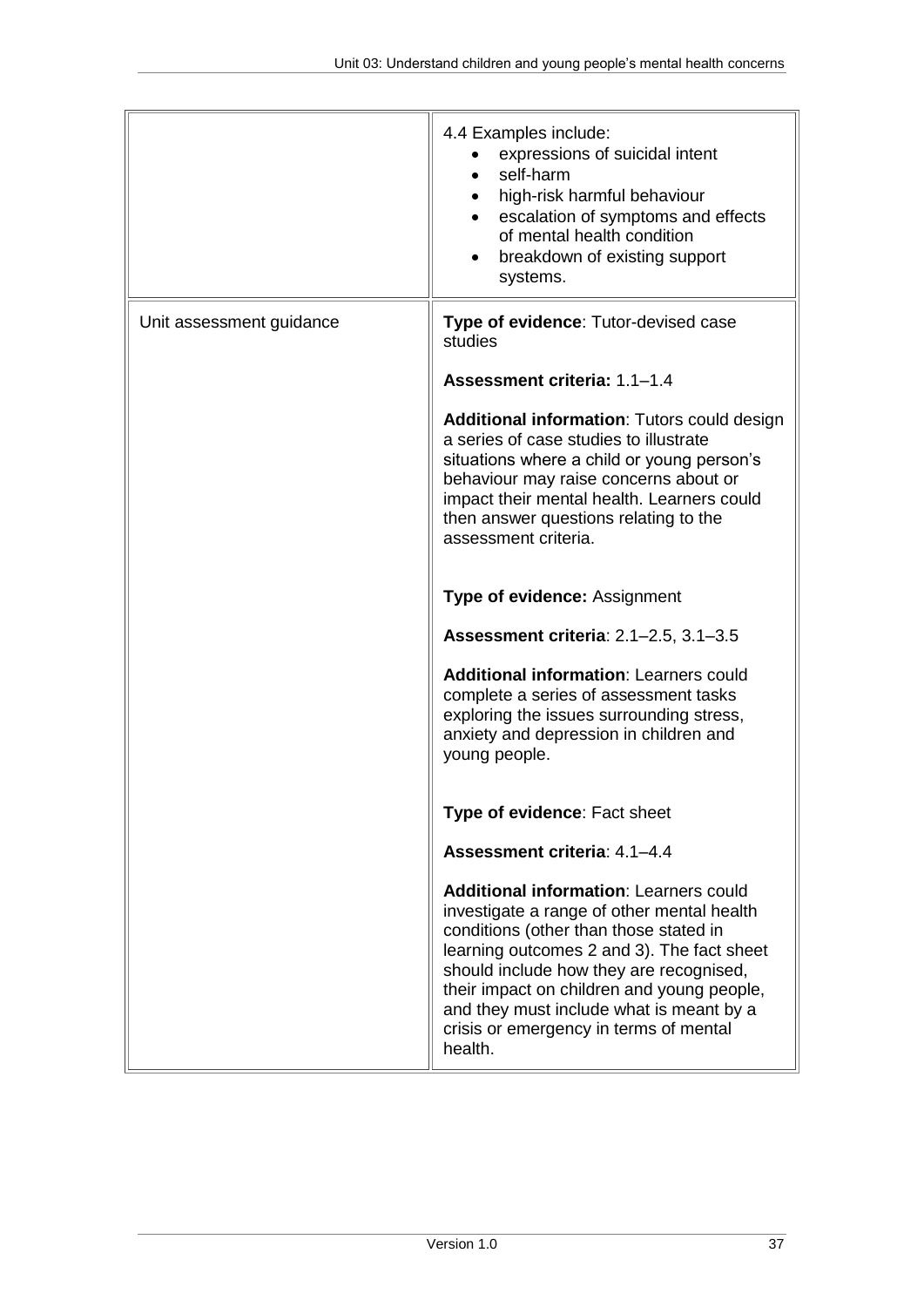|                          | 4.4 Examples include:<br>expressions of suicidal intent<br>self-harm<br>high-risk harmful behaviour<br>escalation of symptoms and effects<br>of mental health condition<br>breakdown of existing support<br>systems.                                                                                                                                                          |
|--------------------------|-------------------------------------------------------------------------------------------------------------------------------------------------------------------------------------------------------------------------------------------------------------------------------------------------------------------------------------------------------------------------------|
| Unit assessment guidance | Type of evidence: Tutor-devised case<br>studies                                                                                                                                                                                                                                                                                                                               |
|                          | Assessment criteria: 1.1-1.4                                                                                                                                                                                                                                                                                                                                                  |
|                          | <b>Additional information: Tutors could design</b><br>a series of case studies to illustrate<br>situations where a child or young person's<br>behaviour may raise concerns about or<br>impact their mental health. Learners could<br>then answer questions relating to the<br>assessment criteria.                                                                            |
|                          | <b>Type of evidence: Assignment</b>                                                                                                                                                                                                                                                                                                                                           |
|                          | Assessment criteria: 2.1-2.5, 3.1-3.5                                                                                                                                                                                                                                                                                                                                         |
|                          | <b>Additional information: Learners could</b><br>complete a series of assessment tasks<br>exploring the issues surrounding stress,<br>anxiety and depression in children and<br>young people.                                                                                                                                                                                 |
|                          | Type of evidence: Fact sheet                                                                                                                                                                                                                                                                                                                                                  |
|                          | Assessment criteria: 4.1-4.4                                                                                                                                                                                                                                                                                                                                                  |
|                          | <b>Additional information: Learners could</b><br>investigate a range of other mental health<br>conditions (other than those stated in<br>learning outcomes 2 and 3). The fact sheet<br>should include how they are recognised,<br>their impact on children and young people,<br>and they must include what is meant by a<br>crisis or emergency in terms of mental<br>health. |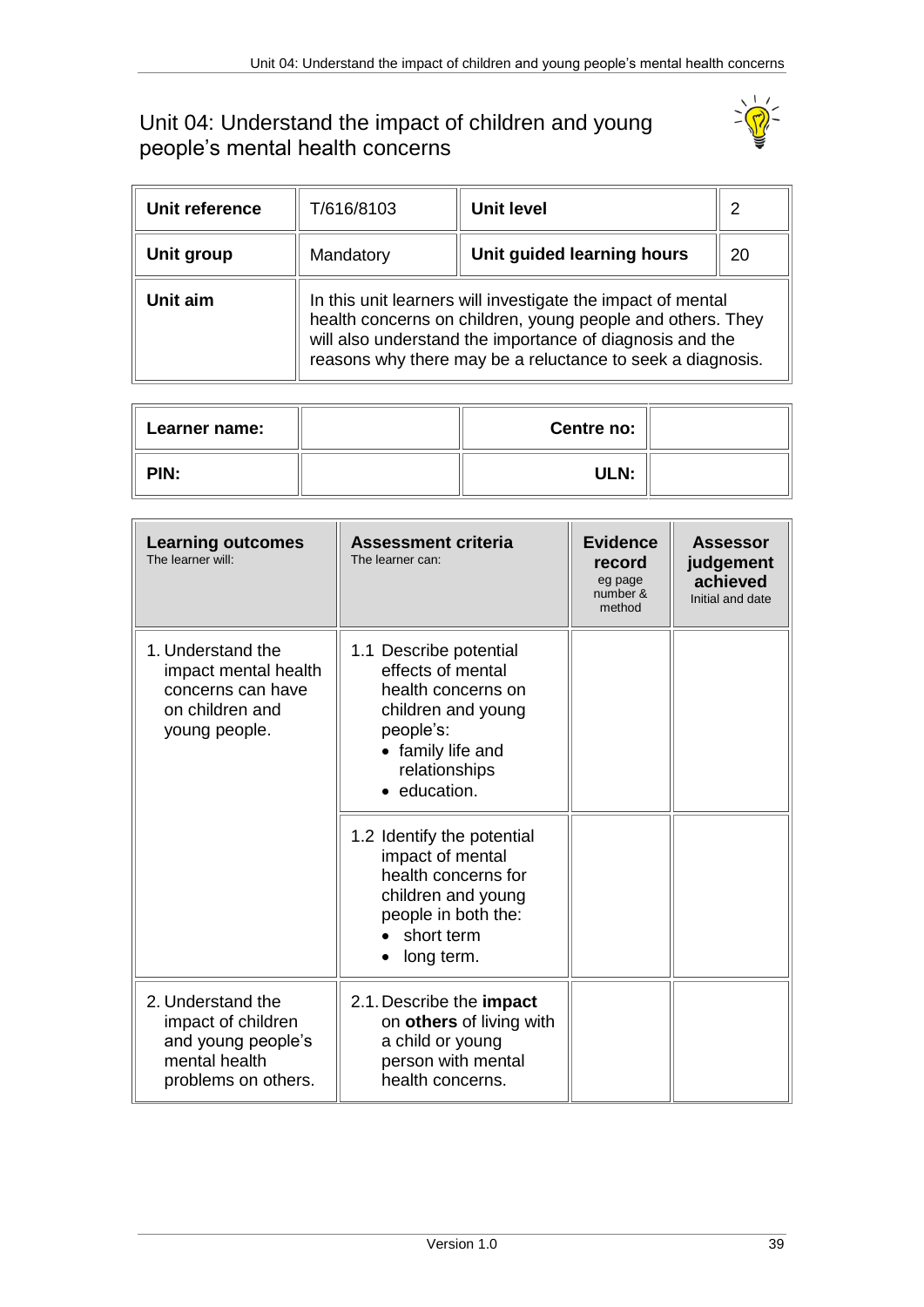## <span id="page-38-0"></span>Unit 04: Understand the impact of children and young people's mental health concerns



| Unit reference | T/616/8103                                                                                                                                                                                                                                          | Unit level                 | 2  |
|----------------|-----------------------------------------------------------------------------------------------------------------------------------------------------------------------------------------------------------------------------------------------------|----------------------------|----|
| Unit group     | Mandatory                                                                                                                                                                                                                                           | Unit guided learning hours | 20 |
| Unit aim       | In this unit learners will investigate the impact of mental<br>health concerns on children, young people and others. They<br>will also understand the importance of diagnosis and the<br>reasons why there may be a reluctance to seek a diagnosis. |                            |    |

| Learner name: | Centre no: |  |
|---------------|------------|--|
| PIN:          | ULN:       |  |

| <b>Learning outcomes</b><br>The learner will:                                                         | <b>Assessment criteria</b><br>The learner can:                                                                                                             | <b>Evidence</b><br>record<br>eg page<br>number &<br>method | Assessor<br>judgement<br>achieved<br>Initial and date |
|-------------------------------------------------------------------------------------------------------|------------------------------------------------------------------------------------------------------------------------------------------------------------|------------------------------------------------------------|-------------------------------------------------------|
| 1. Understand the<br>impact mental health<br>concerns can have<br>on children and<br>young people.    | 1.1 Describe potential<br>effects of mental<br>health concerns on<br>children and young<br>people's:<br>• family life and<br>relationships<br>• education. |                                                            |                                                       |
|                                                                                                       | 1.2 Identify the potential<br>impact of mental<br>health concerns for<br>children and young<br>people in both the:<br>short term<br>long term.             |                                                            |                                                       |
| 2. Understand the<br>impact of children<br>and young people's<br>mental health<br>problems on others. | 2.1. Describe the impact<br>on others of living with<br>a child or young<br>person with mental<br>health concerns.                                         |                                                            |                                                       |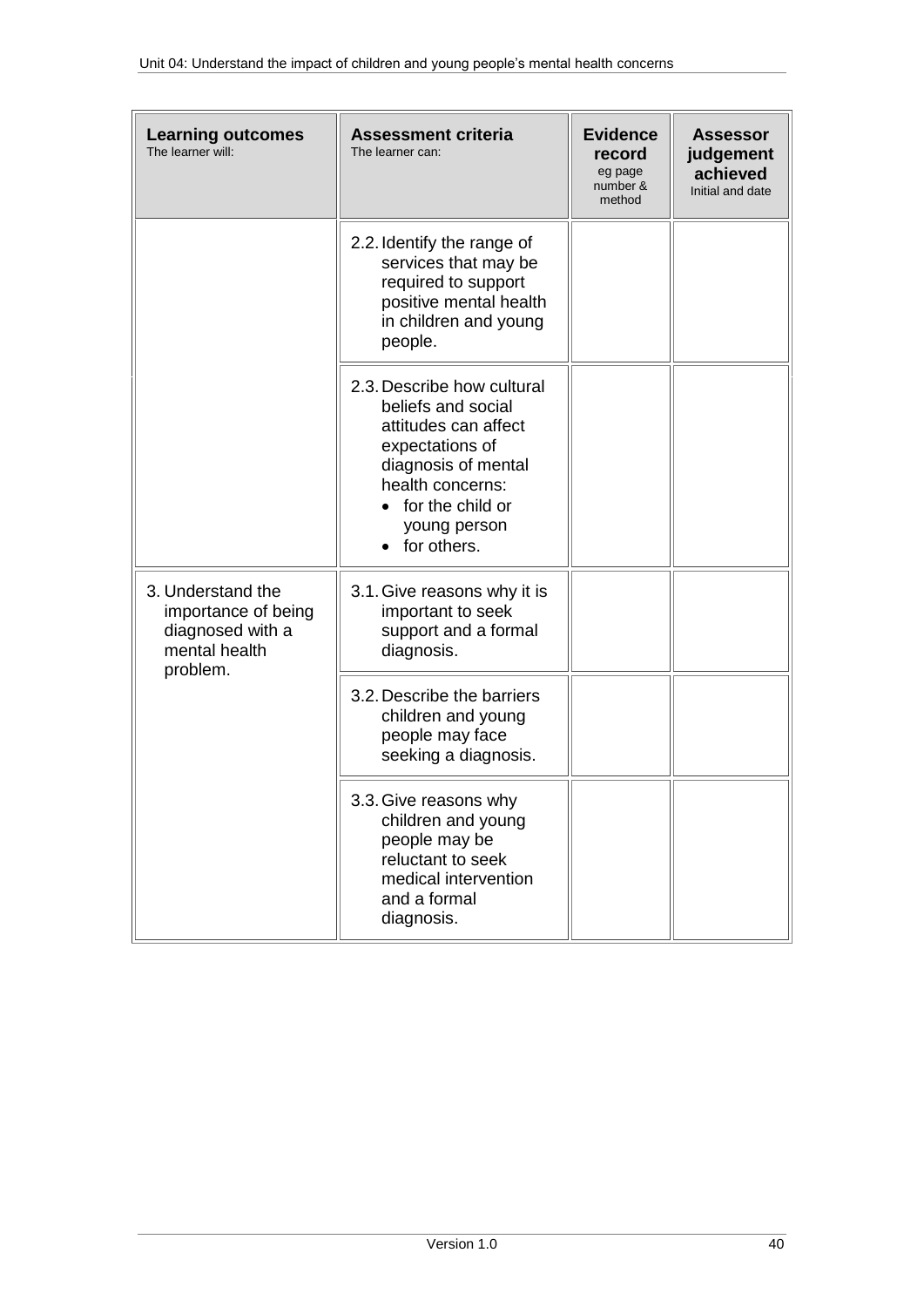| <b>Learning outcomes</b><br>The learner will:                                             | <b>Assessment criteria</b><br>The learner can:                                                                                                                                                         | <b>Evidence</b><br>record<br>eg page<br>number &<br>method | <b>Assessor</b><br>judgement<br>achieved<br>Initial and date |
|-------------------------------------------------------------------------------------------|--------------------------------------------------------------------------------------------------------------------------------------------------------------------------------------------------------|------------------------------------------------------------|--------------------------------------------------------------|
|                                                                                           | 2.2. Identify the range of<br>services that may be<br>required to support<br>positive mental health<br>in children and young<br>people.                                                                |                                                            |                                                              |
|                                                                                           | 2.3. Describe how cultural<br>beliefs and social<br>attitudes can affect<br>expectations of<br>diagnosis of mental<br>health concerns:<br>for the child or<br>$\bullet$<br>young person<br>for others. |                                                            |                                                              |
| 3. Understand the<br>importance of being<br>diagnosed with a<br>mental health<br>problem. | 3.1. Give reasons why it is<br>important to seek<br>support and a formal<br>diagnosis.                                                                                                                 |                                                            |                                                              |
|                                                                                           | 3.2. Describe the barriers<br>children and young<br>people may face<br>seeking a diagnosis.                                                                                                            |                                                            |                                                              |
|                                                                                           | 3.3. Give reasons why<br>children and young<br>people may be<br>reluctant to seek<br>medical intervention<br>and a formal<br>diagnosis.                                                                |                                                            |                                                              |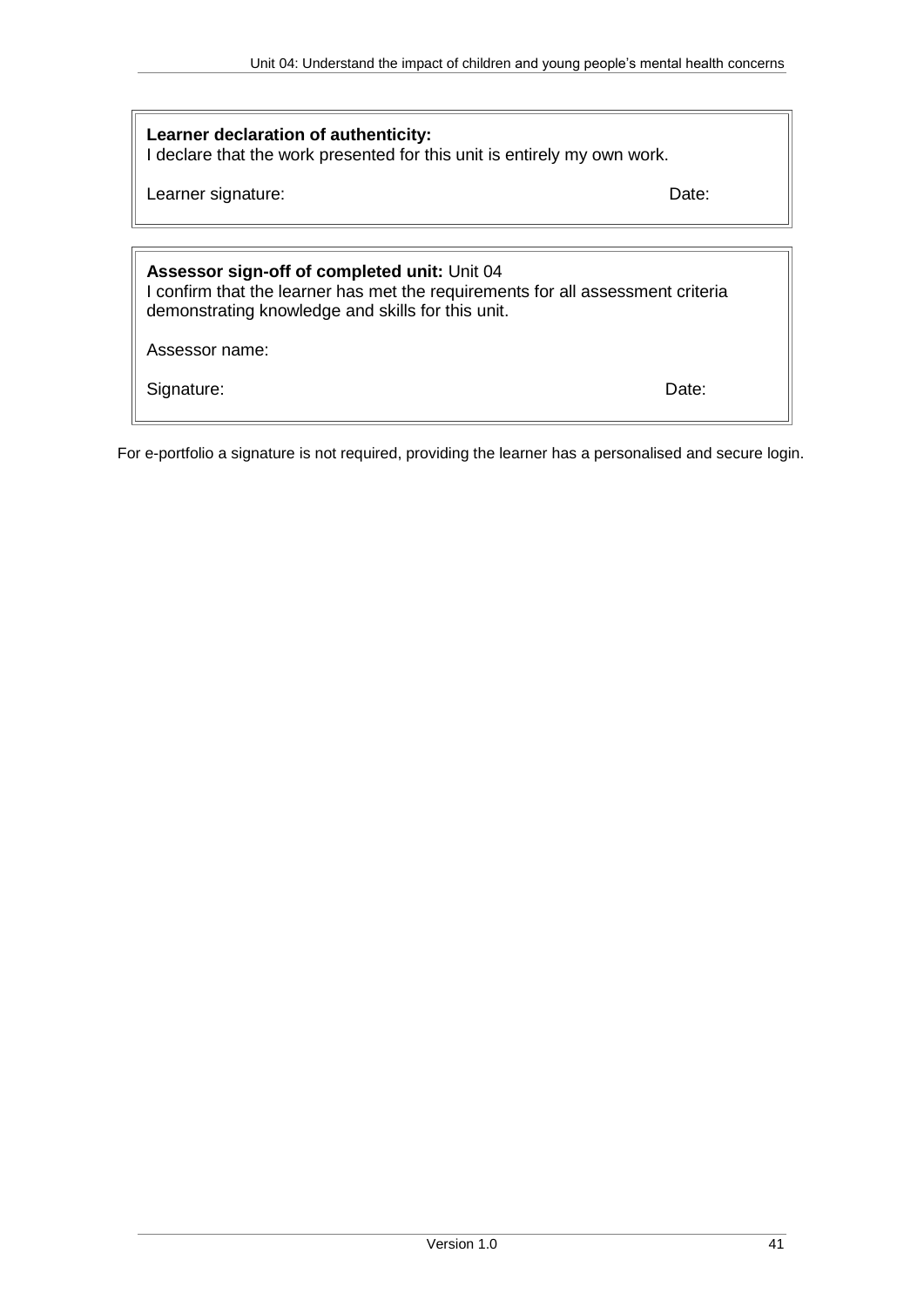### **Learner declaration of authenticity:**

I declare that the work presented for this unit is entirely my own work.

Learner signature: Date: Date: Date: Date: Date: Date: Date: Date: Date: Date: Date: Date: Date: Date: Date: Date: Date: Date: Date: Date: Date: Date: Date: Date: Date: Date: Date: Date: Date: Date: Date: Date: Date: Date:

## **Assessor sign-off of completed unit:** Unit 04

I confirm that the learner has met the requirements for all assessment criteria demonstrating knowledge and skills for this unit.

Assessor name:

Signature: Date: Date: Date: Date: Date: Date: Date: Date: Date: Date: Date: Date: Date: Date: Date: Date: Date: Date: Date: Date: Date: Date: Date: Date: Date: Date: Date: Date: Date: Date: Date: Date: Date: Date: Date: D

For e-portfolio a signature is not required, providing the learner has a personalised and secure login.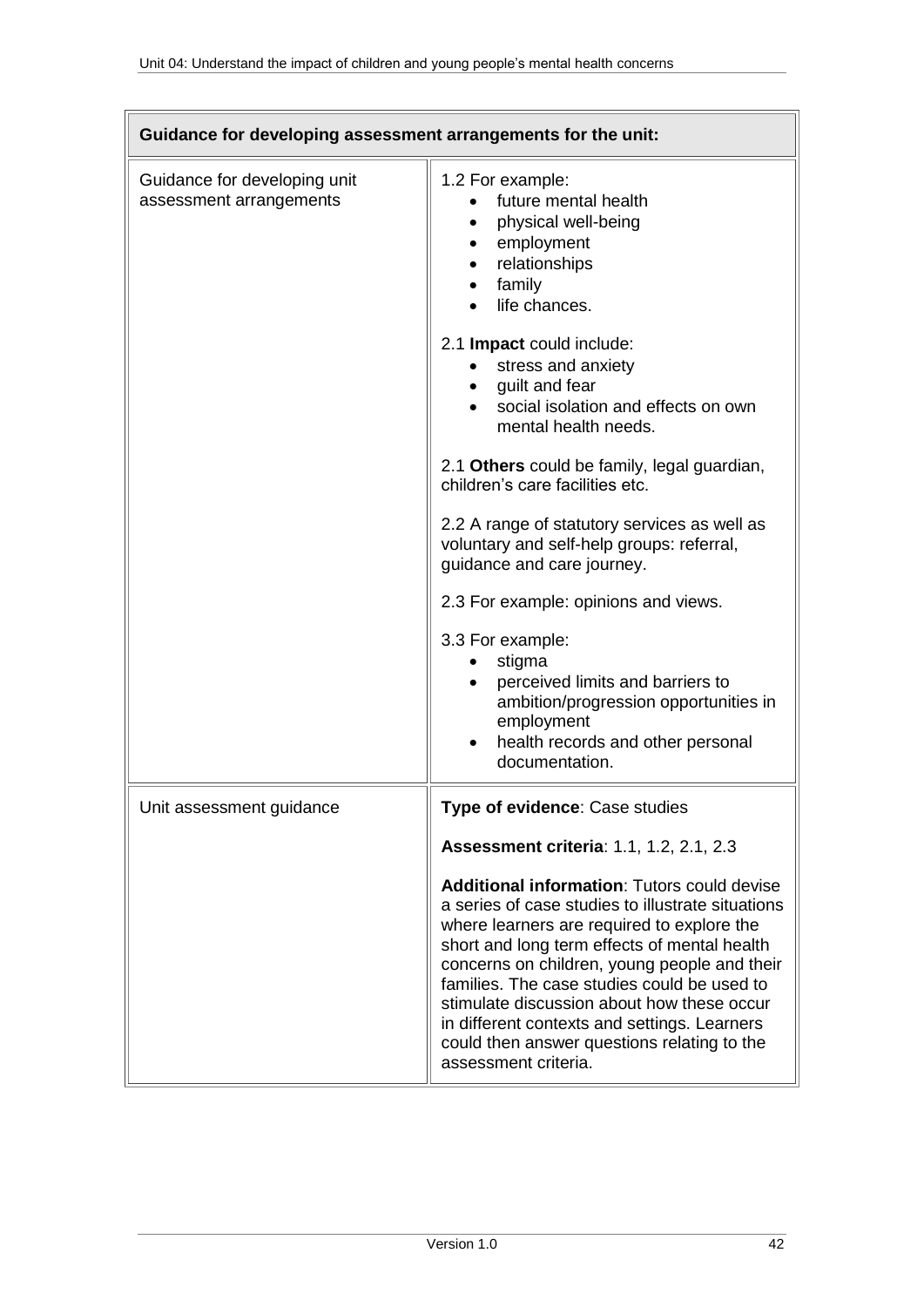| Guidance for developing assessment arrangements for the unit: |                                                                                                                                                                                                                                                                                                                                                                                                                                                                           |
|---------------------------------------------------------------|---------------------------------------------------------------------------------------------------------------------------------------------------------------------------------------------------------------------------------------------------------------------------------------------------------------------------------------------------------------------------------------------------------------------------------------------------------------------------|
| Guidance for developing unit<br>assessment arrangements       | 1.2 For example:<br>future mental health<br>physical well-being<br>employment<br>relationships<br>family<br>life chances.                                                                                                                                                                                                                                                                                                                                                 |
|                                                               | 2.1 Impact could include:<br>stress and anxiety<br>• guilt and fear<br>social isolation and effects on own<br>mental health needs.                                                                                                                                                                                                                                                                                                                                        |
|                                                               | 2.1 Others could be family, legal guardian,<br>children's care facilities etc.                                                                                                                                                                                                                                                                                                                                                                                            |
|                                                               | 2.2 A range of statutory services as well as<br>voluntary and self-help groups: referral,<br>guidance and care journey.                                                                                                                                                                                                                                                                                                                                                   |
|                                                               | 2.3 For example: opinions and views.                                                                                                                                                                                                                                                                                                                                                                                                                                      |
|                                                               | 3.3 For example:<br>stigma<br>perceived limits and barriers to<br>ambition/progression opportunities in<br>employment<br>health records and other personal<br>documentation.                                                                                                                                                                                                                                                                                              |
| Unit assessment guidance                                      | Type of evidence: Case studies                                                                                                                                                                                                                                                                                                                                                                                                                                            |
|                                                               | <b>Assessment criteria: 1.1, 1.2, 2.1, 2.3</b>                                                                                                                                                                                                                                                                                                                                                                                                                            |
|                                                               | <b>Additional information: Tutors could devise</b><br>a series of case studies to illustrate situations<br>where learners are required to explore the<br>short and long term effects of mental health<br>concerns on children, young people and their<br>families. The case studies could be used to<br>stimulate discussion about how these occur<br>in different contexts and settings. Learners<br>could then answer questions relating to the<br>assessment criteria. |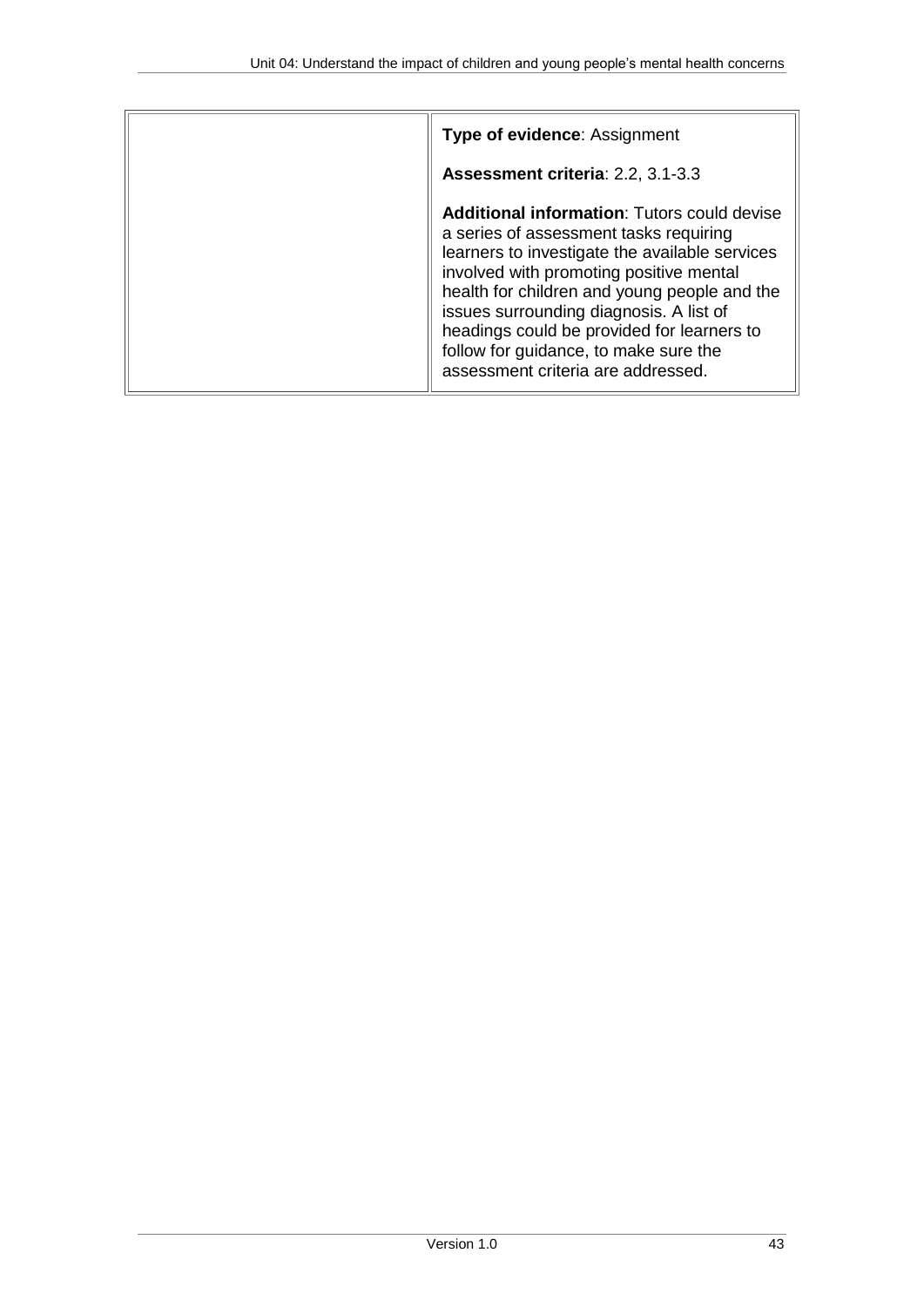| <b>Type of evidence: Assignment</b>                                                                                                                                                                                                                                                                                                                                                                               |
|-------------------------------------------------------------------------------------------------------------------------------------------------------------------------------------------------------------------------------------------------------------------------------------------------------------------------------------------------------------------------------------------------------------------|
| Assessment criteria: 2.2, 3.1-3.3                                                                                                                                                                                                                                                                                                                                                                                 |
| <b>Additional information: Tutors could devise</b><br>a series of assessment tasks requiring<br>learners to investigate the available services<br>involved with promoting positive mental<br>health for children and young people and the<br>issues surrounding diagnosis. A list of<br>headings could be provided for learners to<br>follow for guidance, to make sure the<br>assessment criteria are addressed. |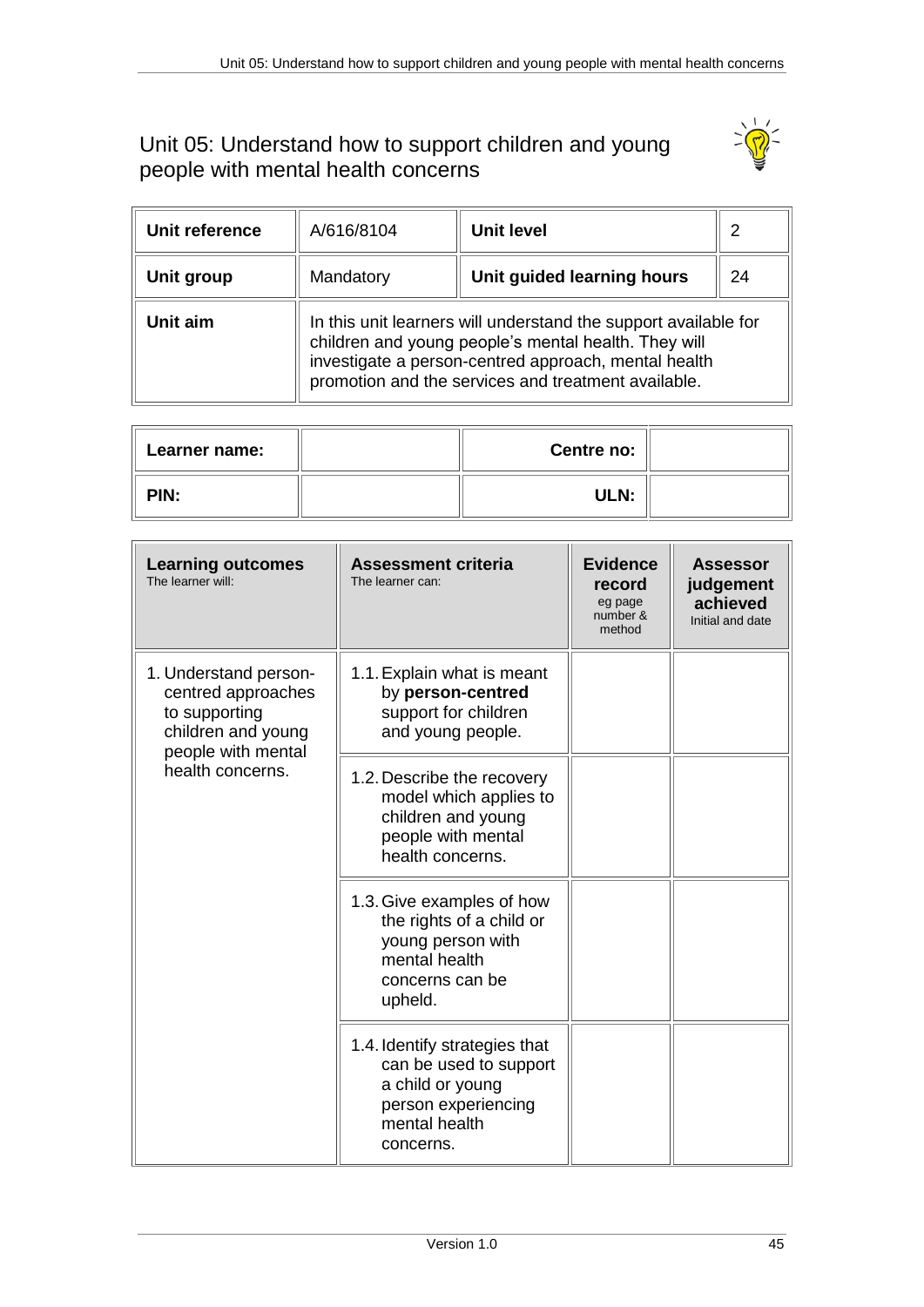## <span id="page-44-0"></span>Unit 05: Understand how to support children and young people with mental health concerns



| Unit reference | A/616/8104                                                                                                                                                                                                                             | Unit level                 | 2  |
|----------------|----------------------------------------------------------------------------------------------------------------------------------------------------------------------------------------------------------------------------------------|----------------------------|----|
| Unit group     | Mandatory                                                                                                                                                                                                                              | Unit guided learning hours | 24 |
| Unit aim       | In this unit learners will understand the support available for<br>children and young people's mental health. They will<br>investigate a person-centred approach, mental health<br>promotion and the services and treatment available. |                            |    |

| <b>Learner name:</b> | Centre no: |  |
|----------------------|------------|--|
| PIN:                 | ULN:       |  |

| <b>Learning outcomes</b><br>The learner will:                                                                                | <b>Assessment criteria</b><br>The learner can:                                                                                   | <b>Evidence</b><br>record<br>eg page<br>number &<br>method | <b>Assessor</b><br>judgement<br>achieved<br>Initial and date |
|------------------------------------------------------------------------------------------------------------------------------|----------------------------------------------------------------------------------------------------------------------------------|------------------------------------------------------------|--------------------------------------------------------------|
| 1. Understand person-<br>centred approaches<br>to supporting<br>children and young<br>people with mental<br>health concerns. | 1.1. Explain what is meant<br>by person-centred<br>support for children<br>and young people.                                     |                                                            |                                                              |
|                                                                                                                              | 1.2. Describe the recovery<br>model which applies to<br>children and young<br>people with mental<br>health concerns.             |                                                            |                                                              |
|                                                                                                                              | 1.3. Give examples of how<br>the rights of a child or<br>young person with<br>mental health<br>concerns can be<br>upheld.        |                                                            |                                                              |
|                                                                                                                              | 1.4. Identify strategies that<br>can be used to support<br>a child or young<br>person experiencing<br>mental health<br>concerns. |                                                            |                                                              |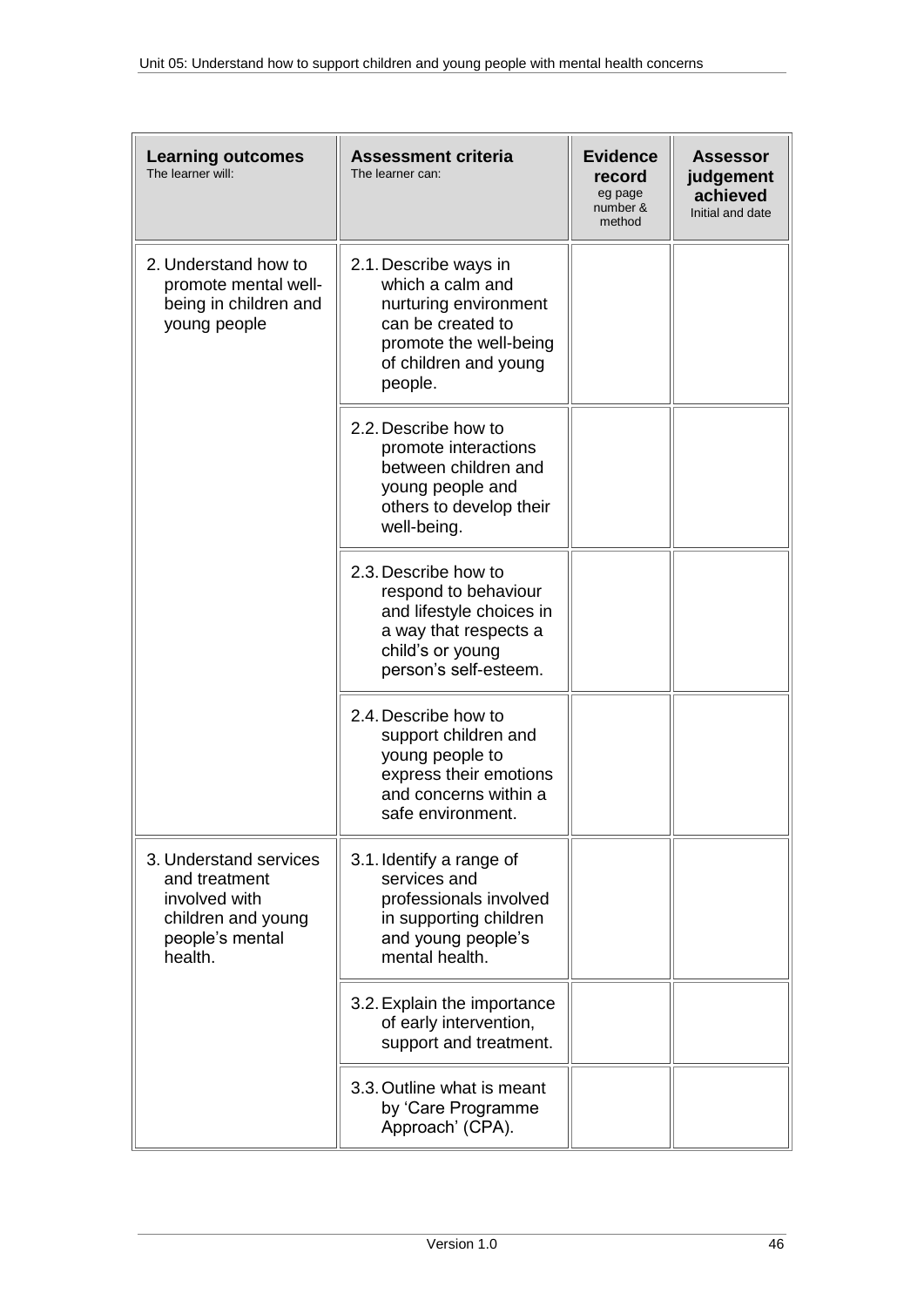| <b>Learning outcomes</b><br>The learner will:                                                                | <b>Assessment criteria</b><br>The learner can:                                                                                                        | <b>Evidence</b><br>record<br>eg page<br>number &<br>method | <b>Assessor</b><br>judgement<br>achieved<br>Initial and date |
|--------------------------------------------------------------------------------------------------------------|-------------------------------------------------------------------------------------------------------------------------------------------------------|------------------------------------------------------------|--------------------------------------------------------------|
| 2. Understand how to<br>promote mental well-<br>being in children and<br>young people                        | 2.1. Describe ways in<br>which a calm and<br>nurturing environment<br>can be created to<br>promote the well-being<br>of children and young<br>people. |                                                            |                                                              |
|                                                                                                              | 2.2. Describe how to<br>promote interactions<br>between children and<br>young people and<br>others to develop their<br>well-being.                    |                                                            |                                                              |
|                                                                                                              | 2.3. Describe how to<br>respond to behaviour<br>and lifestyle choices in<br>a way that respects a<br>child's or young<br>person's self-esteem.        |                                                            |                                                              |
|                                                                                                              | 2.4. Describe how to<br>support children and<br>young people to<br>express their emotions<br>and concerns within a<br>safe environment.               |                                                            |                                                              |
| 3. Understand services<br>and treatment<br>involved with<br>children and young<br>people's mental<br>health. | 3.1. Identify a range of<br>services and<br>professionals involved<br>in supporting children<br>and young people's<br>mental health.                  |                                                            |                                                              |
|                                                                                                              | 3.2. Explain the importance<br>of early intervention,<br>support and treatment.                                                                       |                                                            |                                                              |
|                                                                                                              | 3.3. Outline what is meant<br>by 'Care Programme<br>Approach' (CPA).                                                                                  |                                                            |                                                              |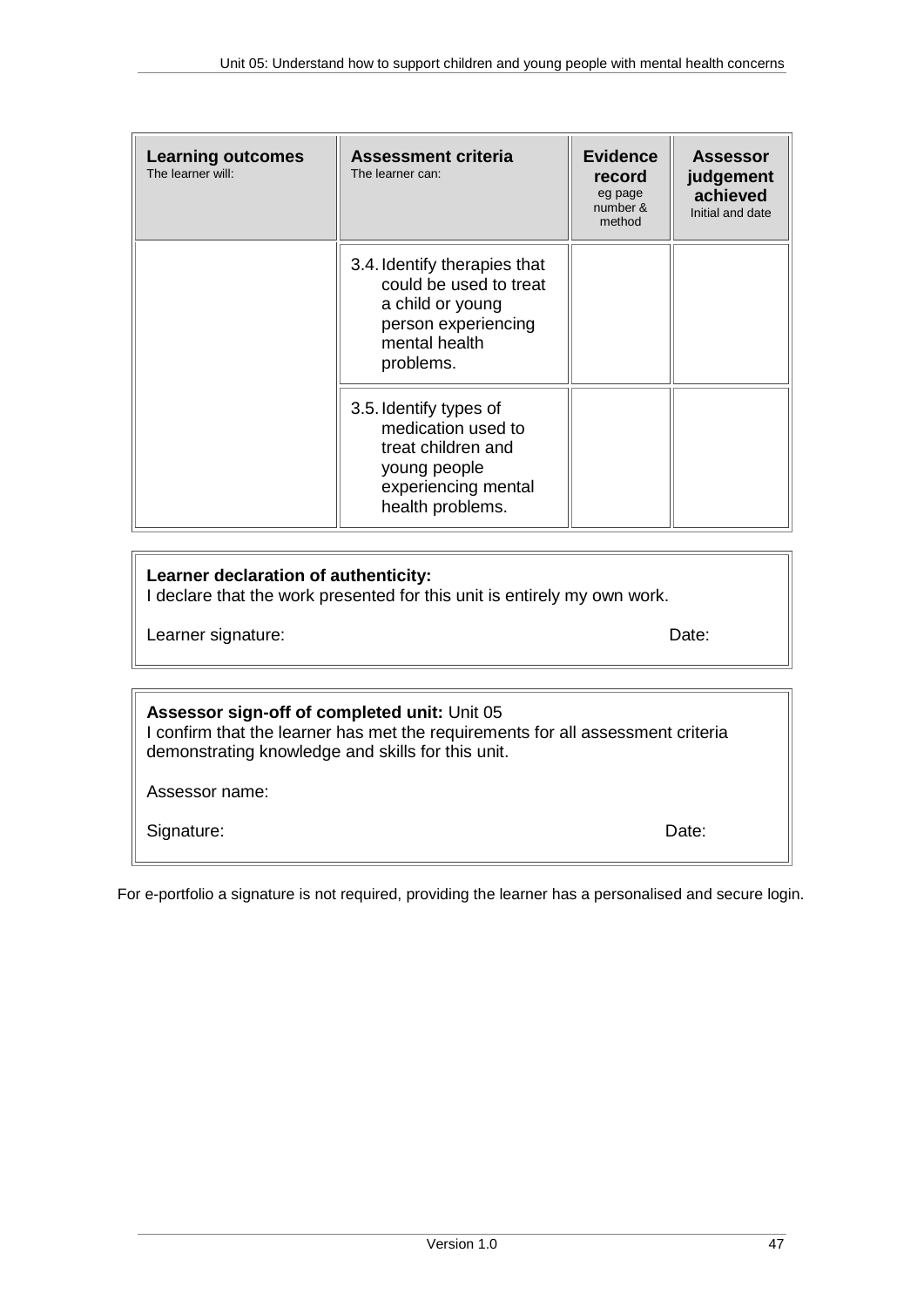| <b>Learning outcomes</b><br>The learner will: | <b>Assessment criteria</b><br>The learner can:                                                                                  | <b>Evidence</b><br>record<br>eg page<br>number &<br>method | <b>Assessor</b><br>judgement<br>achieved<br>Initial and date |
|-----------------------------------------------|---------------------------------------------------------------------------------------------------------------------------------|------------------------------------------------------------|--------------------------------------------------------------|
|                                               | 3.4. Identify therapies that<br>could be used to treat<br>a child or young<br>person experiencing<br>mental health<br>problems. |                                                            |                                                              |
|                                               | 3.5. Identify types of<br>medication used to<br>treat children and<br>young people<br>experiencing mental<br>health problems.   |                                                            |                                                              |

#### **Learner declaration of authenticity:**

I declare that the work presented for this unit is entirely my own work.

Learner signature: Date: Date: Date: Date: Date: Date: Date: Date: Date: Date: Date: Date: Date: Date: Date: Date: Date: Date: Date: Date: Date: Date: Date: Date: Date: Date: Date: Date: Date: Date: Date: Date: Date: Date:

### **Assessor sign-off of completed unit:** Unit 05

I confirm that the learner has met the requirements for all assessment criteria demonstrating knowledge and skills for this unit.

Assessor name:

Signature: Date: Date: Date: Date: Date: Date: Date: Date: Date: Date: Date: Date: Date: Date: Date: Date: Date: Date: Date: Date: Date: Date: Date: Date: Date: Date: Date: Date: Date: Date: Date: Date: Date: Date: Date: D

For e-portfolio a signature is not required, providing the learner has a personalised and secure login.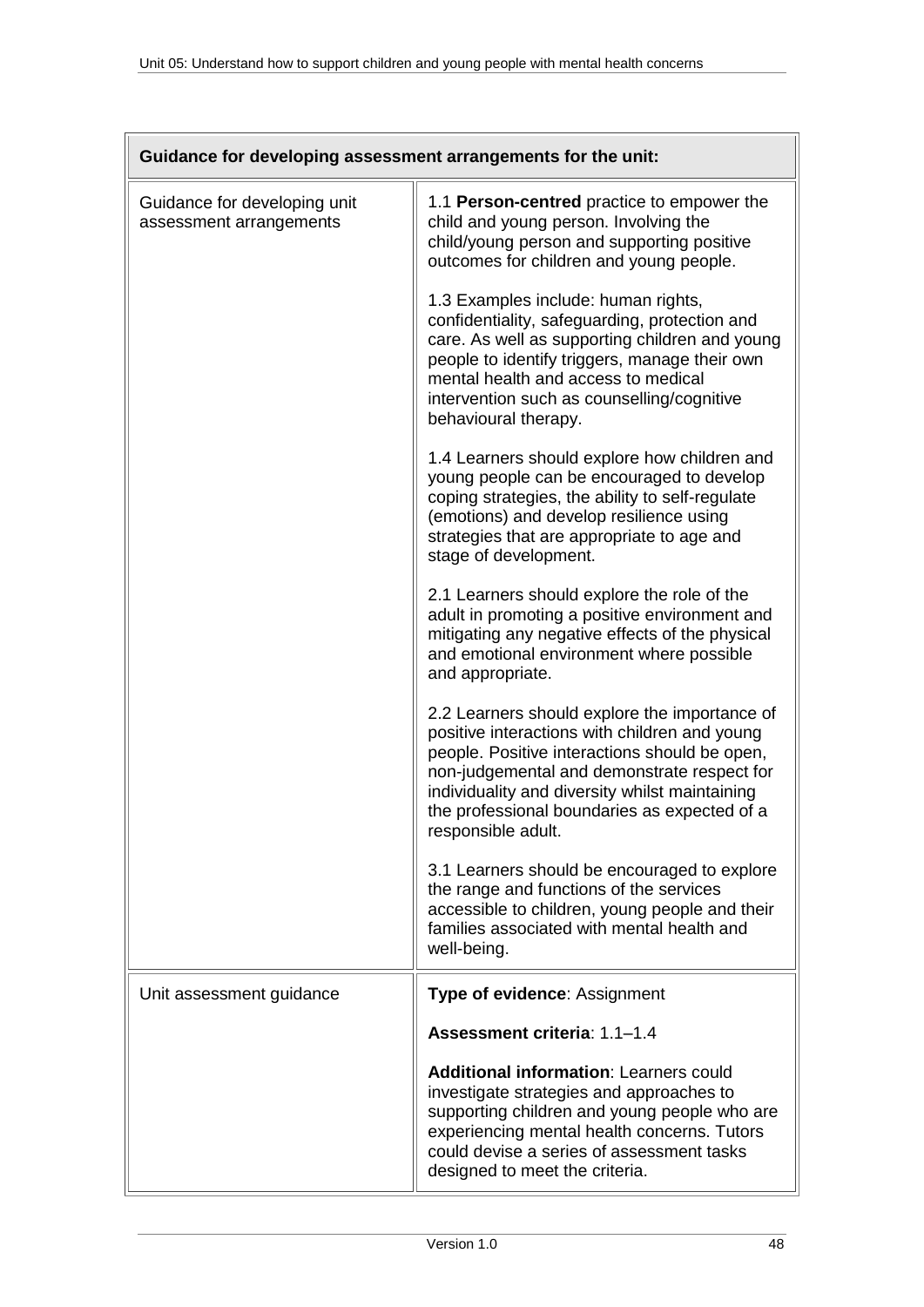| Guidance for developing assessment arrangements for the unit: |                                                                                                                                                                                                                                                                                                                        |  |
|---------------------------------------------------------------|------------------------------------------------------------------------------------------------------------------------------------------------------------------------------------------------------------------------------------------------------------------------------------------------------------------------|--|
| Guidance for developing unit<br>assessment arrangements       | 1.1 Person-centred practice to empower the<br>child and young person. Involving the<br>child/young person and supporting positive<br>outcomes for children and young people.                                                                                                                                           |  |
|                                                               | 1.3 Examples include: human rights,<br>confidentiality, safeguarding, protection and<br>care. As well as supporting children and young<br>people to identify triggers, manage their own<br>mental health and access to medical<br>intervention such as counselling/cognitive<br>behavioural therapy.                   |  |
|                                                               | 1.4 Learners should explore how children and<br>young people can be encouraged to develop<br>coping strategies, the ability to self-regulate<br>(emotions) and develop resilience using<br>strategies that are appropriate to age and<br>stage of development.                                                         |  |
|                                                               | 2.1 Learners should explore the role of the<br>adult in promoting a positive environment and<br>mitigating any negative effects of the physical<br>and emotional environment where possible<br>and appropriate.                                                                                                        |  |
|                                                               | 2.2 Learners should explore the importance of<br>positive interactions with children and young<br>people. Positive interactions should be open,<br>non-judgemental and demonstrate respect for<br>individuality and diversity whilst maintaining<br>the professional boundaries as expected of a<br>responsible adult. |  |
|                                                               | 3.1 Learners should be encouraged to explore<br>the range and functions of the services<br>accessible to children, young people and their<br>families associated with mental health and<br>well-being.                                                                                                                 |  |
| Unit assessment guidance                                      | <b>Type of evidence: Assignment</b>                                                                                                                                                                                                                                                                                    |  |
|                                                               | Assessment criteria: 1.1-1.4                                                                                                                                                                                                                                                                                           |  |
|                                                               | <b>Additional information: Learners could</b><br>investigate strategies and approaches to<br>supporting children and young people who are<br>experiencing mental health concerns. Tutors<br>could devise a series of assessment tasks<br>designed to meet the criteria.                                                |  |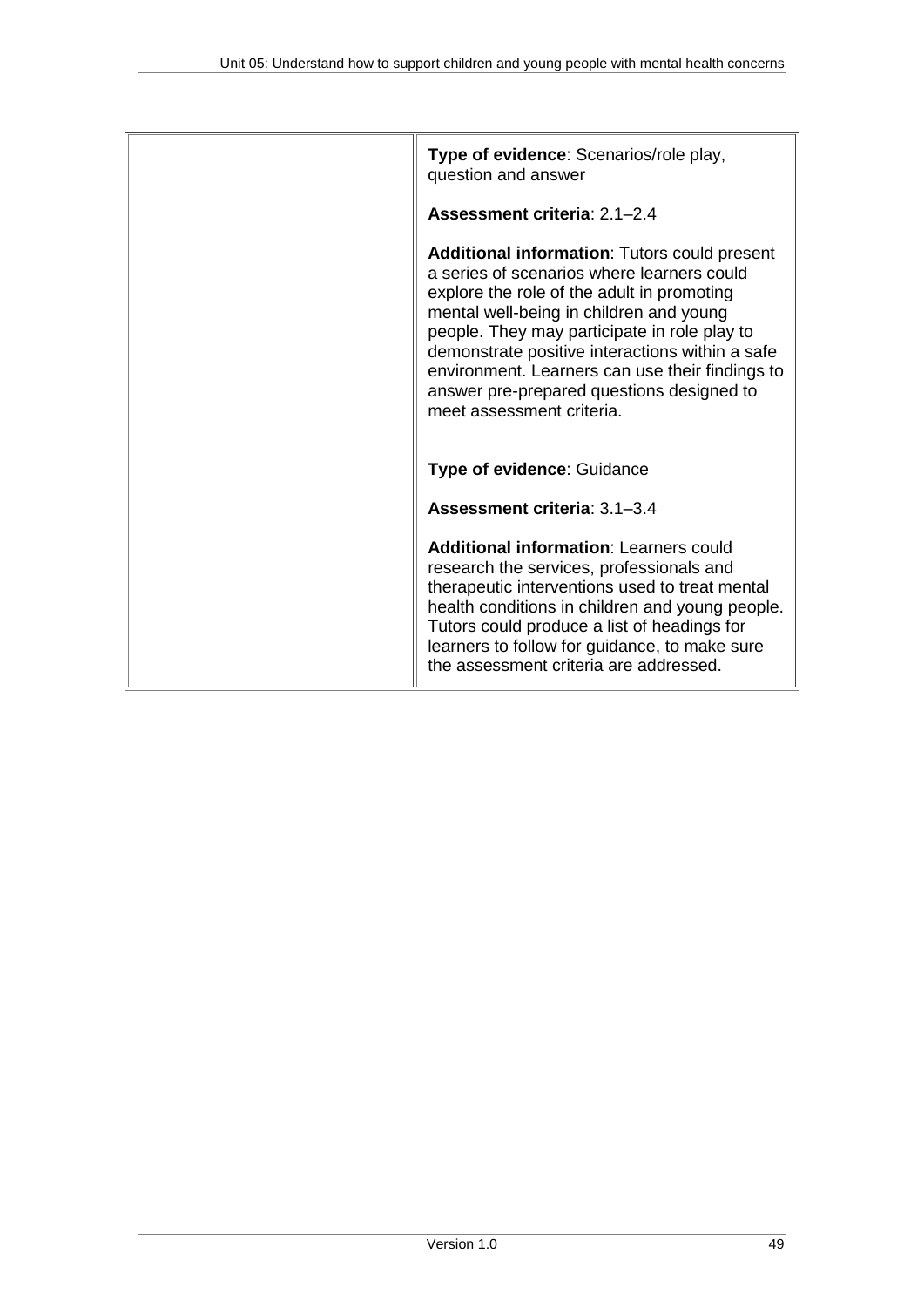| Type of evidence: Scenarios/role play,<br>question and answer                                                                                                                                                                                                                                                                                                                                                              |
|----------------------------------------------------------------------------------------------------------------------------------------------------------------------------------------------------------------------------------------------------------------------------------------------------------------------------------------------------------------------------------------------------------------------------|
| Assessment criteria: 2.1-2.4                                                                                                                                                                                                                                                                                                                                                                                               |
| <b>Additional information: Tutors could present</b><br>a series of scenarios where learners could<br>explore the role of the adult in promoting<br>mental well-being in children and young<br>people. They may participate in role play to<br>demonstrate positive interactions within a safe<br>environment. Learners can use their findings to<br>answer pre-prepared questions designed to<br>meet assessment criteria. |
| Type of evidence: Guidance                                                                                                                                                                                                                                                                                                                                                                                                 |
| Assessment criteria: 3.1-3.4                                                                                                                                                                                                                                                                                                                                                                                               |
| <b>Additional information: Learners could</b><br>research the services, professionals and<br>therapeutic interventions used to treat mental<br>health conditions in children and young people.<br>Tutors could produce a list of headings for<br>learners to follow for guidance, to make sure<br>the assessment criteria are addressed.                                                                                   |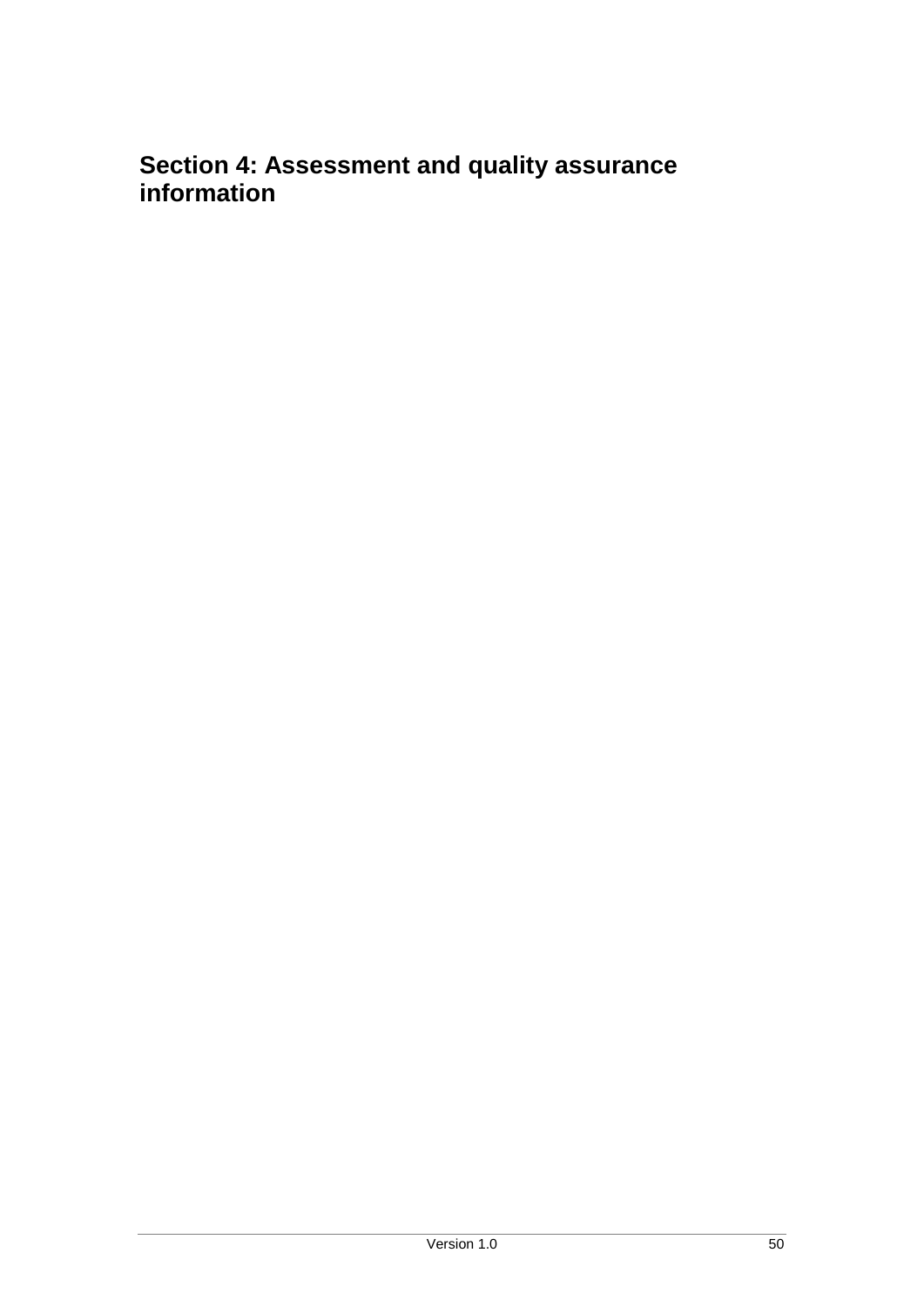## <span id="page-49-0"></span>**Section 4: Assessment and quality assurance information**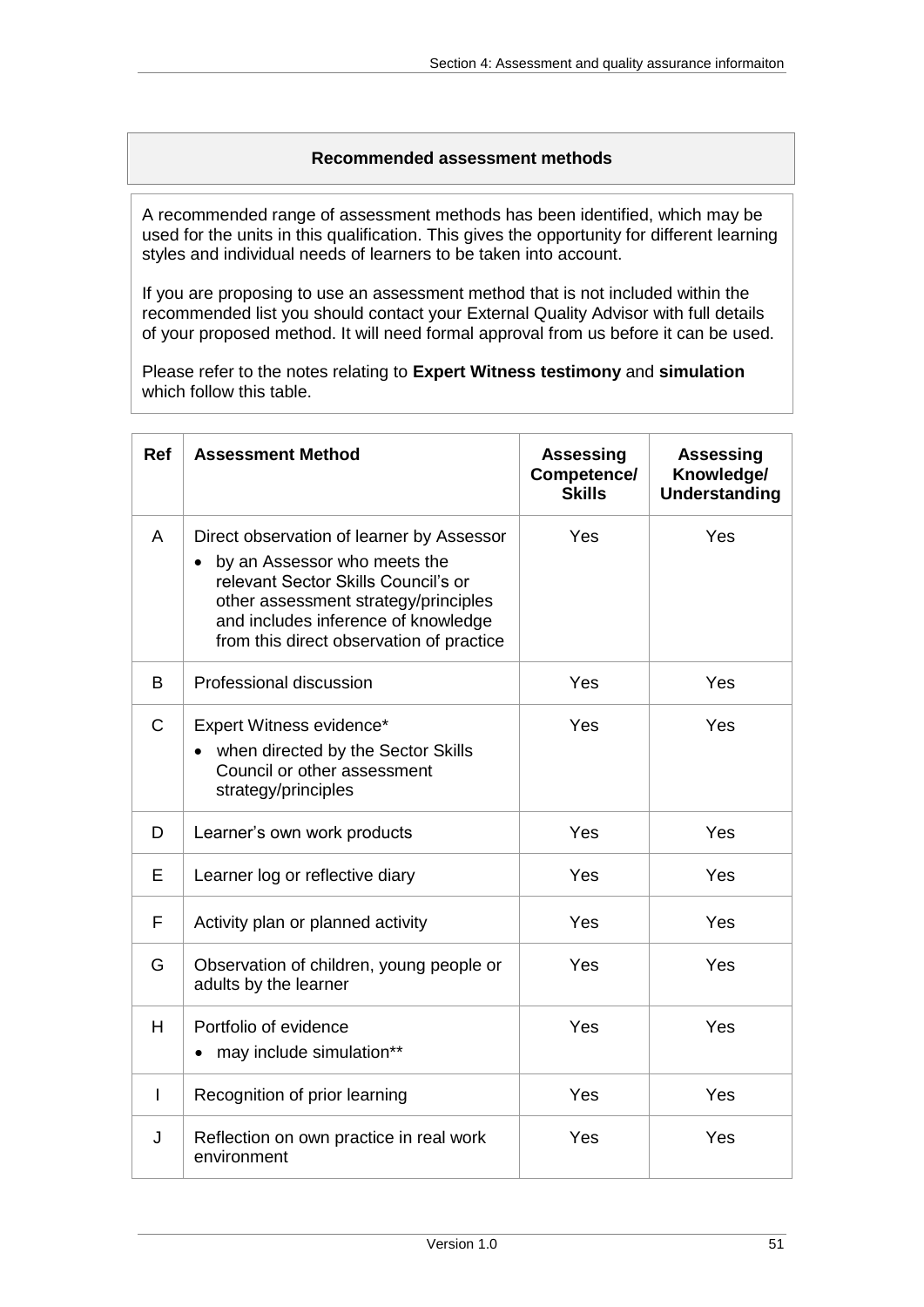#### **Recommended assessment methods**

<span id="page-50-0"></span>A recommended range of assessment methods has been identified, which may be used for the units in this qualification. This gives the opportunity for different learning styles and individual needs of learners to be taken into account.

If you are proposing to use an assessment method that is not included within the recommended list you should contact your External Quality Advisor with full details of your proposed method. It will need formal approval from us before it can be used.

Please refer to the notes relating to **Expert Witness testimony** and **simulation** which follow this table.

| <b>Ref</b>   | <b>Assessment Method</b>                                                                                                                                                                                                                    | <b>Assessing</b><br>Competence/<br><b>Skills</b> | <b>Assessing</b><br>Knowledge/<br><b>Understanding</b> |
|--------------|---------------------------------------------------------------------------------------------------------------------------------------------------------------------------------------------------------------------------------------------|--------------------------------------------------|--------------------------------------------------------|
| A            | Direct observation of learner by Assessor<br>by an Assessor who meets the<br>relevant Sector Skills Council's or<br>other assessment strategy/principles<br>and includes inference of knowledge<br>from this direct observation of practice | Yes                                              | Yes                                                    |
| B            | Professional discussion                                                                                                                                                                                                                     | Yes                                              | Yes                                                    |
| $\mathsf{C}$ | Expert Witness evidence*<br>when directed by the Sector Skills<br>Council or other assessment<br>strategy/principles                                                                                                                        | Yes                                              | Yes                                                    |
| D            | Learner's own work products                                                                                                                                                                                                                 | Yes                                              | Yes                                                    |
| Е            | Learner log or reflective diary                                                                                                                                                                                                             | Yes                                              | Yes                                                    |
| F            | Activity plan or planned activity                                                                                                                                                                                                           | Yes                                              | Yes                                                    |
| G            | Observation of children, young people or<br>adults by the learner                                                                                                                                                                           | Yes                                              | Yes                                                    |
| H            | Portfolio of evidence<br>may include simulation**                                                                                                                                                                                           | Yes                                              | Yes                                                    |
| $\mathbf{I}$ | Recognition of prior learning                                                                                                                                                                                                               | Yes                                              | Yes                                                    |
| J            | Reflection on own practice in real work<br>environment                                                                                                                                                                                      | Yes                                              | Yes                                                    |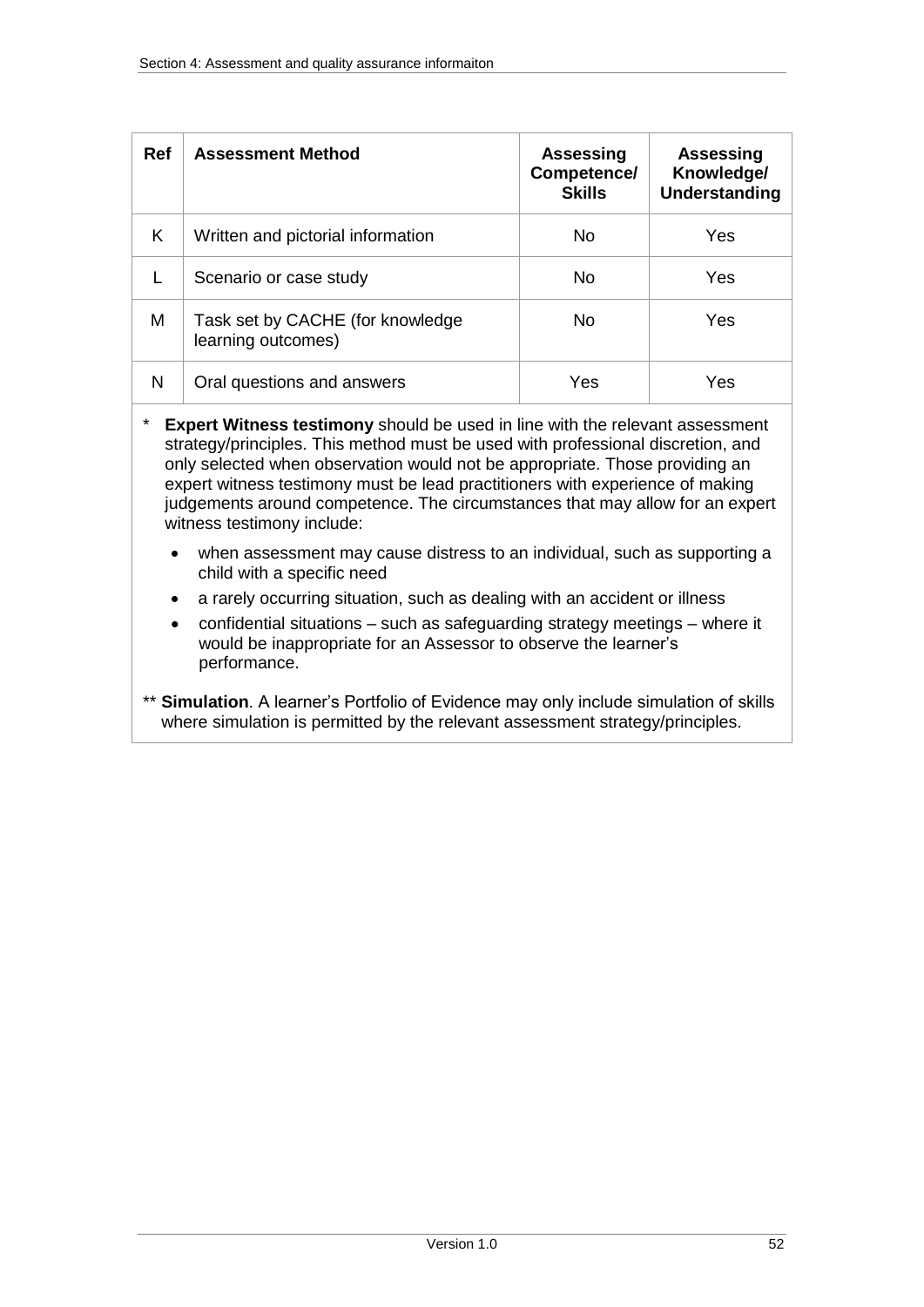| <b>Ref</b> | <b>Assessment Method</b>                               | <b>Assessing</b><br>Competence/<br><b>Skills</b> | <b>Assessing</b><br>Knowledge/<br>Understanding |
|------------|--------------------------------------------------------|--------------------------------------------------|-------------------------------------------------|
| K          | Written and pictorial information                      | No.                                              | Yes                                             |
|            | Scenario or case study                                 | No.                                              | Yes                                             |
| М          | Task set by CACHE (for knowledge<br>learning outcomes) | No.                                              | Yes                                             |
| N          | Oral questions and answers                             | Yes                                              | Yes                                             |

**Expert Witness testimony** should be used in line with the relevant assessment strategy/principles. This method must be used with professional discretion, and only selected when observation would not be appropriate. Those providing an expert witness testimony must be lead practitioners with experience of making judgements around competence. The circumstances that may allow for an expert witness testimony include:

- when assessment may cause distress to an individual, such as supporting a child with a specific need
- a rarely occurring situation, such as dealing with an accident or illness
- confidential situations such as safeguarding strategy meetings where it would be inappropriate for an Assessor to observe the learner's performance.
- \*\* **Simulation**. A learner's Portfolio of Evidence may only include simulation of skills where simulation is permitted by the relevant assessment strategy/principles.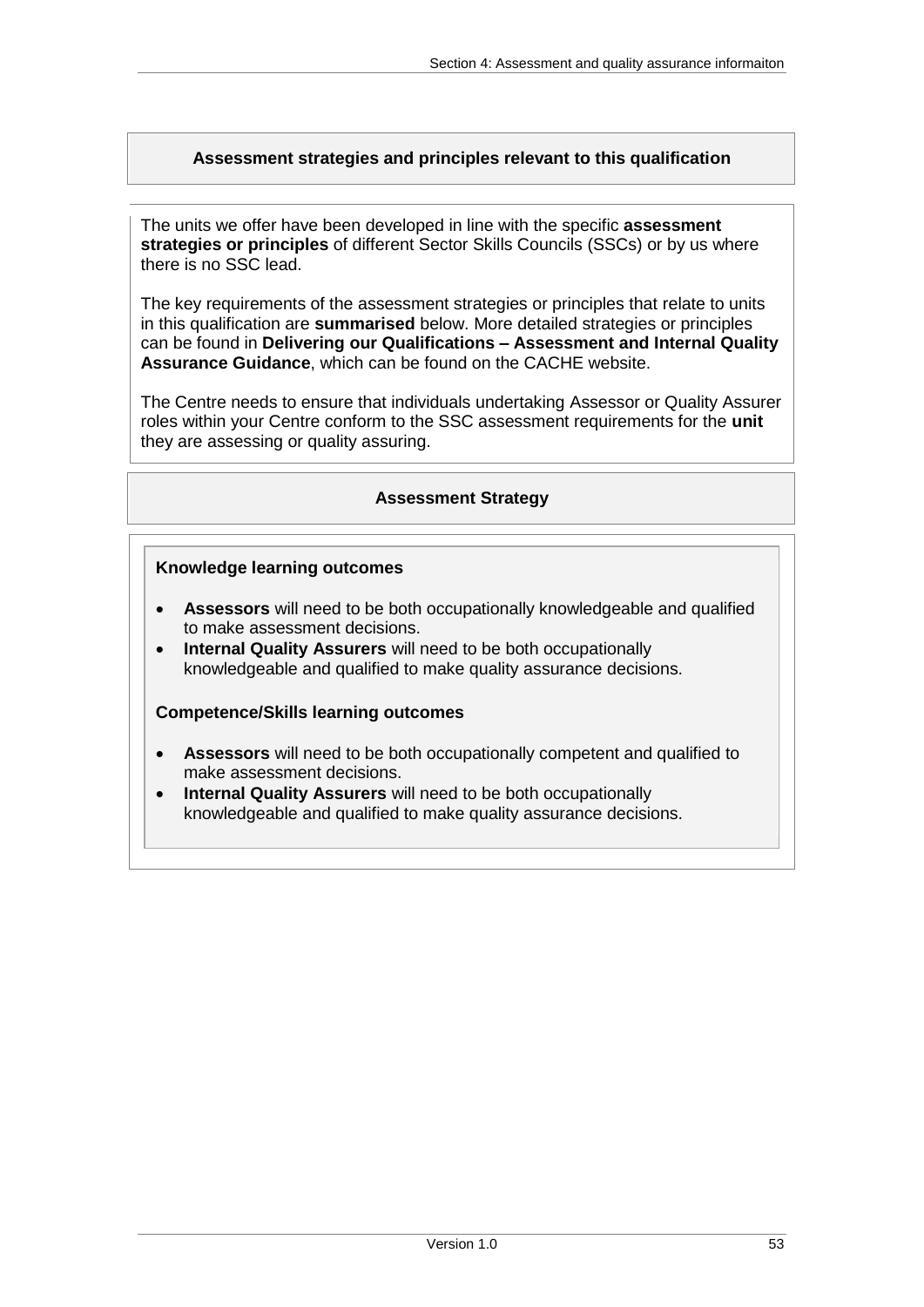### <span id="page-52-0"></span>**Assessment strategies and principles relevant to this qualification**

The units we offer have been developed in line with the specific **assessment strategies or principles** of different Sector Skills Councils (SSCs) or by us where there is no SSC lead.

The key requirements of the assessment strategies or principles that relate to units in this qualification are **summarised** below. More detailed strategies or principles can be found in **Delivering our Qualifications – Assessment and Internal Quality Assurance Guidance**, which can be found on the CACHE website.

<span id="page-52-1"></span>The Centre needs to ensure that individuals undertaking Assessor or Quality Assurer roles within your Centre conform to the SSC assessment requirements for the **unit** they are assessing or quality assuring.

#### **Assessment Strategy**

#### **Knowledge learning outcomes**

- **Assessors** will need to be both occupationally knowledgeable and qualified to make assessment decisions.
- **Internal Quality Assurers** will need to be both occupationally knowledgeable and qualified to make quality assurance decisions.

#### **Competence/Skills learning outcomes**

- **Assessors** will need to be both occupationally competent and qualified to make assessment decisions.
- **Internal Quality Assurers** will need to be both occupationally knowledgeable and qualified to make quality assurance decisions.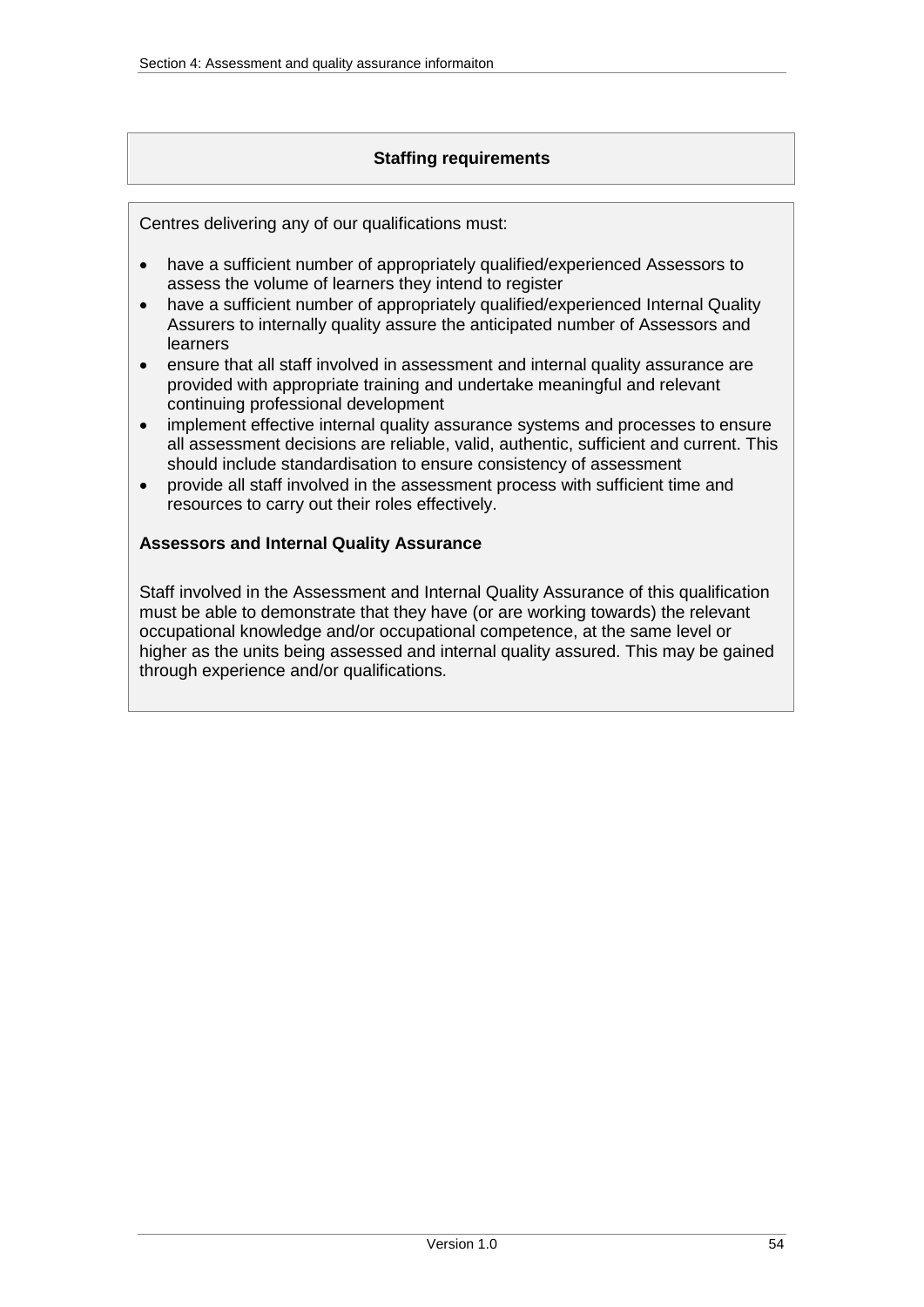### **Staffing requirements**

<span id="page-53-0"></span>Centres delivering any of our qualifications must:

- have a sufficient number of appropriately qualified/experienced Assessors to assess the volume of learners they intend to register
- have a sufficient number of appropriately qualified/experienced Internal Quality Assurers to internally quality assure the anticipated number of Assessors and learners
- ensure that all staff involved in assessment and internal quality assurance are provided with appropriate training and undertake meaningful and relevant continuing professional development
- implement effective internal quality assurance systems and processes to ensure all assessment decisions are reliable, valid, authentic, sufficient and current. This should include standardisation to ensure consistency of assessment
- provide all staff involved in the assessment process with sufficient time and resources to carry out their roles effectively.

### <span id="page-53-1"></span>**Assessors and Internal Quality Assurance**

Staff involved in the Assessment and Internal Quality Assurance of this qualification must be able to demonstrate that they have (or are working towards) the relevant occupational knowledge and/or occupational competence, at the same level or higher as the units being assessed and internal quality assured. This may be gained through experience and/or qualifications.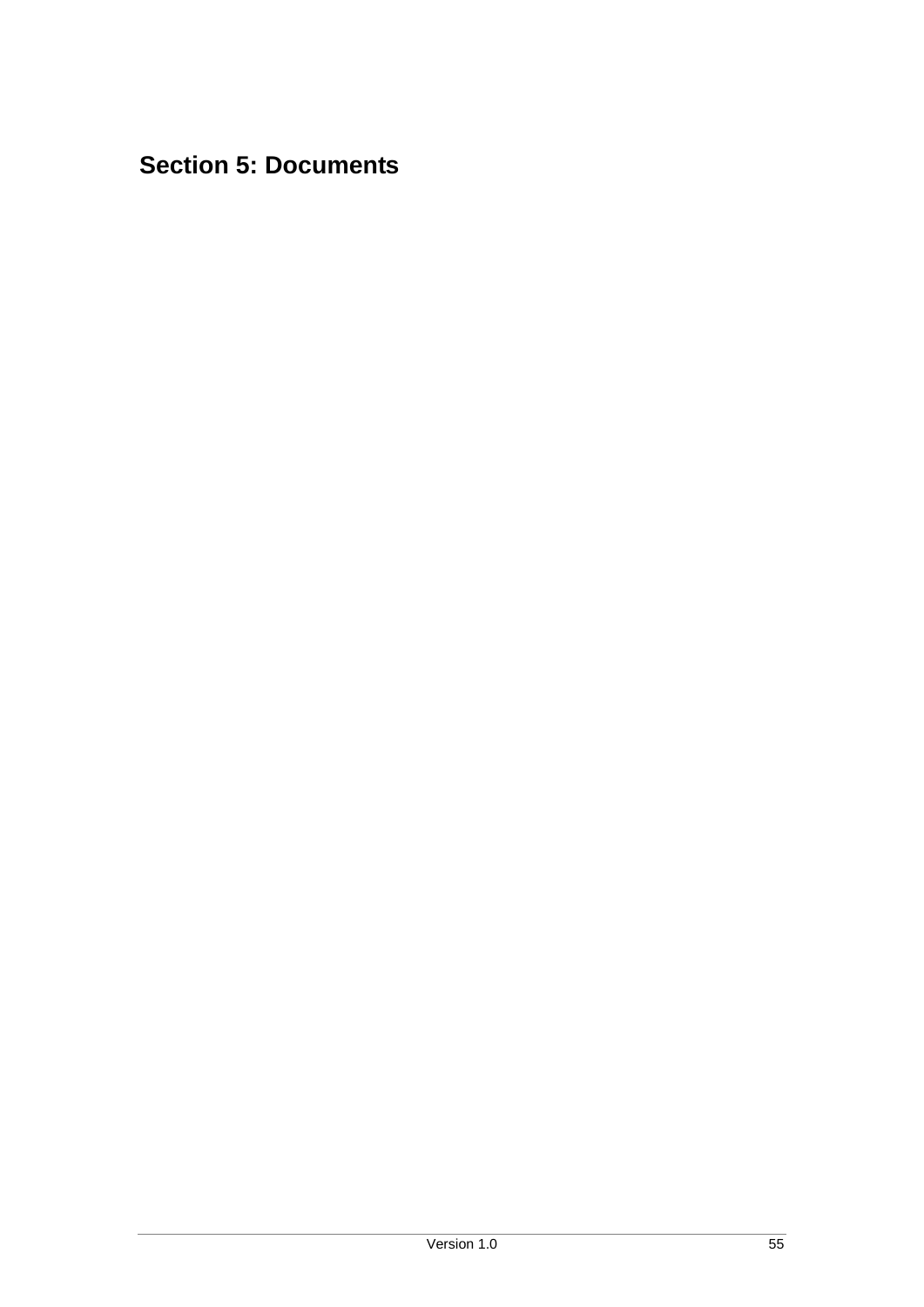# <span id="page-54-0"></span>**Section 5: Documents**